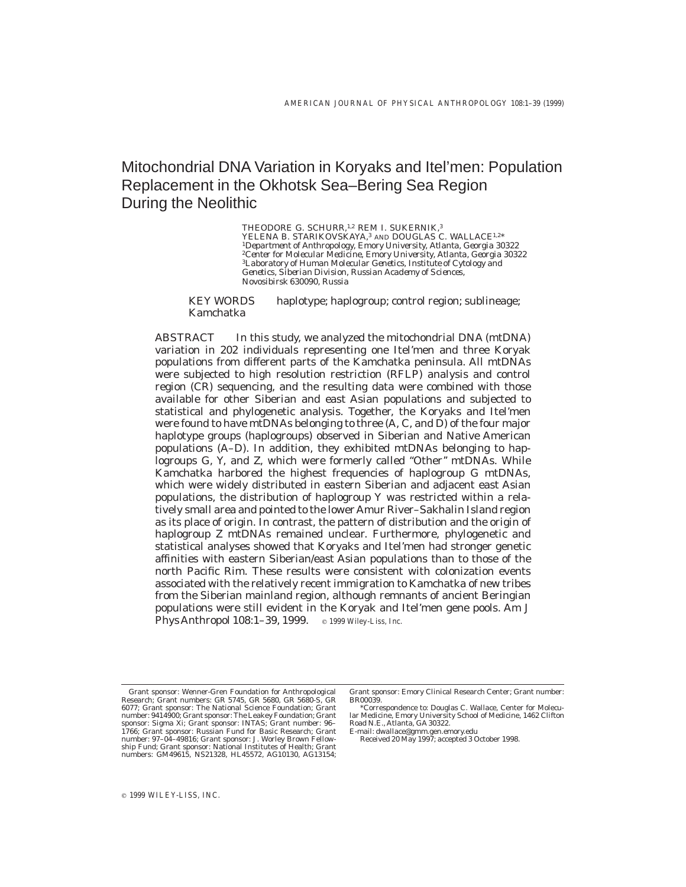# Mitochondrial DNA Variation in Koryaks and Itel'men: Population Replacement in the Okhotsk Sea–Bering Sea Region During the Neolithic

THEODORE G. SCHURR,<sup>1,2</sup> REM I. SUKERNIK,<sup>3</sup> YELENA B. STARIKOVSKAYA,<sup>3</sup> AND DOUGLAS C. WALLACE<sup>1,2\*</sup> <sup>1</sup>*Department of Anthropology, Emory University, Atlanta, Georgia 30322* <sup>2</sup>*Center for Molecular Medicine, Emory University, Atlanta, Georgia 30322* <sup>3</sup>*Laboratory of Human Molecular Genetics, Institute of Cytology and Genetics, Siberian Division, Russian Academy of Sciences, Novosibirsk 630090, Russia*

*KEY WORDS* haplotype; haplogroup; control region; sublineage; Kamchatka

*ABSTRACT* In this study, we analyzed the mitochondrial DNA (mtDNA) variation in 202 individuals representing one Itel'men and three Koryak populations from different parts of the Kamchatka peninsula. All mtDNAs were subjected to high resolution restriction (RFLP) analysis and control region (CR) sequencing, and the resulting data were combined with those available for other Siberian and east Asian populations and subjected to statistical and phylogenetic analysis. Together, the Koryaks and Itel'men were found to have mtDNAs belonging to three (A, C, and D) of the four major haplotype groups (haplogroups) observed in Siberian and Native American populations (A–D). In addition, they exhibited mtDNAs belonging to haplogroups G, Y, and Z, which were formerly called "Other" mtDNAs. While Kamchatka harbored the highest frequencies of haplogroup G mtDNAs, which were widely distributed in eastern Siberian and adjacent east Asian populations, the distribution of haplogroup Y was restricted within a relatively small area and pointed to the lower Amur River–Sakhalin Island region as its place of origin. In contrast, the pattern of distribution and the origin of haplogroup Z mtDNAs remained unclear. Furthermore, phylogenetic and statistical analyses showed that Koryaks and Itel'men had stronger genetic affinities with eastern Siberian/east Asian populations than to those of the north Pacific Rim. These results were consistent with colonization events associated with the relatively recent immigration to Kamchatka of new tribes from the Siberian mainland region, although remnants of ancient Beringian populations were still evident in the Koryak and Itel'men gene pools. Am J Phys Anthropol  $108:1-39$ , 1999.  $\circ$  1999 Wiley-Liss, Inc.

Grant sponsor: Emory Clinical Research Center; Grant number: BR00039.

E-mail: dwallace@gmm.gen.emory.edu Received 20 May 1997; accepted 3 October 1998.

Grant sponsor: Wenner-Gren Foundation for Anthropological Research; Grant numbers: GR 5745, GR 5680, GR 5680-S, GR 6077; Grant sponsor: The National Science Foundation; Grant number: 9414900; Grant sponsor: The Leakey Foundation; Grant sponsor: Sigma Xi; Grant sponsor: INTAS; Grant number: 96– 1766; Grant sponsor: Russian Fund for Basic Research; Grant number: 97–04–49816; Grant sponsor: J. Worley Brown Fellowship Fund; Grant sponsor: National Institutes of Health; Grant numbers: GM49615, NS21328, HL45572, AG10130, AG13154;

<sup>\*</sup>Correspondence to: Douglas C. Wallace, Center for Molecular Medicine, Emory University School of Medicine, 1462 Clifton Road N.E., Atlanta, GA 30322.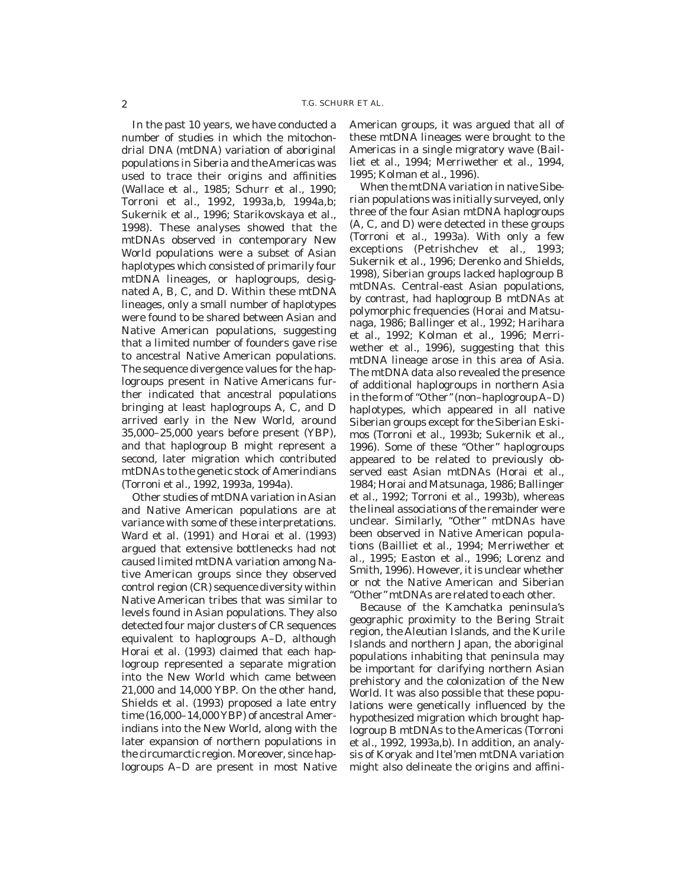In the past 10 years, we have conducted a number of studies in which the mitochondrial DNA (mtDNA) variation of aboriginal populations in Siberia and the Americas was used to trace their origins and affinities (Wallace et al., 1985; Schurr et al., 1990; Torroni et al., 1992, 1993a,b, 1994a,b; Sukernik et al., 1996; Starikovskaya et al., 1998). These analyses showed that the mtDNAs observed in contemporary New World populations were a subset of Asian haplotypes which consisted of primarily four mtDNA lineages, or haplogroups, designated A, B, C, and D. Within these mtDNA lineages, only a small number of haplotypes were found to be shared between Asian and Native American populations, suggesting that a limited number of founders gave rise to ancestral Native American populations. The sequence divergence values for the haplogroups present in Native Americans further indicated that ancestral populations bringing at least haplogroups A, C, and D arrived early in the New World, around 35,000–25,000 years before present (YBP), and that haplogroup B might represent a second, later migration which contributed mtDNAs to the genetic stock of Amerindians (Torroni et al., 1992, 1993a, 1994a).

Other studies of mtDNAvariation inAsian and Native American populations are at variance with some of these interpretations. Ward et al. (1991) and Horai et al. (1993) argued that extensive bottlenecks had not caused limited mtDNA variation among Native American groups since they observed control region (CR) sequence diversity within Native American tribes that was similar to levels found in Asian populations. They also detected four major clusters of CR sequences equivalent to haplogroups A–D, although Horai et al. (1993) claimed that each haplogroup represented a separate migration into the New World which came between 21,000 and 14,000 YBP. On the other hand, Shields et al. (1993) proposed a late entry time (16,000–14,000 YBP) of ancestral Amerindians into the New World, along with the later expansion of northern populations in the circumarctic region. Moreover, since haplogroups A–D are present in most Native

American groups, it was argued that all of these mtDNA lineages were brought to the Americas in a single migratory wave (Bailliet et al., 1994; Merriwether et al., 1994, 1995; Kolman et al., 1996).

When the mtDNA variation in native Siberian populations was initially surveyed, only three of the four Asian mtDNA haplogroups (A, C, and D) were detected in these groups (Torroni et al., 1993a). With only a few exceptions (Petrishchev et al., 1993; Sukernik et al., 1996; Derenko and Shields, 1998), Siberian groups lacked haplogroup B mtDNAs. Central-east Asian populations, by contrast, had haplogroup B mtDNAs at polymorphic frequencies (Horai and Matsunaga, 1986; Ballinger et al., 1992; Harihara et al., 1992; Kolman et al., 1996; Merriwether et al., 1996), suggesting that this mtDNA lineage arose in this area of Asia. The mtDNA data also revealed the presence of additional haplogroups in northern Asia in the form of ''Other'' (non–haplogroup A–D) haplotypes, which appeared in all native Siberian groups except for the Siberian Eskimos (Torroni et al., 1993b; Sukernik et al., 1996). Some of these "Other" haplogroups appeared to be related to previously observed east Asian mtDNAs (Horai et al., 1984; Horai and Matsunaga, 1986; Ballinger et al., 1992; Torroni et al., 1993b), whereas the lineal associations of the remainder were unclear. Similarly, ''Other'' mtDNAs have been observed in Native American populations (Bailliet et al., 1994; Merriwether et al., 1995; Easton et al., 1996; Lorenz and Smith, 1996). However, it is unclear whether or not the Native American and Siberian ''Other'' mtDNAs are related to each other.

Because of the Kamchatka peninsula's geographic proximity to the Bering Strait region, the Aleutian Islands, and the Kurile Islands and northern Japan, the aboriginal populations inhabiting that peninsula may be important for clarifying northern Asian prehistory and the colonization of the New World. It was also possible that these populations were genetically influenced by the hypothesized migration which brought haplogroup B mtDNAs to the Americas (Torroni et al., 1992, 1993a,b). In addition, an analysis of Koryak and Itel'men mtDNA variation might also delineate the origins and affini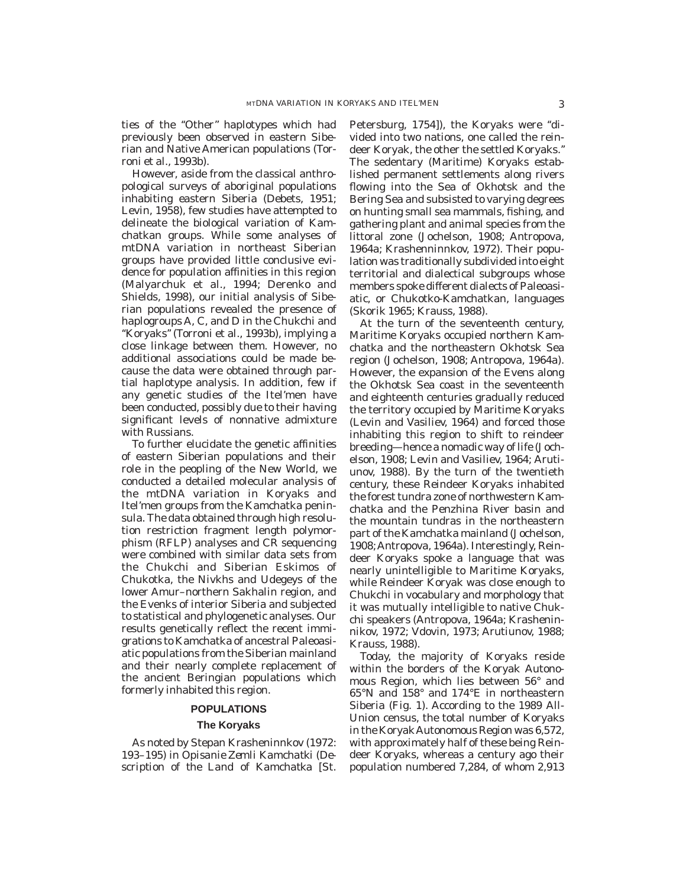ties of the "Other" haplotypes which had previously been observed in eastern Siberian and Native American populations (Torroni et al., 1993b).

However, aside from the classical anthropological surveys of aboriginal populations inhabiting eastern Siberia (Debets, 1951; Levin, 1958), few studies have attempted to delineate the biological variation of Kamchatkan groups. While some analyses of mtDNA variation in northeast Siberian groups have provided little conclusive evidence for population affinities in this region (Malyarchuk et al., 1994; Derenko and Shields, 1998), our initial analysis of Siberian populations revealed the presence of haplogroups A, C, and D in the Chukchi and ''Koryaks'' (Torroni et al., 1993b), implying a close linkage between them. However, no additional associations could be made because the data were obtained through partial haplotype analysis. In addition, few if any genetic studies of the Itel'men have been conducted, possibly due to their having significant levels of nonnative admixture with Russians.

To further elucidate the genetic affinities of eastern Siberian populations and their role in the peopling of the New World, we conducted a detailed molecular analysis of the mtDNA variation in Koryaks and Itel'men groups from the Kamchatka peninsula. The data obtained through high resolution restriction fragment length polymorphism (RFLP) analyses and CR sequencing were combined with similar data sets from the Chukchi and Siberian Eskimos of Chukotka, the Nivkhs and Udegeys of the lower Amur–northern Sakhalin region, and the Evenks of interior Siberia and subjected to statistical and phylogenetic analyses. Our results genetically reflect the recent immigrations to Kamchatka of ancestral Paleoasiatic populations from the Siberian mainland and their nearly complete replacement of the ancient Beringian populations which formerly inhabited this region.

## **POPULATIONS The Koryaks**

As noted by Stepan Krasheninnkov (1972: 193–195) in *Opisanie Zemli Kamchatki* (*Description of the Land of Kamchatka* [St. Petersburg, 1754]), the Koryaks were "divided into two nations, one called the reindeer Koryak, the other the settled Koryaks.'' The sedentary (Maritime) Koryaks established permanent settlements along rivers flowing into the Sea of Okhotsk and the Bering Sea and subsisted to varying degrees on hunting small sea mammals, fishing, and gathering plant and animal species from the littoral zone (Jochelson, 1908; Antropova, 1964a; Krashenninnkov, 1972). Their population was traditionally subdivided into eight territorial and dialectical subgroups whose members spoke different dialects of Paleoasiatic, or Chukotko-Kamchatkan, languages (Skorik 1965; Krauss, 1988).

At the turn of the seventeenth century, Maritime Koryaks occupied northern Kamchatka and the northeastern Okhotsk Sea region (Jochelson, 1908; Antropova, 1964a). However, the expansion of the Evens along the Okhotsk Sea coast in the seventeenth and eighteenth centuries gradually reduced the territory occupied by Maritime Koryaks (Levin and Vasiliev, 1964) and forced those inhabiting this region to shift to reindeer breeding—hence a nomadic way of life (Jochelson, 1908; Levin and Vasiliev, 1964; Arutiunov, 1988). By the turn of the twentieth century, these Reindeer Koryaks inhabited the forest tundra zone of northwestern Kamchatka and the Penzhina River basin and the mountain tundras in the northeastern part of the Kamchatka mainland (Jochelson, 1908;Antropova, 1964a). Interestingly, Reindeer Koryaks spoke a language that was nearly unintelligible to Maritime Koryaks, while Reindeer Koryak was close enough to Chukchi in vocabulary and morphology that it was mutually intelligible to native Chukchi speakers (Antropova, 1964a; Krasheninnikov, 1972; Vdovin, 1973; Arutiunov, 1988; Krauss, 1988).

Today, the majority of Koryaks reside within the borders of the Koryak Autonomous Region, which lies between 56° and 65°N and 158° and 174°E in northeastern Siberia (Fig. 1). According to the 1989 All-Union census, the total number of Koryaks in the Koryak Autonomous Region was 6,572, with approximately half of these being Reindeer Koryaks, whereas a century ago their population numbered 7,284, of whom 2,913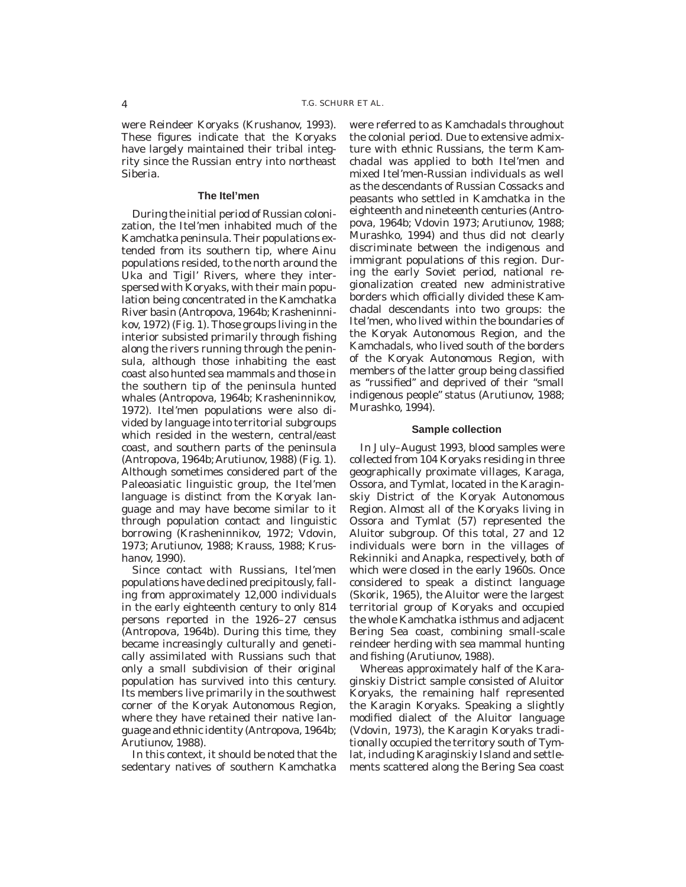were Reindeer Koryaks (Krushanov, 1993). These figures indicate that the Koryaks have largely maintained their tribal integrity since the Russian entry into northeast Siberia.

#### **The Itel'men**

During the initial period of Russian colonization, the Itel'men inhabited much of the Kamchatka peninsula. Their populations extended from its southern tip, where Ainu populations resided, to the north around the Uka and Tigil' Rivers, where they interspersed with Koryaks, with their main population being concentrated in the Kamchatka River basin (Antropova, 1964b; Krasheninnikov, 1972) (Fig. 1). Those groups living in the interior subsisted primarily through fishing along the rivers running through the peninsula, although those inhabiting the east coast also hunted sea mammals and those in the southern tip of the peninsula hunted whales (Antropova, 1964b; Krasheninnikov, 1972). Itel'men populations were also divided by language into territorial subgroups which resided in the western, central/east coast, and southern parts of the peninsula (Antropova, 1964b; Arutiunov, 1988) (Fig. 1). Although sometimes considered part of the Paleoasiatic linguistic group, the Itel'men language is distinct from the Koryak language and may have become similar to it through population contact and linguistic borrowing (Krasheninnikov, 1972; Vdovin, 1973; Arutiunov, 1988; Krauss, 1988; Krushanov, 1990).

Since contact with Russians, Itel'men populations have declined precipitously, falling from approximately 12,000 individuals in the early eighteenth century to only 814 persons reported in the 1926–27 census (Antropova, 1964b). During this time, they became increasingly culturally and genetically assimilated with Russians such that only a small subdivision of their original population has survived into this century. Its members live primarily in the southwest corner of the Koryak Autonomous Region, where they have retained their native language and ethnic identity (Antropova, 1964b; Arutiunov, 1988).

In this context, it should be noted that the sedentary natives of southern Kamchatka were referred to as Kamchadals throughout the colonial period. Due to extensive admixture with ethnic Russians, the term *Kamchadal* was applied to both Itel'men and mixed Itel'men-Russian individuals as well as the descendants of Russian Cossacks and peasants who settled in Kamchatka in the eighteenth and nineteenth centuries (Antropova, 1964b; Vdovin 1973; Arutiunov, 1988; Murashko, 1994) and thus did not clearly discriminate between the indigenous and immigrant populations of this region. During the early Soviet period, national regionalization created new administrative borders which officially divided these Kamchadal descendants into two groups: the Itel'men, who lived within the boundaries of the Koryak Autonomous Region, and the Kamchadals, who lived south of the borders of the Koryak Autonomous Region, with members of the latter group being classified as ''russified'' and deprived of their ''small indigenous people'' status (Arutiunov, 1988; Murashko, 1994).

#### **Sample collection**

In July–August 1993, blood samples were collected from 104 Koryaks residing in three geographically proximate villages, Karaga, Ossora, and Tymlat, located in the Karaginskiy District of the Koryak Autonomous Region. Almost all of the Koryaks living in Ossora and Tymlat (57) represented the Aluitor subgroup. Of this total, 27 and 12 individuals were born in the villages of Rekinniki and Anapka, respectively, both of which were closed in the early 1960s. Once considered to speak a distinct language (Skorik, 1965), the Aluitor were the largest territorial group of Koryaks and occupied the whole Kamchatka isthmus and adjacent Bering Sea coast, combining small-scale reindeer herding with sea mammal hunting and fishing (Arutiunov, 1988).

Whereas approximately half of the Karaginskiy District sample consisted of Aluitor Koryaks, the remaining half represented the Karagin Koryaks. Speaking a slightly modified dialect of the Aluitor language (Vdovin, 1973), the Karagin Koryaks traditionally occupied the territory south of Tymlat, including Karaginskiy Island and settlements scattered along the Bering Sea coast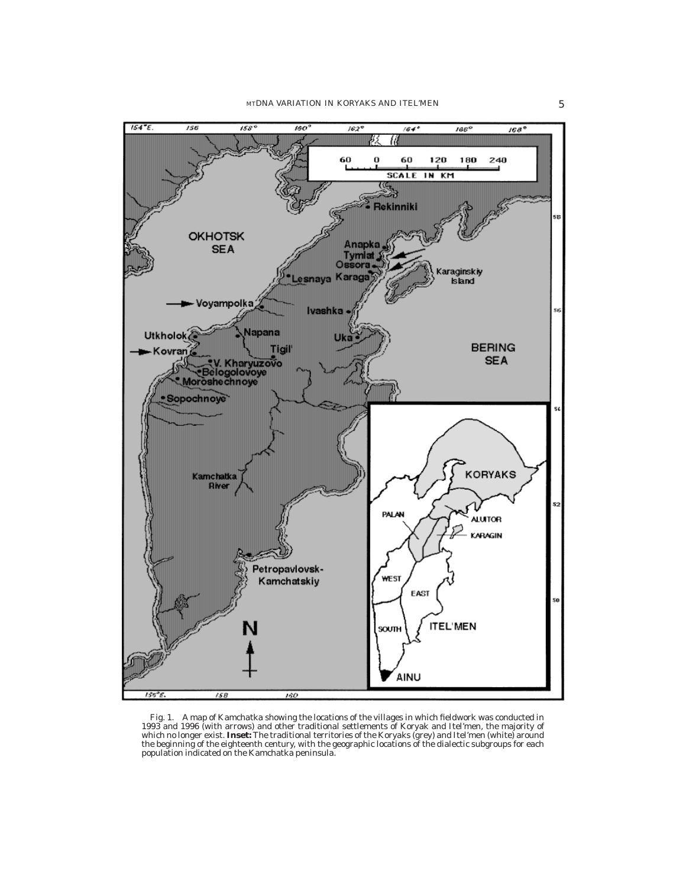

Fig. 1. A map of Kamchatka showing the locations of the villages in which fieldwork was conducted in 1993 and 1996 (with arrows) and other traditional settlements of Koryak and Itel'men, the majority of which no longer the beginning of the eighteenth century, with the geographic locations of the dialectic subgroups for each population indicated on the Kamchatka peninsula.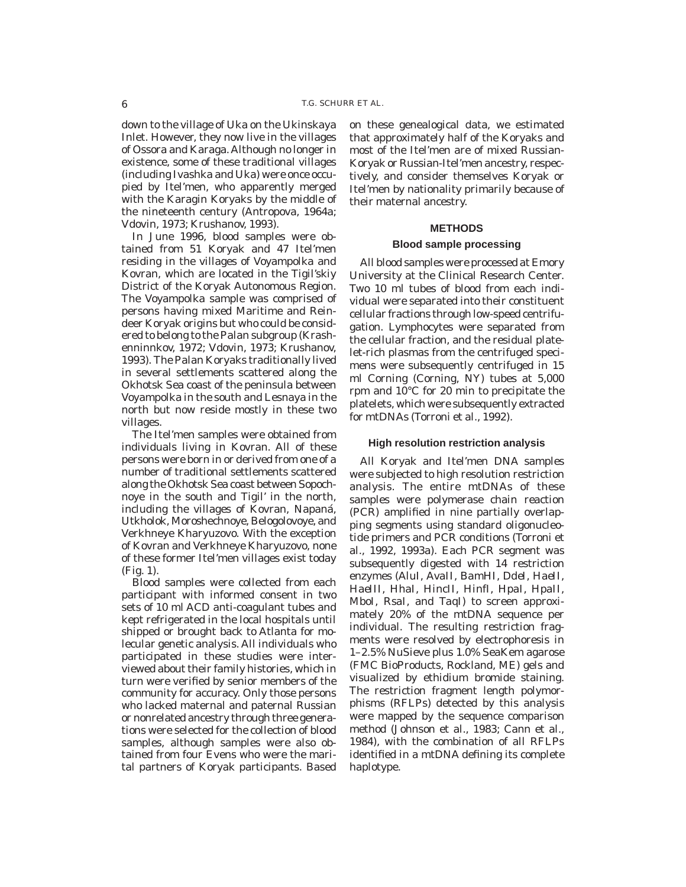down to the village of Uka on the Ukinskaya Inlet. However, they now live in the villages of Ossora and Karaga. Although no longer in existence, some of these traditional villages (including Ivashka and Uka) were once occupied by Itel'men, who apparently merged with the Karagin Koryaks by the middle of the nineteenth century (Antropova, 1964a; Vdovin, 1973; Krushanov, 1993).

In June 1996, blood samples were obtained from 51 Koryak and 47 Itel'men residing in the villages of Voyampolka and Kovran, which are located in the Tigil'skiy District of the Koryak Autonomous Region. The Voyampolka sample was comprised of persons having mixed Maritime and Reindeer Koryak origins but who could be considered to belong to the Palan subgroup (Krashenninnkov, 1972; Vdovin, 1973; Krushanov, 1993). The Palan Koryaks traditionally lived in several settlements scattered along the Okhotsk Sea coast of the peninsula between Voyampolka in the south and Lesnaya in the north but now reside mostly in these two villages.

The Itel'men samples were obtained from individuals living in Kovran. All of these persons were born in or derived from one of a number of traditional settlements scattered along the Okhotsk Sea coast between Sopochnoye in the south and Tigil' in the north, including the villages of Kovran, Napaná, Utkholok, Moroshechnoye, Belogolovoye, and Verkhneye Kharyuzovo. With the exception of Kovran and Verkhneye Kharyuzovo, none of these former Itel'men villages exist today (Fig. 1).

Blood samples were collected from each participant with informed consent in two sets of 10 ml ACD anti-coagulant tubes and kept refrigerated in the local hospitals until shipped or brought back to Atlanta for molecular genetic analysis. All individuals who participated in these studies were interviewed about their family histories, which in turn were verified by senior members of the community for accuracy. Only those persons who lacked maternal and paternal Russian or nonrelated ancestry through three generations were selected for the collection of blood samples, although samples were also obtained from four Evens who were the marital partners of Koryak participants. Based

on these genealogical data, we estimated that approximately half of the Koryaks and most of the Itel'men are of mixed Russian-Koryak or Russian-Itel'men ancestry, respectively, and consider themselves Koryak or Itel'men by nationality primarily because of their maternal ancestry.

## **METHODS**

#### **Blood sample processing**

All blood samples were processed at Emory University at the Clinical Research Center. Two 10 ml tubes of blood from each individual were separated into their constituent cellular fractions through low-speed centrifugation. Lymphocytes were separated from the cellular fraction, and the residual platelet-rich plasmas from the centrifuged specimens were subsequently centrifuged in 15 ml Corning (Corning, NY) tubes at 5,000 rpm and 10°C for 20 min to precipitate the platelets, which were subsequently extracted for mtDNAs (Torroni et al., 1992).

#### **High resolution restriction analysis**

All Koryak and Itel'men DNA samples were subjected to high resolution restriction analysis. The entire mtDNAs of these samples were polymerase chain reaction (PCR) amplified in nine partially overlapping segments using standard oligonucleotide primers and PCR conditions (Torroni et al., 1992, 1993a). Each PCR segment was subsequently digested with 14 restriction enzymes (*AluI, AvaII, BamHI, DdeI, HaeII, HaeIII, HhaI, HincII, HinfI, HpaI, HpaII, MboI, RsaI,* and *TaqI*) to screen approximately 20% of the mtDNA sequence per individual. The resulting restriction fragments were resolved by electrophoresis in 1–2.5% NuSieve plus 1.0% SeaKem agarose (FMC BioProducts, Rockland, ME) gels and visualized by ethidium bromide staining. The restriction fragment length polymorphisms (RFLPs) detected by this analysis were mapped by the sequence comparison method (Johnson et al., 1983; Cann et al., 1984), with the combination of all RFLPs identified in a mtDNA defining its complete haplotype.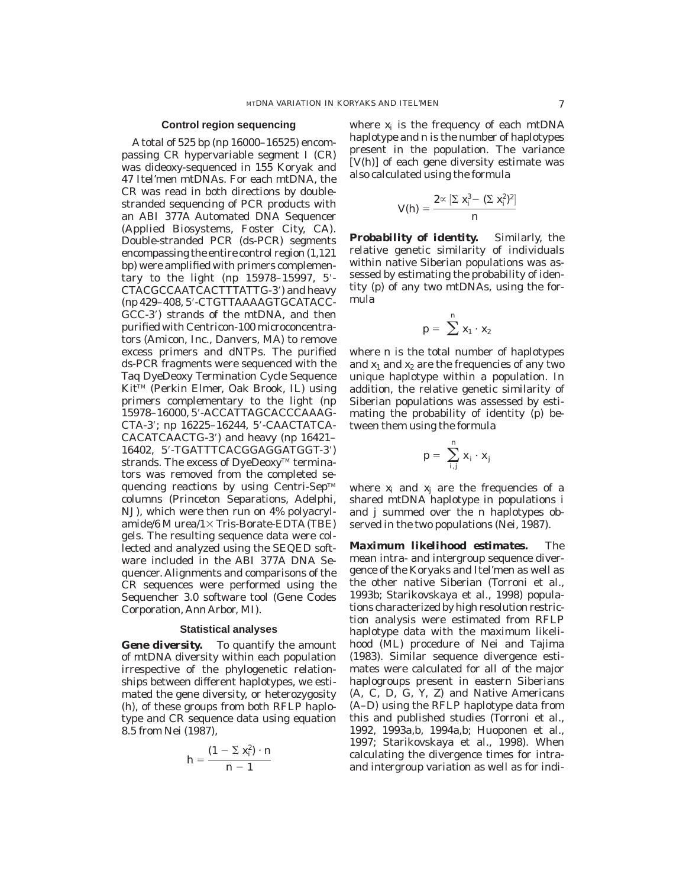#### **Control region sequencing**

A total of 525 bp (np 16000–16525) encompassing CR hypervariable segment I (CR) was dideoxy-sequenced in 155 Koryak and 47 Itel'men mtDNAs. For each mtDNA, the CR was read in both directions by doublestranded sequencing of PCR products with an ABI 377A Automated DNA Sequencer (Applied Biosystems, Foster City, CA). Double-stranded PCR (ds-PCR) segments encompassing the entire control region (1,121 bp) were amplified with primers complementary to the light (np  $15978-15997$ ,  $5'$ -CTACGCCAATCACTTTATTG-3') and heavy (np 429-408, 5'-CTGTTAAAAGTGCATACC-GCC-3') strands of the mtDNA, and then purified with Centricon-100 microconcentrators (Amicon, Inc., Danvers, MA) to remove excess primers and dNTPs. The purified ds-PCR fragments were sequenced with the Taq DyeDeoxy Termination Cycle Sequence Kit™ (Perkin Elmer, Oak Brook, IL) using primers complementary to the light (np 15978-16000, 5'-ACCATTAGCACCCAAAG-CTA-3'; np 16225-16244, 5'-CAACTATCA- $CACATCAACTG-3'$ ) and heavy (np  $16421-$ 16402, 5'-TGATTTCACGGAGGATGGT-3') strands. The excess of DyeDeoxy™ terminators was removed from the completed sequencing reactions by using Centri-Sep<sup>TM</sup> columns (Princeton Separations, Adelphi, NJ), which were then run on 4% polyacrylamide/6 M urea/ $1\times$  Tris-Borate-EDTA (TBE) gels. The resulting sequence data were collected and analyzed using the SEQED software included in the ABI 377A DNA Sequencer. Alignments and comparisons of the CR sequences were performed using the Sequencher 3.0 software tool (Gene Codes Corporation, Ann Arbor, MI).

#### **Statistical analyses**

*Gene diversity.* To quantify the amount of mtDNA diversity within each population irrespective of the phylogenetic relationships between different haplotypes, we estimated the gene diversity, or heterozygosity (h), of these groups from both RFLP haplotype and CR sequence data using equation 8.5 from Nei (1987),

$$
h = \frac{(1 - \sum x_i^2) \cdot n}{n - 1}
$$

where  $x_i$  is the frequency of each mtDNA haplotype and *n* is the number of haplotypes present in the population. The variance [V(h)] of each gene diversity estimate was also calculated using the formula

$$
V(h)=\frac{2\!\propto[\Sigma\;x_i^3\!-(\Sigma\;x_i^2)^2]}{n}
$$

*Probability of identity.* Similarly, the relative genetic similarity of individuals within native Siberian populations was assessed by estimating the probability of identity (*p*) of any two mtDNAs, using the formula

$$
p = \sum_{1}^{n} x_1 \cdot x_2
$$

where *n* is the total number of haplotypes and  $x_1$  and  $x_2$  are the frequencies of any two unique haplotype within a population. In addition, the relative genetic similarity of Siberian populations was assessed by estimating the probability of identity (*p*) between them using the formula

$$
p = \sum_{i,j}^{n} x_i \cdot x_j
$$

where  $x_i$  and  $x_i$  are the frequencies of a shared mtDNA haplotype in populations *i* and *j* summed over the *n* haplotypes observed in the two populations (Nei, 1987).

*Maximum likelihood estimates.* The mean intra- and intergroup sequence divergence of the Koryaks and Itel'men as well as the other native Siberian (Torroni et al., 1993b; Starikovskaya et al., 1998) populations characterized by high resolution restriction analysis were estimated from RFLP haplotype data with the maximum likelihood (ML) procedure of Nei and Tajima (1983). Similar sequence divergence estimates were calculated for all of the major haplogroups present in eastern Siberians (A, C, D, G, Y, Z) and Native Americans (A–D) using the RFLP haplotype data from this and published studies (Torroni et al., 1992, 1993a,b, 1994a,b; Huoponen et al., 1997; Starikovskaya et al., 1998). When calculating the divergence times for intraand intergroup variation as well as for indi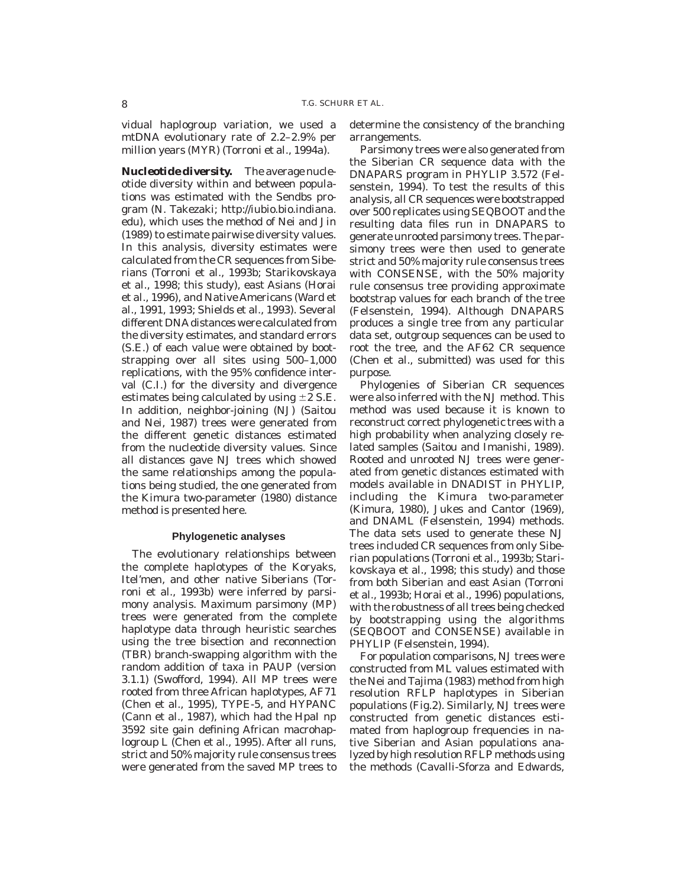vidual haplogroup variation, we used a mtDNA evolutionary rate of 2.2–2.9% per million years (MYR) (Torroni et al., 1994a).

*Nucleotide diversity.* The average nucleotide diversity within and between populations was estimated with the Sendbs program (N. Takezaki; http://iubio.bio.indiana. edu), which uses the method of Nei and Jin (1989) to estimate pairwise diversity values. In this analysis, diversity estimates were calculated from the CR sequences from Siberians (Torroni et al., 1993b; Starikovskaya et al., 1998; this study), east Asians (Horai et al., 1996), and Native Americans (Ward et al., 1991, 1993; Shields et al., 1993). Several different DNAdistances were calculated from the diversity estimates, and standard errors (S.E.) of each value were obtained by bootstrapping over all sites using 500–1,000 replications, with the 95% confidence interval (C.I.) for the diversity and divergence estimates being calculated by using  $\pm 2$  S.E. In addition, neighbor-joining (NJ) (Saitou and Nei, 1987) trees were generated from the different genetic distances estimated from the nucleotide diversity values. Since all distances gave NJ trees which showed the same relationships among the populations being studied, the one generated from the Kimura two-parameter (1980) distance method is presented here.

## **Phylogenetic analyses**

The evolutionary relationships between the complete haplotypes of the Koryaks, Itel'men, and other native Siberians (Torroni et al., 1993b) were inferred by parsimony analysis. Maximum parsimony (MP) trees were generated from the complete haplotype data through heuristic searches using the tree bisection and reconnection (TBR) branch-swapping algorithm with the random addition of taxa in PAUP (version 3.1.1) (Swofford, 1994). All MP trees were rooted from three African haplotypes, AF71 (Chen et al., 1995), TYPE-5, and HYPANC (Cann et al., 1987), which had the HpaI np 3592 site gain defining African macrohaplogroup L (Chen et al., 1995). After all runs, strict and 50% majority rule consensus trees were generated from the saved MP trees to

determine the consistency of the branching arrangements.

Parsimony trees were also generated from the Siberian CR sequence data with the DNAPARS program in PHYLIP 3.572 (Felsenstein, 1994). To test the results of this analysis, all CR sequences were bootstrapped over 500 replicates using SEQBOOT and the resulting data files run in DNAPARS to generate unrooted parsimony trees. The parsimony trees were then used to generate strict and 50% majority rule consensus trees with CONSENSE, with the 50% majority rule consensus tree providing approximate bootstrap values for each branch of the tree (Felsenstein, 1994). Although DNAPARS produces a single tree from any particular data set, outgroup sequences can be used to root the tree, and the AF62 CR sequence (Chen et al., submitted) was used for this purpose.

Phylogenies of Siberian CR sequences were also inferred with the NJ method. This method was used because it is known to reconstruct correct phylogenetic trees with a high probability when analyzing closely related samples (Saitou and Imanishi, 1989). Rooted and unrooted NJ trees were generated from genetic distances estimated with models available in DNADIST in PHYLIP, including the Kimura two-parameter (Kimura, 1980), Jukes and Cantor (1969), and DNAML (Felsenstein, 1994) methods. The data sets used to generate these NJ trees included CR sequences from only Siberian populations (Torroni et al., 1993b; Starikovskaya et al., 1998; this study) and those from both Siberian and east Asian (Torroni et al., 1993b; Horai et al., 1996) populations, with the robustness of all trees being checked by bootstrapping using the algorithms (SEQBOOT and CONSENSE) available in PHYLIP (Felsenstein, 1994).

For population comparisons, NJ trees were constructed from ML values estimated with the Nei and Tajima (1983) method from high resolution RFLP haplotypes in Siberian populations (Fig.2). Similarly, NJ trees were constructed from genetic distances estimated from haplogroup frequencies in native Siberian and Asian populations analyzed by high resolution RFLP methods using the methods (Cavalli-Sforza and Edwards,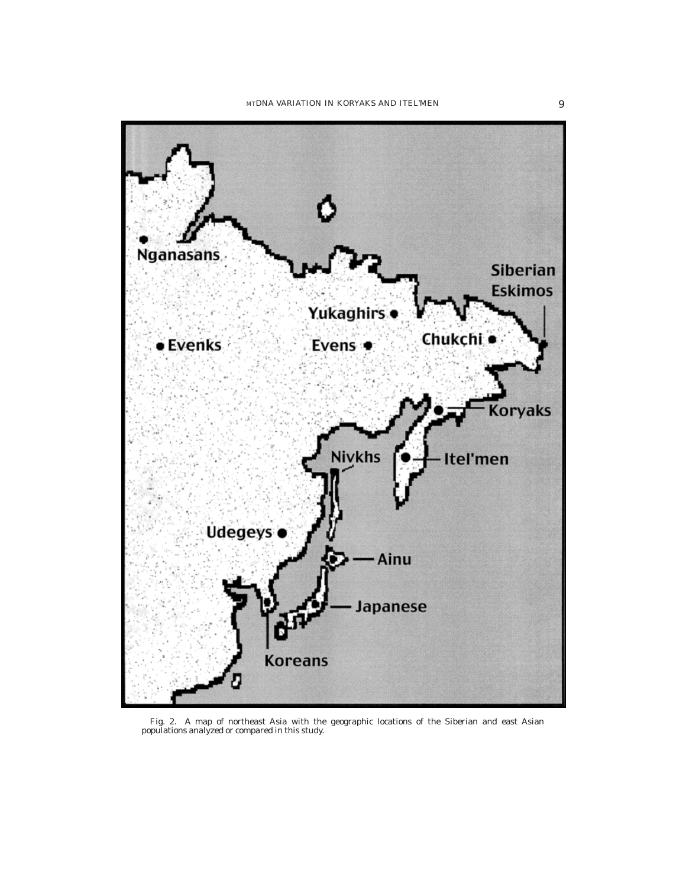

Fig. 2. A map of northeast Asia with the geographic locations of the Siberian and east Asian populations analyzed or compared in this study.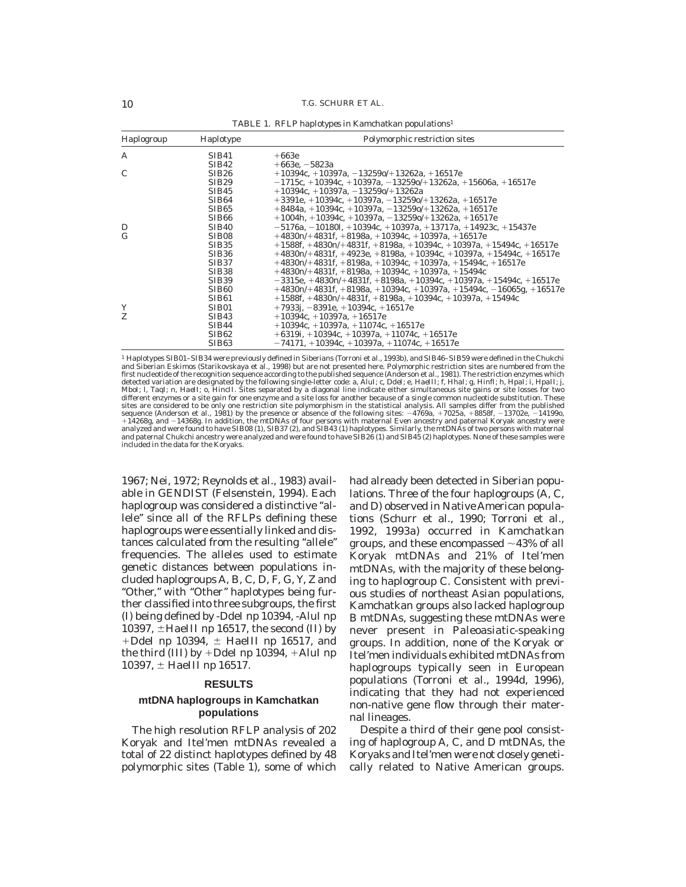| Haplogroup | Haplotype         | Polymorphic restriction sites                                                          |
|------------|-------------------|----------------------------------------------------------------------------------------|
| A          | SIB41             | $+663e$                                                                                |
|            | SIB <sub>42</sub> | $+663e$ . $-5823a$                                                                     |
| C          | SIB26             | $+10394c$ , $+10397a$ , $-13259o/+13262a$ , $+16517e$                                  |
|            | SIB <sub>29</sub> | $-1715c$ , $+10394c$ , $+10397a$ , $-132590/+13262a$ , $+15606a$ , $+16517e$           |
|            | SIB <sub>45</sub> | $+10394c$ , $+10397a$ , $-13259o/+13262a$                                              |
|            | SIB <sub>64</sub> | $+3391e$ , $+10394c$ , $+10397a$ , $-13259o/+13262a$ , $+16517e$                       |
|            | SIB <sub>65</sub> | $+8484a$ , $+10394c$ , $+10397a$ , $-13259o/+13262a$ , $+16517e$                       |
|            | SIB <sub>66</sub> | $+1004h$ , $+10394c$ , $+10397a$ , $-13259o/+13262a$ , $+16517e$                       |
| D          | SIB <sub>40</sub> | $-5176a$ , $-10180l$ , $+10394c$ , $+10397a$ , $+13717a$ , $+14923c$ , $+15437e$       |
| G          | SIB <sub>08</sub> | $+4830n/+4831f$ , $+8198a$ , $+10394c$ , $+10397a$ , $+16517e$                         |
|            | SIB <sub>35</sub> | $+1588f, +4830n/+4831f, +8198a, +10394c, +10397a, +15494c, +16517e$                    |
|            | <b>SIB36</b>      | $+4830n+4831f$ , $+4923e$ , $+8198a$ , $+10394c$ , $+10397a$ , $+15494c$ , $+16517e$   |
|            | <b>SIB37</b>      | $+4830n/+4831f$ , $+8198a$ , $+10394c$ , $+10397a$ , $+15494c$ , $+16517e$             |
|            | <b>SIB38</b>      | $+4830n/+4831f$ , $+8198a$ , $+10394c$ , $+10397a$ , $+15494c$                         |
|            | <b>SIB39</b>      | $-3315e$ , $+4830n/+4831f$ , $+8198a$ , $+10394c$ , $+10397a$ , $+15494c$ , $+16517e$  |
|            | <b>SIB60</b>      | $+4830n/+4831f$ , $+8198a$ , $+10394c$ , $+10397a$ , $+15494c$ , $-16065g$ , $+16517e$ |
|            | SIB <sub>61</sub> | $+1588f$ , $+4830n/+4831f$ , $+8198a$ , $+10394c$ , $+10397a$ , $+15494c$              |
| Y          | SIB <sub>01</sub> | $+7933$ j, $-8391e$ , $+10394c$ , $+16517e$                                            |
| Z.         | SIB <sub>43</sub> | $+10394c$ , $+10397a$ , $+16517e$                                                      |
|            | SIB <sub>44</sub> | $+10394c$ , $+10397a$ , $+11074c$ , $+16517e$                                          |
|            | <b>SIB62</b>      | $+6319i, +10394c, +10397a, +11074c, +16517e$                                           |
|            | SIB <sub>63</sub> | $-74171, +10394c, +10397a, +11074c, +16517e$                                           |

*TABLE 1. RFLP haplotypes in Kamchatkan populations*<sup>1</sup>

<sup>1</sup> Haplotypes SIB01–SIB34 were previously defined in Siberians (Torroni et al., 1993b), and SIB46–SIB59 were defined in the Chukchi and Siberian Eskimos (Starikovskaya et al., 1998) but are not presented here. Polymorphic restriction sites are numbered from the first nucleotide of the recognition sequence according to the published sequence (Anderson et al., 1981). The restriction enzymes which<br>detected variation are designated by the following single-letter code: a, *Alul;* c, different enzymes or a site gain for one enzyme and a site loss for another because of a single common nucleotide substitution. These sites are considered to be only one restriction site polymorphism in the statistical analysis. All samples differ from the published sequence (Anderson et al., 1981) by the presence or absence of the following sites:  $-476$ sequence (Anderson et al., 1981) by the presence or absence of the following sites:  $-4769a$ ,  $+7025a$ ,  $+8858f$ ,  $-13702e$ , +14268g, and −14368g. In addition, the mtDNAs of four persons with maternal Even ancestry and paternal Koryak ancestry were<br>analyzed and were found to have SIB08 (1), SIB37 (2), and SIB43 (1) haplotypes. Similarly, the mtD included in the data for the Koryaks.

1967; Nei, 1972; Reynolds et al., 1983) available in GENDIST (Felsenstein, 1994). Each haplogroup was considered a distinctive ''allele'' since all of the RFLPs defining these haplogroups were essentially linked and distances calculated from the resulting ''allele'' frequencies. The alleles used to estimate genetic distances between populations included haplogroups A, B, C, D, F, G, Y, Z and ''Other,'' with ''Other'' haplotypes being further classified into three subgroups, the first (I) being defined by -DdeI np 10394, -AluI np 10397,  $\pm$ HaeIII np 16517, the second (II) by +DdeI np 10394,  $\pm$  HaeIII np 16517, and the third (III) by  $+$ DdeI np 10394,  $+$ AluI np 10397,  $\pm$  HaeIII np 16517.

#### **RESULTS**

## **mtDNA haplogroups in Kamchatkan populations**

The high resolution RFLP analysis of 202 Koryak and Itel'men mtDNAs revealed a total of 22 distinct haplotypes defined by 48 polymorphic sites (Table 1), some of which had already been detected in Siberian populations. Three of the four haplogroups (A, C, and D) observed in Native American populations (Schurr et al., 1990; Torroni et al., 1992, 1993a) occurred in Kamchatkan groups, and these encompassed  $\sim$ 43% of all Koryak mtDNAs and 21% of Itel'men mtDNAs, with the majority of these belonging to haplogroup C. Consistent with previous studies of northeast Asian populations, Kamchatkan groups also lacked haplogroup B mtDNAs, suggesting these mtDNAs were never present in Paleoasiatic-speaking groups. In addition, none of the Koryak or Itel'men individuals exhibited mtDNAs from haplogroups typically seen in European populations (Torroni et al., 1994d, 1996), indicating that they had not experienced non-native gene flow through their maternal lineages.

Despite a third of their gene pool consisting of haplogroup A, C, and D mtDNAs, the Koryaks and Itel'men were not closely genetically related to Native American groups.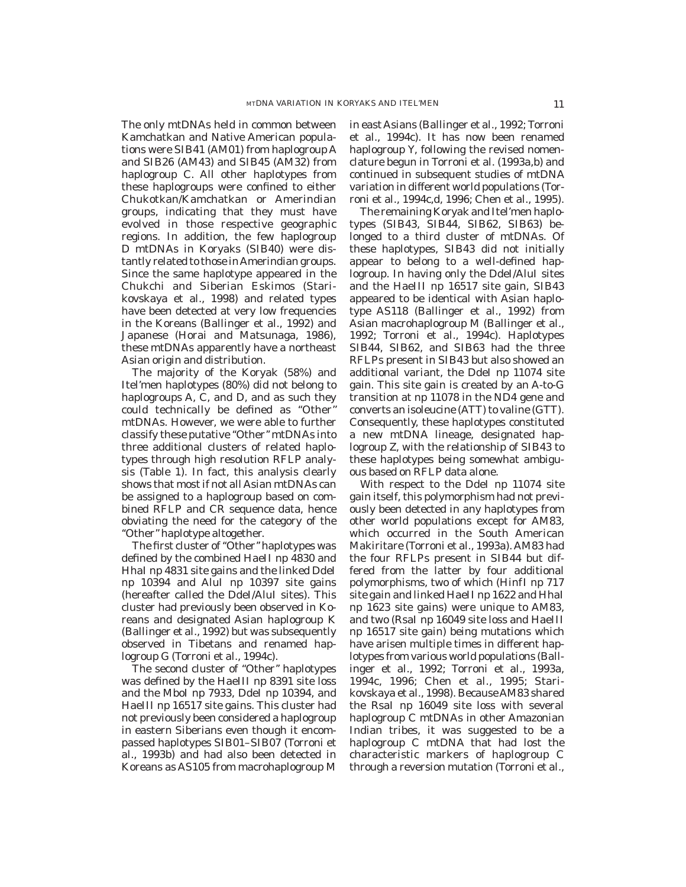The only mtDNAs held in common between Kamchatkan and Native American populations were SIB41 (AM01) from haplogroup A and SIB26 (AM43) and SIB45 (AM32) from haplogroup C. All other haplotypes from these haplogroups were confined to either Chukotkan/Kamchatkan or Amerindian groups, indicating that they must have evolved in those respective geographic regions. In addition, the few haplogroup D mtDNAs in Koryaks (SIB40) were distantly related to those inAmerindian groups. Since the same haplotype appeared in the Chukchi and Siberian Eskimos (Starikovskaya et al., 1998) and related types have been detected at very low frequencies in the Koreans (Ballinger et al., 1992) and Japanese (Horai and Matsunaga, 1986), these mtDNAs apparently have a northeast Asian origin and distribution.

The majority of the Koryak (58%) and Itel'men haplotypes (80%) did not belong to haplogroups A, C, and D, and as such they could technically be defined as ''Other'' mtDNAs. However, we were able to further classify these putative "Other" mtDNAs into three additional clusters of related haplotypes through high resolution RFLP analysis (Table 1). In fact, this analysis clearly shows that most if not all Asian mtDNAs can be assigned to a haplogroup based on combined RFLP and CR sequence data, hence obviating the need for the category of the ''Other'' haplotype altogether.

The first cluster of "Other" haplotypes was defined by the combined HaeII np 4830 and HhaI np 4831 site gains and the linked DdeI np 10394 and AluI np 10397 site gains (hereafter called the DdeI/AluI sites). This cluster had previously been observed in Koreans and designated Asian haplogroup K (Ballinger et al., 1992) but was subsequently observed in Tibetans and renamed haplogroup G (Torroni et al., 1994c).

The second cluster of "Other" haplotypes was defined by the HaeIII np 8391 site loss and the MboI np 7933, DdeI np 10394, and HaeIII np 16517 site gains. This cluster had not previously been considered a haplogroup in eastern Siberians even though it encompassed haplotypes SIB01–SIB07 (Torroni et al., 1993b) and had also been detected in Koreans as AS105 from macrohaplogroup M in east Asians (Ballinger et al., 1992; Torroni et al., 1994c). It has now been renamed haplogroup Y, following the revised nomenclature begun in Torroni et al. (1993a,b) and continued in subsequent studies of mtDNA variation in different world populations (Torroni et al., 1994c,d, 1996; Chen et al., 1995).

The remaining Koryak and Itel'men haplotypes (SIB43, SIB44, SIB62, SIB63) belonged to a third cluster of mtDNAs. Of these haplotypes, SIB43 did not initially appear to belong to a well-defined haplogroup. In having only the DdeI/AluI sites and the HaeIII np 16517 site gain, SIB43 appeared to be identical with Asian haplotype AS118 (Ballinger et al., 1992) from Asian macrohaplogroup M (Ballinger et al., 1992; Torroni et al., 1994c). Haplotypes SIB44, SIB62, and SIB63 had the three RFLPs present in SIB43 but also showed an additional variant, the DdeI np 11074 site gain. This site gain is created by an A-to-G transition at np 11078 in the ND4 gene and converts an isoleucine (ATT) to valine (GTT). Consequently, these haplotypes constituted a new mtDNA lineage, designated haplogroup Z, with the relationship of SIB43 to these haplotypes being somewhat ambiguous based on RFLP data alone.

With respect to the DdeI np 11074 site gain itself, this polymorphism had not previously been detected in any haplotypes from other world populations except for AM83, which occurred in the South American Makiritare (Torroni et al., 1993a). AM83 had the four RFLPs present in SIB44 but differed from the latter by four additional polymorphisms, two of which (HinfI np 717 site gain and linked HaeII np 1622 and HhaI np 1623 site gains) were unique to AM83, and two (RsaI np 16049 site loss and HaeIII np 16517 site gain) being mutations which have arisen multiple times in different haplotypes from various world populations (Ballinger et al., 1992; Torroni et al., 1993a, 1994c, 1996; Chen et al., 1995; Starikovskaya et al., 1998). BecauseAM83 shared the RsaI np 16049 site loss with several haplogroup C mtDNAs in other Amazonian Indian tribes, it was suggested to be a haplogroup C mtDNA that had lost the characteristic markers of haplogroup C through a reversion mutation (Torroni et al.,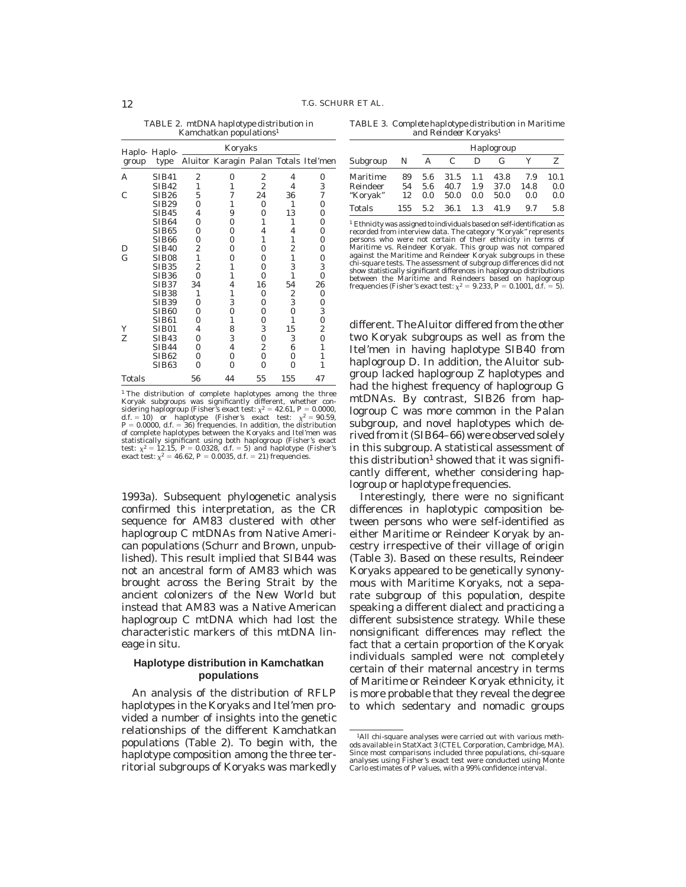*TABLE 2. mtDNA haplotype distribution in Kamchatkan populations*<sup>1</sup>

|               | Haplo-Haplo-      |                |                                       |                |          |                |
|---------------|-------------------|----------------|---------------------------------------|----------------|----------|----------------|
| group         | type              |                | Aluitor Karagin Palan Totals Itel'men |                |          |                |
| A             | <b>SIB41</b>      | 2              | 0                                     | 2              | 4        | 0              |
|               | <b>SIB42</b>      | 1              | 1                                     | $\overline{2}$ | 4        | 3              |
| C             | <b>SIB26</b>      | 5              | 7                                     | 24             | 36       | $\overline{7}$ |
|               | <b>SIB29</b>      | $\bf{0}$       | 1                                     | $\bf{0}$       | 1        | $\bf{0}$       |
|               | SIB <sub>45</sub> | 4              | 9                                     | 0              | 13       | 0              |
|               | SIB64             | $\bf{0}$       | 0                                     | 1              | 1        | $\bf{0}$       |
|               | SIB65             | $\bf{0}$       | 0                                     | 4              | 4        | $\bf{0}$       |
|               | <b>SIB66</b>      | 0              | $\bf{0}$                              | 1              | 1        | $\bf{0}$       |
| D             | <b>SIB40</b>      | 2              | 0                                     | 0              | 2        | 0              |
| G             | <b>SIB08</b>      | 1              | 0                                     | 0              | 1        | $\bf{0}$       |
|               | SIB35             | $\overline{2}$ | 1                                     | 0              | 3        | 3              |
|               | SIB36             | $\bf{0}$       | 1                                     | 0              | 1        | $\bf{0}$       |
|               | SIB37             | 34             | 4                                     | 16             | 54       | 26             |
|               | SIB38             | 1              | 1                                     | 0              | 2        | $\bf{0}$       |
|               | <b>SIB39</b>      | $\bf{0}$       | 3                                     | 0              | 3        | 0              |
|               | SIB60             | $\bf{0}$       | $\bf{0}$                              | 0              | $\bf{0}$ | 3              |
|               | SIB61             | $\bf{0}$       | 1                                     | 0              | 1        | $\bf{0}$       |
| Y             | SIB01             | 4              | 8                                     | 3              | 15       | 2              |
| Z             | SIB43             | $\bf{0}$       | 3                                     | 0              | 3        | $\bf{0}$       |
|               | <b>SIB44</b>      | $\bf{0}$       | 4                                     | 2              | 6        | 1              |
|               | SIB62             | 0              | 0                                     | $\mathbf{0}$   | $\bf{0}$ | 1              |
|               | SIB63             | $\mathbf{0}$   | 0                                     | 0              | $\Omega$ | 1              |
| <b>Totals</b> |                   | 56             | 44                                    | 55             | 155      | 47             |

<sup>1</sup> The distribution of complete haplotypes among the three Koryak subgroups was significantly different, whether considering haplogroup (Fisher<sup>r</sup>s exact test: x<sup>2</sup> = 42.61, *P* = 0.0000,<br>d.f. = 10) or haplotype (Fisher's exact test: x<sup>2</sup> = 90.59,<br>*P* = 0.0000, d.f. = 36) frequencies. In addition, the distribution of complete haplotypes between the Koryaks and Itel'men was<br>statistically significant using both haplogroup (Fisher's exact<br>test:  $\chi^2 = 12.15$ ,  $P = 0.0328$ , d.f. = 5) and haplotype (Fisher's<br>exact test:  $\chi^2 = 46.62$ ,  $P$ 

1993a). Subsequent phylogenetic analysis confirmed this interpretation, as the CR sequence for AM83 clustered with other haplogroup C mtDNAs from Native American populations (Schurr and Brown, unpublished). This result implied that SIB44 was not an ancestral form of AM83 which was brought across the Bering Strait by the ancient colonizers of the New World but instead that AM83 was a Native American haplogroup C mtDNA which had lost the characteristic markers of this mtDNA lineage in situ.

## **Haplotype distribution in Kamchatkan populations**

An analysis of the distribution of RFLP haplotypes in the Koryaks and Itel'men provided a number of insights into the genetic relationships of the different Kamchatkan populations (Table 2). To begin with, the haplotype composition among the three territorial subgroups of Koryaks was markedly

*TABLE 3. Complete haplotype distribution in Maritime and Reindeer Koryaks*<sup>1</sup>

| Subgroup                         | Haplogroup     |                   |                      |                   |                      |                    |                    |  |  |
|----------------------------------|----------------|-------------------|----------------------|-------------------|----------------------|--------------------|--------------------|--|--|
|                                  | N              | А                 | C                    | D                 | G                    | Y                  | 7.                 |  |  |
| Maritime<br>Reindeer<br>"Koryak" | 89<br>54<br>12 | 5.6<br>5.6<br>0.0 | 31.5<br>40.7<br>50.0 | 1.1<br>1.9<br>0.0 | 43.8<br>37.0<br>50.0 | 7.9<br>14.8<br>0.0 | 10.1<br>0.0<br>0.0 |  |  |
| <b>Totals</b>                    | 155            | 5.2               | 36.1                 | 1.3               | 41.9                 | 9.7                | 5.8                |  |  |

<sup>1</sup> Ethnicity was assigned to individuals based on self-identification as recorded from interview data. The category ''Koryak'' represents persons who were not certain of their ethnicity in terms of Maritime vs. Reindeer Koryak. This group was not compared against the Maritime and Reindeer Koryak subgroups in these chi-square tests. The assessment of subgroup differences did not show statistically significant differences in haplogroup distributions between the Maritime and Reindeers based on haplogroup frequencies (Fisher's exact test:  $\chi^2 = 9.233$ ,  $P = 0.1001$ , d.f. = 5).

different. The Aluitor differed from the other two Koryak subgroups as well as from the Itel'men in having haplotype SIB40 from haplogroup D. In addition, the Aluitor subgroup lacked haplogroup Z haplotypes and had the highest frequency of haplogroup G mtDNAs. By contrast, SIB26 from haplogroup C was more common in the Palan subgroup, and novel haplotypes which derived from it (SIB64–66) were observed solely in this subgroup. A statistical assessment of this distribution<sup>1</sup> showed that it was significantly different, whether considering haplogroup or haplotype frequencies.

Interestingly, there were no significant differences in haplotypic composition between persons who were self-identified as either Maritime or Reindeer Koryak by ancestry irrespective of their village of origin (Table 3). Based on these results, Reindeer Koryaks appeared to be genetically synonymous with Maritime Koryaks, not a separate subgroup of this population, despite speaking a different dialect and practicing a different subsistence strategy. While these nonsignificant differences may reflect the fact that a certain proportion of the Koryak individuals sampled were not completely certain of their maternal ancestry in terms of Maritime or Reindeer Koryak ethnicity, it is more probable that they reveal the degree to which sedentary and nomadic groups

<sup>1</sup>All chi-square analyses were carried out with various methods available in StatXact 3 (CTEL Corporation, Cambridge, MA). Since most comparisons included three populations, chi-square analyses using Fisher's exact test were conducted using Monte Carlo estimates of *P* values, with a 99% confidence interval.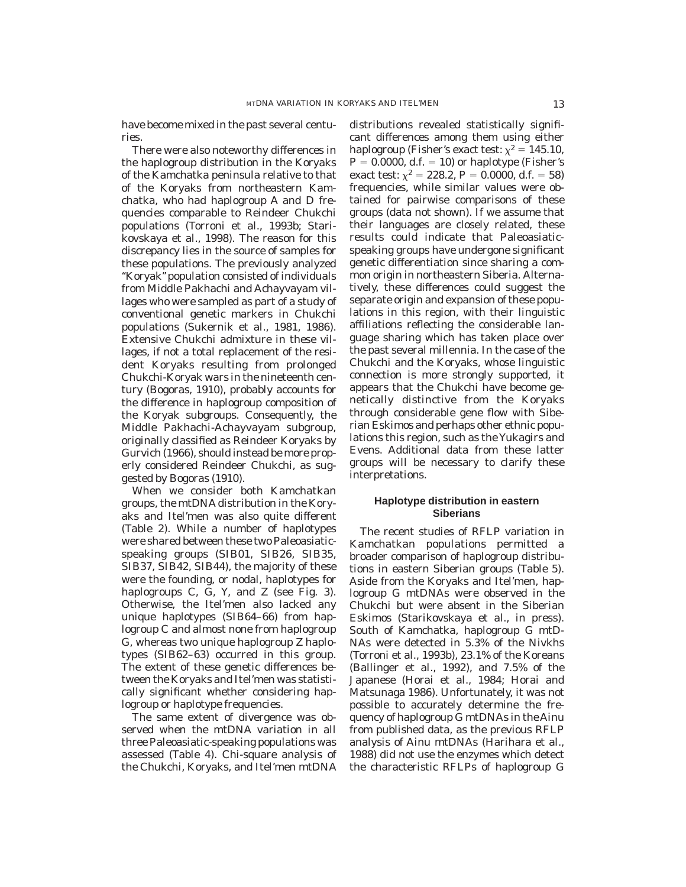have become mixed in the past several centuries.

There were also noteworthy differences in the haplogroup distribution in the Koryaks of the Kamchatka peninsula relative to that of the Koryaks from northeastern Kamchatka, who had haplogroup A and D frequencies comparable to Reindeer Chukchi populations (Torroni et al., 1993b; Starikovskaya et al., 1998). The reason for this discrepancy lies in the source of samples for these populations. The previously analyzed ''Koryak'' population consisted of individuals from Middle Pakhachi and Achayvayam villages who were sampled as part of a study of conventional genetic markers in Chukchi populations (Sukernik et al., 1981, 1986). Extensive Chukchi admixture in these villages, if not a total replacement of the resident Koryaks resulting from prolonged Chukchi-Koryak wars in the nineteenth century (Bogoras, 1910), probably accounts for the difference in haplogroup composition of the Koryak subgroups. Consequently, the Middle Pakhachi-Achayvayam subgroup, originally classified as Reindeer Koryaks by Gurvich (1966), should instead be more properly considered Reindeer Chukchi, as suggested by Bogoras (1910).

When we consider both Kamchatkan groups, the mtDNA distribution in the Koryaks and Itel'men was also quite different (Table 2). While a number of haplotypes were shared between these two Paleoasiaticspeaking groups (SIB01, SIB26, SIB35, SIB37, SIB42, SIB44), the majority of these were the founding, or nodal, haplotypes for haplogroups C, G, Y, and Z (see Fig. 3). Otherwise, the Itel'men also lacked any unique haplotypes (SIB64–66) from haplogroup C and almost none from haplogroup G, whereas two unique haplogroup Z haplotypes (SIB62–63) occurred in this group. The extent of these genetic differences between the Koryaks and Itel'men was statistically significant whether considering haplogroup or haplotype frequencies.

The same extent of divergence was observed when the mtDNA variation in all three Paleoasiatic-speaking populations was assessed (Table 4). Chi-square analysis of the Chukchi, Koryaks, and Itel'men mtDNA

distributions revealed statistically significant differences among them using either haplogroup (Fisher's exact test:  $\chi^2 = 145.10$ ,  $P = 0.0000$ , d.f. = 10) or haplotype (Fisher's exact test:  $\chi^2 = 228.2$ ,  $P = 0.0000$ , d.f. = 58) frequencies, while similar values were obtained for pairwise comparisons of these groups (data not shown). If we assume that their languages are closely related, these results could indicate that Paleoasiaticspeaking groups have undergone significant genetic differentiation since sharing a common origin in northeastern Siberia. Alternatively, these differences could suggest the separate origin and expansion of these populations in this region, with their linguistic affiliations reflecting the considerable language sharing which has taken place over the past several millennia. In the case of the Chukchi and the Koryaks, whose linguistic connection is more strongly supported, it appears that the Chukchi have become genetically distinctive from the Koryaks through considerable gene flow with Siberian Eskimos and perhaps other ethnic populations this region, such as the Yukagirs and Evens. Additional data from these latter groups will be necessary to clarify these interpretations.

## **Haplotype distribution in eastern Siberians**

The recent studies of RFLP variation in Kamchatkan populations permitted a broader comparison of haplogroup distributions in eastern Siberian groups (Table 5). Aside from the Koryaks and Itel'men, haplogroup G mtDNAs were observed in the Chukchi but were absent in the Siberian Eskimos (Starikovskaya et al., in press). South of Kamchatka, haplogroup G mtD-NAs were detected in 5.3% of the Nivkhs (Torroni et al., 1993b), 23.1% of the Koreans (Ballinger et al., 1992), and 7.5% of the Japanese (Horai et al., 1984; Horai and Matsunaga 1986). Unfortunately, it was not possible to accurately determine the frequency of haplogroup G mtDNAs in the Ainu from published data, as the previous RFLP analysis of Ainu mtDNAs (Harihara et al., 1988) did not use the enzymes which detect the characteristic RFLPs of haplogroup G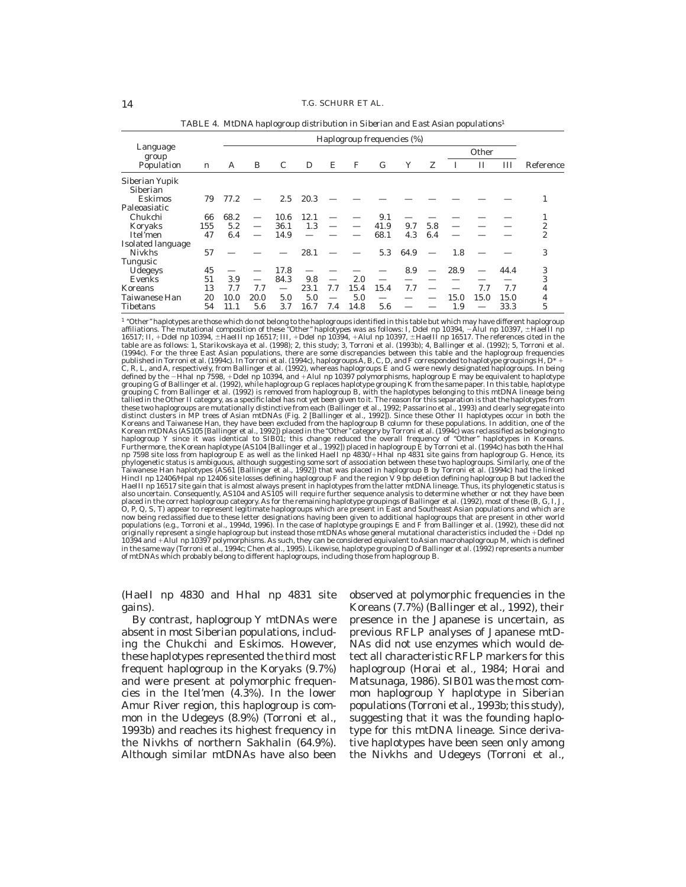|                          |     | Haplogroup frequencies (%) |      |      |      |     |      |      |      |     |      |       |      |                  |
|--------------------------|-----|----------------------------|------|------|------|-----|------|------|------|-----|------|-------|------|------------------|
| Language<br>group        |     |                            |      |      |      |     |      |      |      |     |      | Other |      |                  |
| Population               | n   | A                          | B    | C    | D    | E   | F    | G    | Y    | Z   |      | П     | Ш    | Reference        |
| Siberian Yupik           |     |                            |      |      |      |     |      |      |      |     |      |       |      |                  |
| Siberian                 |     |                            |      |      |      |     |      |      |      |     |      |       |      |                  |
| <b>Eskimos</b>           | 79  | 77.2                       |      | 2.5  | 20.3 |     |      |      |      |     |      |       |      |                  |
| Paleoasiatic             |     |                            |      |      |      |     |      |      |      |     |      |       |      |                  |
| Chukchi                  | 66  | 68.2                       |      | 10.6 | 12.1 |     |      | 9.1  |      |     |      |       |      |                  |
| Koryaks                  | 155 | 5.2                        |      | 36.1 | 1.3  |     |      | 41.9 | 9.7  | 5.8 |      |       |      | $\boldsymbol{2}$ |
| Itel'men                 | 47  | 6.4                        | -    | 14.9 |      |     |      | 68.1 | 4.3  | 6.4 |      |       |      | $\overline{2}$   |
| <b>Isolated language</b> |     |                            |      |      |      |     |      |      |      |     |      |       |      |                  |
| <b>Nivkhs</b>            | 57  |                            |      |      | 28.1 |     |      | 5.3  | 64.9 |     | 1.8  |       |      | 3                |
| Tungusic                 |     |                            |      |      |      |     |      |      |      |     |      |       |      |                  |
| Udegeys                  | 45  |                            |      | 17.8 |      |     |      |      | 8.9  | —   | 28.9 | –     | 44.4 | 3                |
| Evenks                   | 51  | 3.9                        |      | 84.3 | 9.8  |     | 2.0  |      |      |     |      |       |      | 3                |
| Koreans                  | 13  | 7.7                        | 7.7  | -    | 23.1 | 7.7 | 15.4 | 15.4 | 7.7  |     |      | 7.7   | 7.7  | 4                |
| Taiwanese Han            | 20  | 10.0                       | 20.0 | 5.0  | 5.0  |     | 5.0  | —    |      |     | 15.0 | 15.0  | 15.0 | 4                |
| Tibetans                 | 54  | 11.1                       | 5.6  | 3.7  | 16.7 | 7.4 | 14.8 | 5.6  |      |     | 1.9  |       | 33.3 | 5                |

*TABLE 4. MtDNA haplogroup distribution in Siberian and East Asian populations*<sup>1</sup>

<sup>1</sup> "Other" haplotypes are those which do not belong to the haplogroups identified in this table but which may have different haplogroup affiliations. The mutational composition of these "Other" haplotypes was as follows: published in Torroni et al. (1994c). In Torroni et al. (1994c), haplogroups A, B, C, D, and F corresponded to haplotype groupings H, D\* +<br>C, R, L, and A, respectively, from Ballinger et al. (1992), whereas haplogroups E a grouping C from Ballinger et al. (1992) is removed from haplogroup B, with the haplotypes belonging to this mtDNA lineage being<br>tallied in the Other II category, as a specific label has not yet been given to it. The reason these two haplogroups are mutationally distinctive from each (Ballinger et al., 1992; Passarino et al., 1993) and clearly segregate into distinct clusters in MP trees of Asian mtDNAs (Fig. 2 [Ballinger et al., 1992]). Since these Other II haplotypes occur in both the<br>Koreans and Taiwanese Han, they have been excluded from the haplogroup B column for these p Korean mtDNAs (AS105 [Ballinger et al., 1992]) placed in the "Other" category by Torroni et al. (1994c) was reclassified as belonging to<br>haplogroup Y since it was identical to SIB01; this change reduced the overall frequen phylogenetic status is ambiguous, although suggesting some sort of association between these two haplogroups. Similarly, one of the<br>Taiwanese Han haplotypes (AS61 [Ballinger et al., 1992]) that was placed in haplogroup B b HaeIII np 16517 site gain that is almost always present in haplotypes from the latter mtDNA lineage. Thus, its phylogenetic status is<br>also uncertain. Consequently, AS104 and AS105 will require further sequence analysis to placed in the correct haplogroup category. As for the remaining haplotype groupings of Ballinger et al. (1992), most of these (B, G, I, J, O, P, Q, S, T) appear to represent legitimate haplogroups which are present in East and Southeast Asian populations and which are<br>now being reclassified due to these letter designations having been given to additional hapl originally represent a single haplogroup but instead those mtDNAs whose general mutational characteristics included the +DdeI np<br>10394 and +AluI np 10397 polymorphisms. As such, they can be considered equivalent to Asian m of mtDNAs which probably belong to different haplogroups, including those from haplogroup B.

(HaeII np 4830 and HhaI np 4831 site gains).

By contrast, haplogroup Y mtDNAs were absent in most Siberian populations, including the Chukchi and Eskimos. However, these haplotypes represented the third most frequent haplogroup in the Koryaks (9.7%) and were present at polymorphic frequencies in the Itel'men (4.3%). In the lower Amur River region, this haplogroup is common in the Udegeys (8.9%) (Torroni et al., 1993b) and reaches its highest frequency in the Nivkhs of northern Sakhalin (64.9%). Although similar mtDNAs have also been observed at polymorphic frequencies in the Koreans (7.7%) (Ballinger et al., 1992), their presence in the Japanese is uncertain, as previous RFLP analyses of Japanese mtD-NAs did not use enzymes which would detect all characteristic RFLP markers for this haplogroup (Horai et al., 1984; Horai and Matsunaga, 1986). SIB01 was the most common haplogroup Y haplotype in Siberian populations (Torroni et al., 1993b; this study), suggesting that it was the founding haplotype for this mtDNA lineage. Since derivative haplotypes have been seen only among the Nivkhs and Udegeys (Torroni et al.,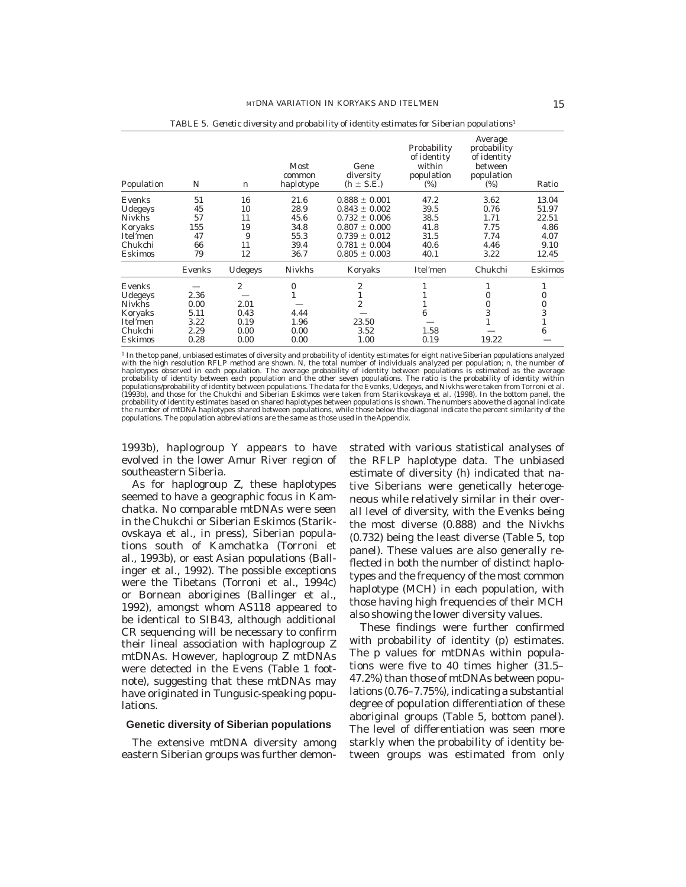| Population     | N      | n            | Most<br>common<br>haplotype | Gene<br>diversity<br>$(h \pm S.E.)$ | Probability<br>of identity<br>within<br>population<br>(%) | Average<br>probability<br>of identity<br>between<br>population<br>(%) | Ratio          |
|----------------|--------|--------------|-----------------------------|-------------------------------------|-----------------------------------------------------------|-----------------------------------------------------------------------|----------------|
| Evenks         | 51     | 16           | 21.6                        | $0.888 \pm 0.001$                   | 47.2                                                      | 3.62                                                                  | 13.04          |
| Udegeys        | 45     | 10           | 28.9                        | $0.843 \pm 0.002$                   | 39.5                                                      | 0.76                                                                  | 51.97          |
| <b>Nivkhs</b>  | 57     | 11           | 45.6                        | $0.732 \pm 0.006$                   | 38.5                                                      | 1.71                                                                  | 22.51          |
| Koryaks        | 155    | 19           | 34.8                        | $0.807 \pm 0.000$                   | 41.8                                                      | 7.75                                                                  | 4.86           |
| Itel'men       | 47     | 9            | 55.3                        | $0.739 \pm 0.012$                   | 31.5                                                      | 7.74                                                                  | 4.07           |
| Chukchi        | 66     | 11           | 39.4                        | $0.781 \pm 0.004$                   | 40.6                                                      | 4.46                                                                  | 9.10           |
| <b>Eskimos</b> | 79     | 12           | 36.7                        | $0.805 \pm 0.003$                   | 40.1                                                      | 3.22                                                                  | 12.45          |
|                | Evenks | Udegeys      | <b>Nivkhs</b>               | Koryaks                             | Itel'men                                                  | Chukchi                                                               | <b>Eskimos</b> |
| Evenks         |        | $\mathbf{2}$ | 0                           | 2                                   |                                                           |                                                                       | ı              |
| Udegeys        | 2.36   |              |                             | 1                                   |                                                           | 0                                                                     | 0              |
| <b>Nivkhs</b>  | 0.00   | 2.01         |                             | $\overline{2}$                      |                                                           | $\bf{0}$                                                              | 0              |
| Koryaks        | 5.11   | 0.43         | 4.44                        |                                     | 6                                                         | 3                                                                     | 3              |
| Itel'men       | 3.22   | 0.19         | 1.96                        | 23.50                               |                                                           |                                                                       | 1              |
| Chukchi        | 2.29   | 0.00         | 0.00                        | 3.52                                | 1.58                                                      |                                                                       | 6              |
| <b>Eskimos</b> | 0.28   | 0.00         | 0.00                        | 1.00                                | 0.19                                                      | 19.22                                                                 |                |

| TABLE 5. Genetic diversity and probability of identity estimates for Siberian populations <sup>1</sup> |  |
|--------------------------------------------------------------------------------------------------------|--|
|--------------------------------------------------------------------------------------------------------|--|

<sup>1</sup> In the top panel, unbiased estimates of diversity and probability of identity estimates for eight native Siberian populations analyzed<br>with the high resolution RFLP method are shown. N, the total number of individuals haplotypes observed in each population. The average probability of identity between populations is estimated as the average<br>probability of identity between each population and the other seven populations. The ratio is the (1993b), and those for the Chukchi and Siberian Eskimos were taken from Starikovskaya et al. (1998). In the bottom panel, the probability of identity estimates based on shared haplotypes between populations is shown. The numbers above the diagonal indicate<br>the number of mtDNA haplotypes shared between populations, while those below the diagonal i populations. The population abbreviations are the same as those used in the Appendix.

1993b), haplogroup Y appears to have evolved in the lower Amur River region of southeastern Siberia.

As for haplogroup Z, these haplotypes seemed to have a geographic focus in Kamchatka. No comparable mtDNAs were seen in the Chukchi or Siberian Eskimos (Starikovskaya et al., in press), Siberian populations south of Kamchatka (Torroni et al., 1993b), or east Asian populations (Ballinger et al., 1992). The possible exceptions were the Tibetans (Torroni et al., 1994c) or Bornean aborigines (Ballinger et al., 1992), amongst whom AS118 appeared to be identical to SIB43, although additional CR sequencing will be necessary to confirm their lineal association with haplogroup Z mtDNAs. However, haplogroup Z mtDNAs were detected in the Evens (Table 1 footnote), suggesting that these mtDNAs may have originated in Tungusic-speaking populations.

#### **Genetic diversity of Siberian populations**

The extensive mtDNA diversity among eastern Siberian groups was further demonstrated with various statistical analyses of the RFLP haplotype data. The unbiased estimate of diversity (*h*) indicated that native Siberians were genetically heterogeneous while relatively similar in their overall level of diversity, with the Evenks being the most diverse (0.888) and the Nivkhs (0.732) being the least diverse (Table 5, top panel). These values are also generally reflected in both the number of distinct haplotypes and the frequency of the most common haplotype (MCH) in each population, with those having high frequencies of their MCH also showing the lower diversity values.

These findings were further confirmed with probability of identity (*p*) estimates. The *p* values for mtDNAs within populations were five to 40 times higher (31.5– 47.2%) than those of mtDNAs between populations (0.76–7.75%), indicating a substantial degree of population differentiation of these aboriginal groups (Table 5, bottom panel). The level of differentiation was seen more starkly when the probability of identity between groups was estimated from only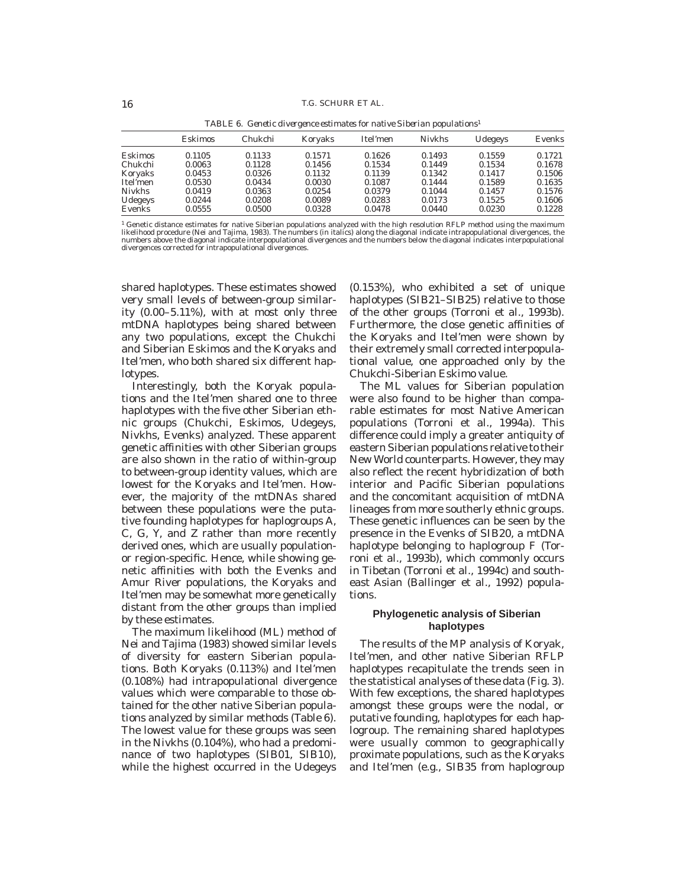|                | <b>Eskimos</b> | Chukchi | Koryaks | Itel'men | <b>Nivkhs</b> | Udegeys | Evenks |
|----------------|----------------|---------|---------|----------|---------------|---------|--------|
| <b>Eskimos</b> | 0.1105         | 0.1133  | 0.1571  | 0.1626   | 0.1493        | 0.1559  | 0.1721 |
| <b>Chukchi</b> | 0.0063         | 0.1128  | 0.1456  | 0.1534   | 0.1449        | 0.1534  | 0.1678 |
| Koryaks        | 0.0453         | 0.0326  | 0.1132  | 0.1139   | 0.1342        | 0.1417  | 0.1506 |
| Itel'men       | 0.0530         | 0.0434  | 0.0030  | 0.1087   | 0.1444        | 0.1589  | 0.1635 |
| <b>Nivkhs</b>  | 0.0419         | 0.0363  | 0.0254  | 0.0379   | 0.1044        | 0.1457  | 0.1576 |
| Udegeys        | 0.0244         | 0.0208  | 0.0089  | 0.0283   | 0.0173        | 0.1525  | 0.1606 |
| Evenks         | 0.0555         | 0.0500  | 0.0328  | 0.0478   | 0.0440        | 0.0230  | 0.1228 |

*TABLE 6. Genetic divergence estimates for native Siberian populations*<sup>1</sup>

 $1$  Genetic distance estimates for native Siberian populations analyzed with the high resolution RFLP method using the maximum likelihood procedure (Nei and Tajima, 1983). The numbers (in italics) along the diagonal indicate intrapopulational divergences, the<br>numbers above the diagonal indicate interpopulational divergences and the numbers below t divergences corrected for intrapopulational divergences.

shared haplotypes. These estimates showed very small levels of between-group similarity (0.00–5.11%), with at most only three mtDNA haplotypes being shared between any two populations, except the Chukchi and Siberian Eskimos and the Koryaks and Itel'men, who both shared six different haplotypes.

Interestingly, both the Koryak populations and the Itel'men shared one to three haplotypes with the five other Siberian ethnic groups (Chukchi, Eskimos, Udegeys, Nivkhs, Evenks) analyzed. These apparent genetic affinities with other Siberian groups are also shown in the ratio of within-group to between-group identity values, which are lowest for the Koryaks and Itel'men. However, the majority of the mtDNAs shared between these populations were the putative founding haplotypes for haplogroups A, C, G, Y, and Z rather than more recently derived ones, which are usually populationor region-specific. Hence, while showing genetic affinities with both the Evenks and Amur River populations, the Koryaks and Itel'men may be somewhat more genetically distant from the other groups than implied by these estimates.

The maximum likelihood (ML) method of Nei and Tajima (1983) showed similar levels of diversity for eastern Siberian populations. Both Koryaks (0.113%) and Itel'men (0.108%) had intrapopulational divergence values which were comparable to those obtained for the other native Siberian populations analyzed by similar methods (Table 6). The lowest value for these groups was seen in the Nivkhs (0.104%), who had a predominance of two haplotypes (SIB01, SIB10), while the highest occurred in the Udegeys

(0.153%), who exhibited a set of unique haplotypes (SIB21–SIB25) relative to those of the other groups (Torroni et al., 1993b). Furthermore, the close genetic affinities of the Koryaks and Itel'men were shown by their extremely small corrected interpopulational value, one approached only by the Chukchi-Siberian Eskimo value.

The ML values for Siberian population were also found to be higher than comparable estimates for most Native American populations (Torroni et al., 1994a). This difference could imply a greater antiquity of eastern Siberian populations relative to their New World counterparts. However, they may also reflect the recent hybridization of both interior and Pacific Siberian populations and the concomitant acquisition of mtDNA lineages from more southerly ethnic groups. These genetic influences can be seen by the presence in the Evenks of SIB20, a mtDNA haplotype belonging to haplogroup F (Torroni et al., 1993b), which commonly occurs in Tibetan (Torroni et al., 1994c) and southeast Asian (Ballinger et al., 1992) populations.

## **Phylogenetic analysis of Siberian haplotypes**

The results of the MP analysis of Koryak, Itel'men, and other native Siberian RFLP haplotypes recapitulate the trends seen in the statistical analyses of these data (Fig. 3). With few exceptions, the shared haplotypes amongst these groups were the nodal, or putative founding, haplotypes for each haplogroup. The remaining shared haplotypes were usually common to geographically proximate populations, such as the Koryaks and Itel'men (e.g., SIB35 from haplogroup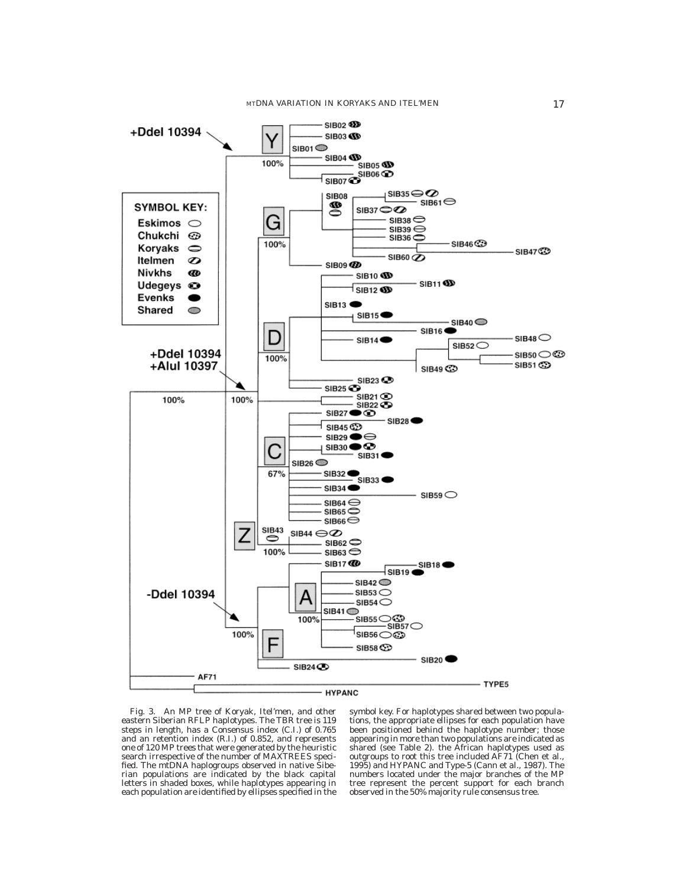

Fig. 3. An MP tree of Koryak, Itel'men, and other eastern Siberian RFLP haplotypes. The TBR tree is 119 steps in length, has a Consensus index (C.I.) of 0.765 and an retention index (R.I.) of 0.852, and represents one of 120 MP trees that were generated by the heuristic search irrespective of the number of MAXTREES specified. The mtDNA haplogroups observed in native Siberian populations are indicated by the black capital letters in shaded boxes, while haplotypes appearing in each population are identified by ellipses specified in the

symbol key. For haplotypes shared between two popula-tions, the appropriate ellipses for each population have been positioned behind the haplotype number; those appearing in more than two populations are indicated as shared (see Table 2). the African haplotypes used as outgroups to root this tree included AF71 (Chen et al., 1995) and HYPANC and Type-5 (Cann et al., 1987). The numbers located under the major branches of the MP tree represent the percent support for each branch observed in the 50% majority rule consensus tree.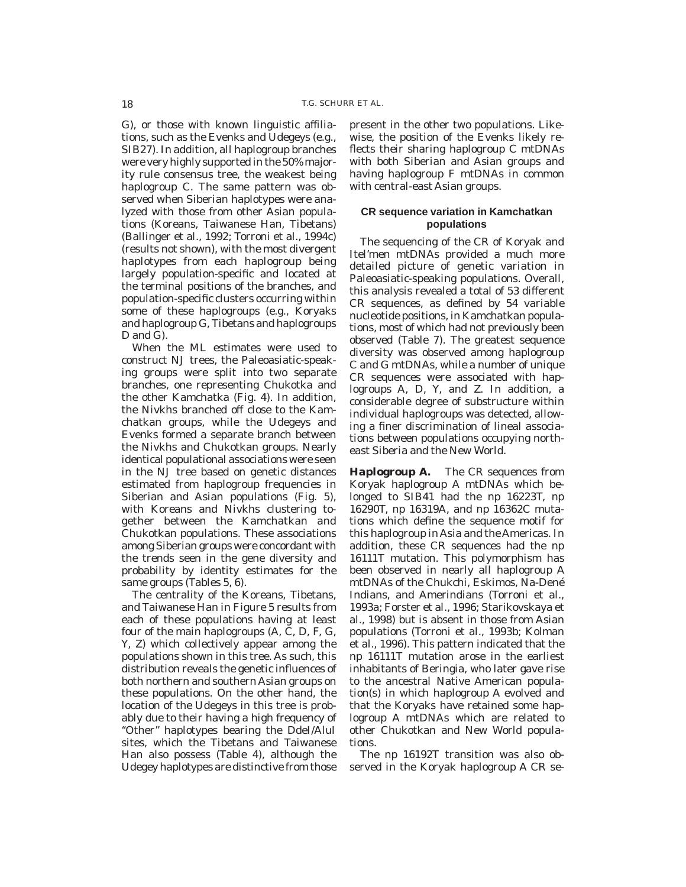G), or those with known linguistic affiliations, such as the Evenks and Udegeys (e.g., SIB27). In addition, all haplogroup branches were very highly supported in the 50% majority rule consensus tree, the weakest being haplogroup C. The same pattern was observed when Siberian haplotypes were analyzed with those from other Asian populations (Koreans, Taiwanese Han, Tibetans) (Ballinger et al., 1992; Torroni et al., 1994c) (results not shown), with the most divergent haplotypes from each haplogroup being largely population-specific and located at the terminal positions of the branches, and population-specific clusters occurring within some of these haplogroups (e.g., Koryaks and haplogroup G, Tibetans and haplogroups D and G).

When the ML estimates were used to construct NJ trees, the Paleoasiatic-speaking groups were split into two separate branches, one representing Chukotka and the other Kamchatka (Fig. 4). In addition, the Nivkhs branched off close to the Kamchatkan groups, while the Udegeys and Evenks formed a separate branch between the Nivkhs and Chukotkan groups. Nearly identical populational associations were seen in the NJ tree based on genetic distances estimated from haplogroup frequencies in Siberian and Asian populations (Fig. 5), with Koreans and Nivkhs clustering together between the Kamchatkan and Chukotkan populations. These associations among Siberian groups were concordant with the trends seen in the gene diversity and probability by identity estimates for the same groups (Tables 5, 6).

The centrality of the Koreans, Tibetans, and Taiwanese Han in Figure 5 results from each of these populations having at least four of the main haplogroups (A, C, D, F, G, Y, Z) which collectively appear among the populations shown in this tree. As such, this distribution reveals the genetic influences of both northern and southern Asian groups on these populations. On the other hand, the location of the Udegeys in this tree is probably due to their having a high frequency of ''Other'' haplotypes bearing the DdeI/AluI sites, which the Tibetans and Taiwanese Han also possess (Table 4), although the Udegey haplotypes are distinctive from those present in the other two populations. Likewise, the position of the Evenks likely reflects their sharing haplogroup C mtDNAs with both Siberian and Asian groups and having haplogroup F mtDNAs in common with central-east Asian groups.

## **CR sequence variation in Kamchatkan populations**

The sequencing of the CR of Koryak and Itel'men mtDNAs provided a much more detailed picture of genetic variation in Paleoasiatic-speaking populations. Overall, this analysis revealed a total of 53 different CR sequences, as defined by 54 variable nucleotide positions, in Kamchatkan populations, most of which had not previously been observed (Table 7). The greatest sequence diversity was observed among haplogroup C and G mtDNAs, while a number of unique CR sequences were associated with haplogroups A, D, Y, and Z. In addition, a considerable degree of substructure within individual haplogroups was detected, allowing a finer discrimination of lineal associations between populations occupying northeast Siberia and the New World.

*Haplogroup A.* The CR sequences from Koryak haplogroup A mtDNAs which belonged to SIB41 had the np 16223T, np 16290T, np 16319A, and np 16362C mutations which define the sequence motif for this haplogroup in Asia and the Americas. In addition, these CR sequences had the np 16111T mutation. This polymorphism has been observed in nearly all haplogroup A mtDNAs of the Chukchi, Eskimos, Na-Dené Indians, and Amerindians (Torroni et al., 1993a; Forster et al., 1996; Starikovskaya et al., 1998) but is absent in those from Asian populations (Torroni et al., 1993b; Kolman et al., 1996). This pattern indicated that the np 16111T mutation arose in the earliest inhabitants of Beringia, who later gave rise to the ancestral Native American population(s) in which haplogroup A evolved and that the Koryaks have retained some haplogroup A mtDNAs which are related to other Chukotkan and New World populations.

The np 16192T transition was also observed in the Koryak haplogroup A CR se-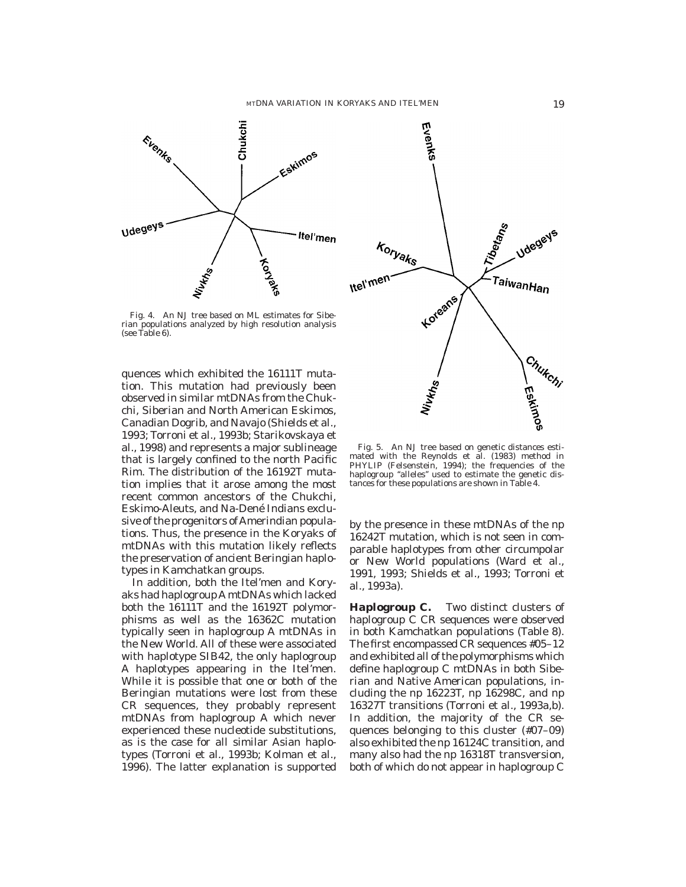

Fig. 4. An NJ tree based on ML estimates for Siberian populations analyzed by high resolution analysis (see Table 6).

quences which exhibited the 16111T mutation. This mutation had previously been observed in similar mtDNAs from the Chukchi, Siberian and North American Eskimos, Canadian Dogrib, and Navajo (Shields et al., 1993; Torroni et al., 1993b; Starikovskaya et al., 1998) and represents a major sublineage that is largely confined to the north Pacific Rim. The distribution of the 16192T mutation implies that it arose among the most recent common ancestors of the Chukchi, Eskimo-Aleuts, and Na-Dené Indians exclusive of the progenitors of Amerindian populations. Thus, the presence in the Koryaks of mtDNAs with this mutation likely reflects the preservation of ancient Beringian haplotypes in Kamchatkan groups.

In addition, both the Itel'men and Koryaks had haplogroup A mtDNAs which lacked both the 16111T and the 16192T polymorphisms as well as the 16362C mutation typically seen in haplogroup A mtDNAs in the New World. All of these were associated with haplotype SIB42, the only haplogroup A haplotypes appearing in the Itel'men. While it is possible that one or both of the Beringian mutations were lost from these CR sequences, they probably represent mtDNAs from haplogroup A which never experienced these nucleotide substitutions, as is the case for all similar Asian haplotypes (Torroni et al., 1993b; Kolman et al., 1996). The latter explanation is supported



Fig. 5. An NJ tree based on genetic distances estimated with the Reynolds et al. (1983) method in PHYLIP (Felsenstein, 1994); the frequencies of the haplogroup "alleles" used to estimate the genetic distances for these populations are shown in Table 4.

by the presence in these mtDNAs of the np 16242T mutation, which is not seen in comparable haplotypes from other circumpolar or New World populations (Ward et al., 1991, 1993; Shields et al., 1993; Torroni et al., 1993a).

*Haplogroup C.* Two distinct clusters of haplogroup C CR sequences were observed in both Kamchatkan populations (Table 8). The first encompassed CR sequences #05–12 and exhibited all of the polymorphisms which define haplogroup C mtDNAs in both Siberian and Native American populations, including the np 16223T, np 16298C, and np 16327T transitions (Torroni et al., 1993a,b). In addition, the majority of the CR sequences belonging to this cluster (#07–09) also exhibited the np 16124C transition, and many also had the np 16318T transversion, both of which do not appear in haplogroup C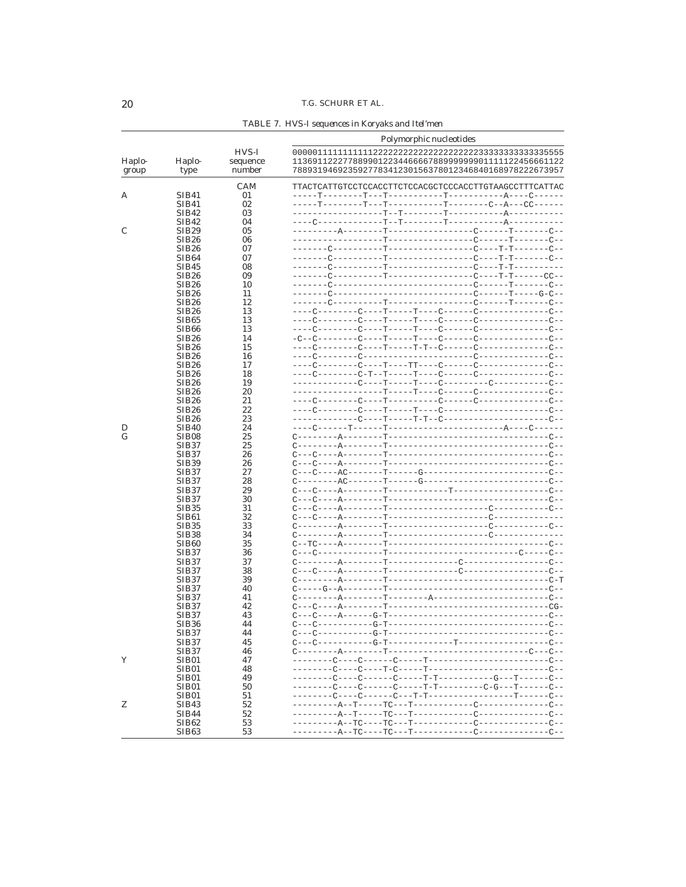## T.G. SCHURR ET AL.

|                 |                                        |                             | Polymorphic nucleotides                                                                                          |  |  |  |  |  |  |
|-----------------|----------------------------------------|-----------------------------|------------------------------------------------------------------------------------------------------------------|--|--|--|--|--|--|
| Haplo-<br>group | Haplo-<br>type                         | HVS-I<br>sequence<br>number | 113691122277889901223446666788999999901111122456661122<br>788931946923592778341230156378012346840168978222673957 |  |  |  |  |  |  |
|                 |                                        |                             |                                                                                                                  |  |  |  |  |  |  |
| A               | <b>SIB41</b>                           | <b>CAM</b><br>01            | TTACTCATTGTCCTCCACCTTCTCCACGCTCCCACCTTGTAAGCCTTTCATTAC                                                           |  |  |  |  |  |  |
|                 | SIB <sub>41</sub>                      | 02                          | -----T--------T---T----------T-------C--A---CC------                                                             |  |  |  |  |  |  |
|                 | SIB <sub>42</sub>                      | 03                          |                                                                                                                  |  |  |  |  |  |  |
|                 | SIB <sub>42</sub>                      | 04                          |                                                                                                                  |  |  |  |  |  |  |
| C               | <b>SIB29</b>                           | 05                          |                                                                                                                  |  |  |  |  |  |  |
|                 | <b>SIB26</b>                           | 06                          |                                                                                                                  |  |  |  |  |  |  |
|                 | <b>SIB26</b><br>SIB <sub>64</sub>      | 07<br>07                    |                                                                                                                  |  |  |  |  |  |  |
|                 | SIB <sub>45</sub>                      | 08                          |                                                                                                                  |  |  |  |  |  |  |
|                 | <b>SIB26</b>                           | 09                          |                                                                                                                  |  |  |  |  |  |  |
|                 | <b>SIB26</b>                           | 10                          |                                                                                                                  |  |  |  |  |  |  |
|                 | <b>SIB26</b>                           | 11                          |                                                                                                                  |  |  |  |  |  |  |
|                 | <b>SIB26</b>                           | 12                          |                                                                                                                  |  |  |  |  |  |  |
|                 | <b>SIB26</b>                           | 13                          |                                                                                                                  |  |  |  |  |  |  |
|                 | SIB <sub>65</sub><br>SIB <sub>66</sub> | 13<br>13                    |                                                                                                                  |  |  |  |  |  |  |
|                 | <b>SIB26</b>                           | 14                          |                                                                                                                  |  |  |  |  |  |  |
|                 | <b>SIB26</b>                           | 15                          |                                                                                                                  |  |  |  |  |  |  |
|                 | <b>SIB26</b>                           | 16                          |                                                                                                                  |  |  |  |  |  |  |
|                 | <b>SIB26</b>                           | 17                          |                                                                                                                  |  |  |  |  |  |  |
|                 | <b>SIB26</b>                           | 18                          |                                                                                                                  |  |  |  |  |  |  |
|                 | <b>SIB26</b>                           | 19                          |                                                                                                                  |  |  |  |  |  |  |
|                 | <b>SIB26</b>                           | 20                          |                                                                                                                  |  |  |  |  |  |  |
|                 | <b>SIB26</b>                           | 21                          |                                                                                                                  |  |  |  |  |  |  |
|                 | <b>SIB26</b><br><b>SIB26</b>           | 22<br>23                    |                                                                                                                  |  |  |  |  |  |  |
| D               | <b>SIB40</b>                           | 24                          |                                                                                                                  |  |  |  |  |  |  |
| G               | SIB <sub>08</sub>                      | 25                          |                                                                                                                  |  |  |  |  |  |  |
|                 | SIB <sub>37</sub>                      | 25                          |                                                                                                                  |  |  |  |  |  |  |
|                 | SIB <sub>37</sub>                      | 26                          |                                                                                                                  |  |  |  |  |  |  |
|                 | <b>SIB39</b>                           | 26                          |                                                                                                                  |  |  |  |  |  |  |
|                 | SIB <sub>37</sub>                      | 27                          |                                                                                                                  |  |  |  |  |  |  |
|                 | SIB <sub>37</sub>                      | 28                          |                                                                                                                  |  |  |  |  |  |  |
|                 | SIB <sub>37</sub><br>SIB <sub>37</sub> | 29<br>30                    |                                                                                                                  |  |  |  |  |  |  |
|                 | SIB <sub>35</sub>                      | 31                          |                                                                                                                  |  |  |  |  |  |  |
|                 | SIB <sub>61</sub>                      | 32                          |                                                                                                                  |  |  |  |  |  |  |
|                 | SIB <sub>35</sub>                      | 33                          |                                                                                                                  |  |  |  |  |  |  |
|                 | SIB <sub>38</sub>                      | 34                          |                                                                                                                  |  |  |  |  |  |  |
|                 | SIB <sub>60</sub>                      | 35                          |                                                                                                                  |  |  |  |  |  |  |
|                 | SIB <sub>37</sub>                      | 36                          |                                                                                                                  |  |  |  |  |  |  |
|                 | SIB <sub>37</sub>                      | 37                          |                                                                                                                  |  |  |  |  |  |  |
|                 | SIB <sub>37</sub>                      | 38                          |                                                                                                                  |  |  |  |  |  |  |
|                 | SIB <sub>37</sub><br>SIB <sub>37</sub> | 39<br>40                    |                                                                                                                  |  |  |  |  |  |  |
|                 | SIB <sub>37</sub>                      | 41                          |                                                                                                                  |  |  |  |  |  |  |
|                 | SIB <sub>37</sub>                      | 42                          |                                                                                                                  |  |  |  |  |  |  |
|                 | SIB <sub>37</sub>                      | 43                          |                                                                                                                  |  |  |  |  |  |  |
|                 | SIB <sub>36</sub>                      | 44                          |                                                                                                                  |  |  |  |  |  |  |
|                 | SIB <sub>37</sub>                      | 44                          |                                                                                                                  |  |  |  |  |  |  |
|                 | SIB <sub>37</sub>                      | 45                          |                                                                                                                  |  |  |  |  |  |  |
|                 | SIB <sub>37</sub>                      | 46                          |                                                                                                                  |  |  |  |  |  |  |
| Y               | SIB <sub>01</sub><br>SIB <sub>01</sub> | 47<br>48                    |                                                                                                                  |  |  |  |  |  |  |
|                 | SIB <sub>01</sub>                      | 49                          |                                                                                                                  |  |  |  |  |  |  |
|                 | SIB <sub>01</sub>                      | 50                          |                                                                                                                  |  |  |  |  |  |  |
|                 | SIB <sub>01</sub>                      | 51                          |                                                                                                                  |  |  |  |  |  |  |
| z               | SIB <sub>43</sub>                      | 52                          |                                                                                                                  |  |  |  |  |  |  |
|                 | SIB <sub>44</sub>                      | 52                          |                                                                                                                  |  |  |  |  |  |  |
|                 | SIB <sub>62</sub>                      | 53                          |                                                                                                                  |  |  |  |  |  |  |
|                 | SIB <sub>63</sub>                      | 53                          |                                                                                                                  |  |  |  |  |  |  |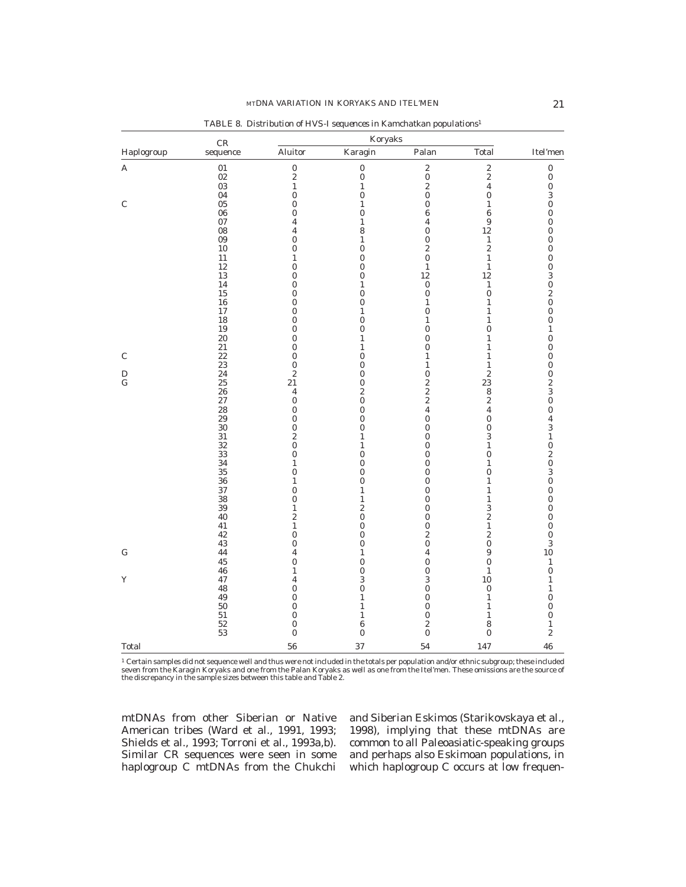|              | $\mathrm{CR}$                 |                               | Koryaks              |                              |                                        |                  |  |  |
|--------------|-------------------------------|-------------------------------|----------------------|------------------------------|----------------------------------------|------------------|--|--|
| Haplogroup   | sequence                      | Aluitor                       | Karagin              | Palan                        | <b>Total</b>                           | $\rm{Itel'men}$  |  |  |
| $\mathbf A$  | $01\,$                        | $\boldsymbol{0}$              | $\pmb{0}$            | $\boldsymbol{2}$             | $\boldsymbol{2}$                       | $\pmb{0}$        |  |  |
|              | 02                            | $\boldsymbol{2}$              | $\pmb{0}$            | $\pmb{0}$                    | $\boldsymbol{2}$                       | $\pmb{0}$        |  |  |
|              | $03\,$                        | $\mathbf{1}$                  | $\mathbf{1}$         | $\boldsymbol{2}$             | $\overline{\mathbf{4}}$                | $\pmb{0}$        |  |  |
|              | 04                            | $\bf{0}$                      | $\bf{0}$             | $\bf{0}$                     | $\bf{0}$                               | 3                |  |  |
| C            | 05                            | $\bf{0}$                      | $\mathbf{1}$         | 0                            | $\mathbf{1}$                           | $\pmb{0}$        |  |  |
|              | 06                            | $\pmb{0}$                     | $\bf{0}$             | $\bf 6$                      | $\bf 6$                                | $\pmb{0}$        |  |  |
|              | 07                            | 4                             | $\mathbf{1}$         | 4                            | $\boldsymbol{9}$                       | 0                |  |  |
|              | ${\bf 08}$                    | $\overline{\mathbf{4}}$       | 8                    | $\bf{0}$                     | $12\,$                                 | $\bf{0}$         |  |  |
|              | 09                            | $\bf{0}$                      | $\mathbf{1}$         | $\bf{0}$                     | $\mathbf{1}$                           | $\pmb{0}$        |  |  |
|              | $10\,$                        | $\bf{0}$                      | $\bf{0}$             | $\boldsymbol{2}$             | $\sqrt{2}$                             | $\pmb{0}$        |  |  |
|              | 11                            | $\mathbf{1}$                  | $\bf{0}$             | $\bf{0}$                     | $1\,$                                  | $\pmb{0}$        |  |  |
|              | $12\,$                        | $\pmb{0}$                     | $\boldsymbol{0}$     | $\mathbf 1$                  | $\mathbf 1$                            | $\pmb{0}$        |  |  |
|              | 13                            | $\bf{0}$                      | $\bf{0}$             | 12                           | 12                                     | 3                |  |  |
|              | 14                            | $\bf{0}$                      | $\mathbf{1}$         | $\pmb{0}$                    | $\mathbf{1}$                           | $\bar{0}$        |  |  |
|              | 15                            | $\pmb{0}$                     | $\bf{0}$             | $\bf{0}$                     | $\bf{0}$                               | $\boldsymbol{2}$ |  |  |
|              | 16                            | $\bf{0}$                      | $\bf{0}$             | $\mathbf{1}$                 | $\mathbf{1}$                           | $\boldsymbol{0}$ |  |  |
|              | 17                            | $\boldsymbol{0}$              | $\mathbf{1}$         | $\pmb{0}$                    | $\mathbf{1}$                           | $\pmb{0}$        |  |  |
|              | 18                            | $\bf{0}$                      | $\bf{0}$             | $\mathbf{1}$                 | $\mathbf{1}$                           | $\pmb{0}$        |  |  |
|              | 19                            | $\pmb{0}$                     | $\bf{0}$             | $\pmb{0}$                    | $\bf{0}$                               | $\mathbf{1}$     |  |  |
|              | 20                            | $\bf{0}$                      | $\mathbf{1}$         | $\bf{0}$                     | $\mathbf{1}$                           | $\bf{0}$         |  |  |
|              | $2\sqrt{1}$                   | $\boldsymbol{0}$              | $\mathbf{1}$         | $\pmb{0}$                    | $\mathbf 1$                            | $\pmb{0}$        |  |  |
| $\mathbf C$  | $22\,$                        | $\bf{0}$                      | $\bf{0}$             | $\mathbf{1}$                 | $\,1\,$                                | $\pmb{0}$        |  |  |
|              | $23\,$                        | $\pmb{0}$                     | $\pmb{0}$            | $\mathbf{1}$                 | $\mathbf 1$                            | $\pmb{0}$        |  |  |
| D            | 24                            | $\boldsymbol{2}$              | $\bf{0}$             | $\bf{0}$                     | $\boldsymbol{2}$                       | $\pmb{0}$        |  |  |
| $\mathsf{G}$ | 25                            | 21                            | $\bf{0}$             | $\frac{2}{2}$                | $\begin{array}{c} 23 \\ 8 \end{array}$ | $\frac{2}{3}$    |  |  |
|              | 26<br>27                      | $\overline{\mathbf{4}}$       | $\boldsymbol{2}$     |                              |                                        |                  |  |  |
|              |                               | $\pmb{0}$                     | $\bf{0}$             | $\boldsymbol{2}$             | $\boldsymbol{2}$                       | $\pmb{0}$        |  |  |
|              | $\bf 28$<br>$\boldsymbol{29}$ | $\boldsymbol{0}$<br>$\pmb{0}$ | $\bf{0}$<br>$\bf{0}$ | $\boldsymbol{4}$<br>$\bf{0}$ | $\overline{\mathbf{4}}$<br>$\pmb{0}$   | $\boldsymbol{0}$ |  |  |
|              | 30                            | $\ddot{\mathbf{0}}$           | $\bf{0}$             | $\pmb{0}$                    | $\pmb{0}$                              | $\frac{4}{3}$    |  |  |
|              | 31                            | $\boldsymbol{2}$              | $\mathbf{1}$         | $\bf{0}$                     | $\,3$                                  | $\mathbf{1}$     |  |  |
|              | 32                            | $\pmb{0}$                     | $\mathbf{1}$         | $\pmb{0}$                    | $\,1\,$                                | $\boldsymbol{0}$ |  |  |
|              | 33                            | $\bf{0}$                      | $\bf{0}$             | $\bf{0}$                     | $\pmb{0}$                              | $\boldsymbol{2}$ |  |  |
|              | 34                            | $\mathbf{1}$                  | $\bf{0}$             | $\bf{0}$                     | $\mathbf{1}$                           | $\pmb{0}$        |  |  |
|              | 35                            | $\boldsymbol{0}$              | $\bf{0}$             | $\bf{0}$                     | $\pmb{0}$                              | $\bf 3$          |  |  |
|              | 36                            | $\mathbf{1}$                  | $\bf{0}$             | $\bf{0}$                     | $\mathbf{1}$                           | $\boldsymbol{0}$ |  |  |
|              | 37                            | $\bf{0}$                      | $\mathbf{1}$         | $\bf{0}$                     | $\mathbf{1}$                           | $\bf{0}$         |  |  |
|              | 38                            | $\bf{0}$                      | $\mathbf{1}$         | $\bf{0}$                     | $\,1\,$                                | $\pmb{0}$        |  |  |
|              | 39                            | $\mathbf{1}$                  | $\boldsymbol{2}$     | $\pmb{0}$                    | $\overline{3}$                         | $\pmb{0}$        |  |  |
|              | 40                            | $\boldsymbol{2}$              | $\bf{0}$             | $\bf{0}$                     | $\boldsymbol{2}$                       | $\pmb{0}$        |  |  |
|              | 41                            | $\mathbf{1}$                  | $\bf{0}$             | $\bf{0}$                     | $\,1\,$                                | $\pmb{0}$        |  |  |
|              | 42                            | $\bf{0}$                      | $\bf{0}$             | $\boldsymbol{2}$             | $\boldsymbol{2}$                       | $\bf{0}$         |  |  |
|              | 43                            | $\boldsymbol{0}$              | $\bf{0}$             | $\pmb{0}$                    | $\pmb{0}$                              | $\bf 3$          |  |  |
| G            | 44                            | $\overline{\mathbf{4}}$       | $\mathbf{1}$         | $\overline{\mathbf{4}}$      | $\boldsymbol{9}$                       | $10\,$           |  |  |
|              | 45                            | $\bf{0}$                      | $\bf{0}$             | $\bf{0}$                     | $\pmb{0}$                              | $\mathbf{1}$     |  |  |
|              | 46                            | $\mathbf{1}$                  | $\bf{0}$             | $\bf{0}$                     | $\mathbf{1}$                           | $\pmb{0}$        |  |  |
| Y            | 47                            | $\overline{4}$                | 3                    | 3                            | $10\,$                                 | $\mathbf{1}$     |  |  |
|              | 48                            | $\boldsymbol{0}$              | $\bf{0}$             | $\pmb{0}$                    | $\bf{0}$                               | $\mathbf{1}$     |  |  |
|              | 49                            | $\bf{0}$                      | $\mathbf{1}$         | $\bf{0}$                     | $\mathbf{1}$                           | $\pmb{0}$        |  |  |
|              | 50                            | $\boldsymbol{0}$              | $\mathbf 1$          | $\boldsymbol{0}$             | $\mathbf 1$                            | $\pmb{0}$        |  |  |
|              | $5\sqrt{1}$                   | $\bf{0}$                      | $\mathbf{1}$         | $\bf{0}$                     | $\mathbf{1}$                           | $\bf{0}$         |  |  |
|              | 52                            | $\bf{0}$                      | $\boldsymbol{6}$     | $\boldsymbol{2}$             | $\bf 8$                                | $\mathbf{1}$     |  |  |
|              | 53                            | $\pmb{0}$                     | $\pmb{0}$            | $\pmb{0}$                    | $\pmb{0}$                              | $\boldsymbol{2}$ |  |  |
| Total        |                               | 56                            | 37                   | 54                           | 147                                    | 46               |  |  |

*TABLE 8. Distribution of HVS-I sequences in Kamchatkan populations*<sup>1</sup>

<sup>1</sup> Certain samples did not sequence well and thus were not included in the totals per population and/or ethnic subgroup; these included seven from the Karagin Koryaks and one from the Palan Koryaks as well as one from the Itel'men. These omissions are the source of the discrepancy in the sample sizes between this table and Table 2.

mtDNAs from other Siberian or Native American tribes (Ward et al., 1991, 1993; Shields et al., 1993; Torroni et al., 1993a,b). Similar CR sequences were seen in some haplogroup C mtDNAs from the Chukchi

and Siberian Eskimos (Starikovskaya et al., 1998), implying that these mtDNAs are common to all Paleoasiatic-speaking groups and perhaps also Eskimoan populations, in which haplogroup C occurs at low frequen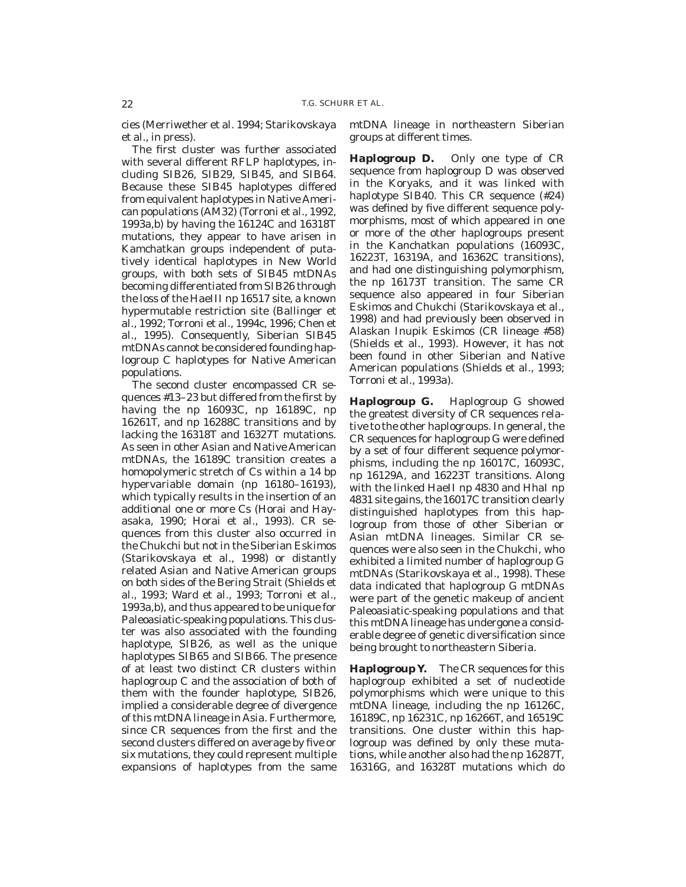cies (Merriwether et al. 1994; Starikovskaya et al., in press).

The first cluster was further associated with several different RFLP haplotypes, including SIB26, SIB29, SIB45, and SIB64. Because these SIB45 haplotypes differed from equivalent haplotypes in Native American populations (AM32) (Torroni et al., 1992, 1993a,b) by having the 16124C and 16318T mutations, they appear to have arisen in Kamchatkan groups independent of putatively identical haplotypes in New World groups, with both sets of SIB45 mtDNAs becoming differentiated from SIB26 through the loss of the HaeIII np 16517 site, a known hypermutable restriction site (Ballinger et al., 1992; Torroni et al., 1994c, 1996; Chen et al., 1995). Consequently, Siberian SIB45 mtDNAs cannot be considered founding haplogroup C haplotypes for Native American populations.

The second cluster encompassed CR sequences #13–23 but differed from the first by having the np 16093C, np 16189C, np 16261T, and np 16288C transitions and by lacking the 16318T and 16327T mutations. As seen in other Asian and Native American mtDNAs, the 16189C transition creates a homopolymeric stretch of Cs within a 14 bp hypervariable domain (np 16180–16193), which typically results in the insertion of an additional one or more Cs (Horai and Hayasaka, 1990; Horai et al., 1993). CR sequences from this cluster also occurred in the Chukchi but not in the Siberian Eskimos (Starikovskaya et al., 1998) or distantly related Asian and Native American groups on both sides of the Bering Strait (Shields et al., 1993; Ward et al., 1993; Torroni et al., 1993a,b), and thus appeared to be unique for Paleoasiatic-speaking populations. This cluster was also associated with the founding haplotype, SIB26, as well as the unique haplotypes SIB65 and SIB66. The presence of at least two distinct CR clusters within haplogroup C and the association of both of them with the founder haplotype, SIB26, implied a considerable degree of divergence of this mtDNA lineage in Asia. Furthermore, since CR sequences from the first and the second clusters differed on average by five or six mutations, they could represent multiple expansions of haplotypes from the same

mtDNA lineage in northeastern Siberian groups at different times.

*Haplogroup D.* Only one type of CR sequence from haplogroup D was observed in the Koryaks, and it was linked with haplotype SIB40. This CR sequence (#24) was defined by five different sequence polymorphisms, most of which appeared in one or more of the other haplogroups present in the Kanchatkan populations (16093C, 16223T, 16319A, and 16362C transitions), and had one distinguishing polymorphism, the np 16173T transition. The same CR sequence also appeared in four Siberian Eskimos and Chukchi (Starikovskaya et al., 1998) and had previously been observed in Alaskan Inupik Eskimos (CR lineage #58) (Shields et al., 1993). However, it has not been found in other Siberian and Native American populations (Shields et al., 1993; Torroni et al., 1993a).

*Haplogroup G.* Haplogroup G showed the greatest diversity of CR sequences relative to the other haplogroups. In general, the CR sequences for haplogroup G were defined by a set of four different sequence polymorphisms, including the np 16017C, 16093C, np 16129A, and 16223T transitions. Along with the linked HaeII np 4830 and HhaI np 4831 site gains, the 16017C transition clearly distinguished haplotypes from this haplogroup from those of other Siberian or Asian mtDNA lineages. Similar CR sequences were also seen in the Chukchi, who exhibited a limited number of haplogroup G mtDNAs (Starikovskaya et al., 1998). These data indicated that haplogroup G mtDNAs were part of the genetic makeup of ancient Paleoasiatic-speaking populations and that this mtDNA lineage has undergone a considerable degree of genetic diversification since being brought to northeastern Siberia.

*Haplogroup Y.* The CR sequences for this haplogroup exhibited a set of nucleotide polymorphisms which were unique to this mtDNA lineage, including the np 16126C, 16189C, np 16231C, np 16266T, and 16519C transitions. One cluster within this haplogroup was defined by only these mutations, while another also had the np 16287T, 16316G, and 16328T mutations which do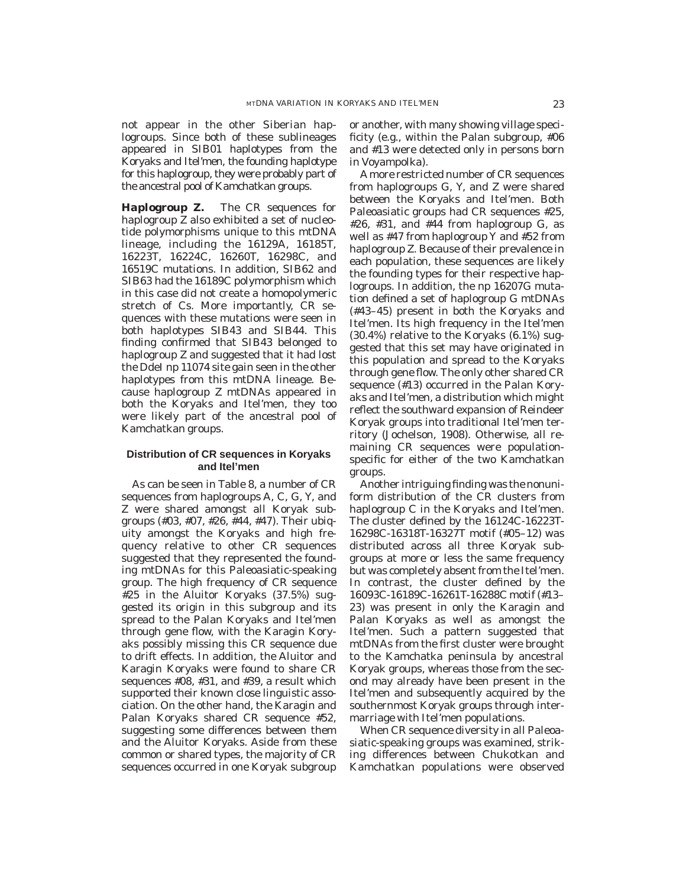not appear in the other Siberian haplogroups. Since both of these sublineages appeared in SIB01 haplotypes from the Koryaks and Itel'men, the founding haplotype for this haplogroup, they were probably part of the ancestral pool of Kamchatkan groups.

*Haplogroup Z.* The CR sequences for haplogroup Z also exhibited a set of nucleotide polymorphisms unique to this mtDNA lineage, including the 16129A, 16185T, 16223T, 16224C, 16260T, 16298C, and 16519C mutations. In addition, SIB62 and SIB63 had the 16189C polymorphism which in this case did not create a homopolymeric stretch of Cs. More importantly, CR sequences with these mutations were seen in both haplotypes SIB43 and SIB44. This finding confirmed that SIB43 belonged to haplogroup Z and suggested that it had lost the DdeI np 11074 site gain seen in the other haplotypes from this mtDNA lineage. Because haplogroup Z mtDNAs appeared in both the Koryaks and Itel'men, they too were likely part of the ancestral pool of Kamchatkan groups.

## **Distribution of CR sequences in Koryaks and Itel'men**

As can be seen in Table 8, a number of CR sequences from haplogroups A, C, G, Y, and Z were shared amongst all Koryak subgroups (#03, #07, #26, #44, #47). Their ubiquity amongst the Koryaks and high frequency relative to other CR sequences suggested that they represented the founding mtDNAs for this Paleoasiatic-speaking group. The high frequency of CR sequence #25 in the Aluitor Koryaks (37.5%) suggested its origin in this subgroup and its spread to the Palan Koryaks and Itel'men through gene flow, with the Karagin Koryaks possibly missing this CR sequence due to drift effects. In addition, the Aluitor and Karagin Koryaks were found to share CR sequences #08, #31, and #39, a result which supported their known close linguistic association. On the other hand, the Karagin and Palan Koryaks shared CR sequence #52, suggesting some differences between them and the Aluitor Koryaks. Aside from these common or shared types, the majority of CR sequences occurred in one Koryak subgroup

or another, with many showing village specificity (e.g., within the Palan subgroup, #06 and #13 were detected only in persons born in Voyampolka).

A more restricted number of CR sequences from haplogroups G, Y, and Z were shared between the Koryaks and Itel'men. Both Paleoasiatic groups had CR sequences #25,  $#26, #31, and #44 from haplogroup G, as$ well as #47 from haplogroup Y and #52 from haplogroup Z. Because of their prevalence in each population, these sequences are likely the founding types for their respective haplogroups. In addition, the np 16207G mutation defined a set of haplogroup G mtDNAs (#43–45) present in both the Koryaks and Itel'men. Its high frequency in the Itel'men (30.4%) relative to the Koryaks (6.1%) suggested that this set may have originated in this population and spread to the Koryaks through gene flow. The only other shared CR sequence (#13) occurred in the Palan Koryaks and Itel'men, a distribution which might reflect the southward expansion of Reindeer Koryak groups into traditional Itel'men territory (Jochelson, 1908). Otherwise, all remaining CR sequences were populationspecific for either of the two Kamchatkan groups.

Another intriguing finding was the nonuniform distribution of the CR clusters from haplogroup C in the Koryaks and Itel'men. The cluster defined by the 16124C-16223T-16298C-16318T-16327T motif (#05–12) was distributed across all three Koryak subgroups at more or less the same frequency but was completely absent from the Itel'men. In contrast, the cluster defined by the 16093C-16189C-16261T-16288C motif (#13– 23) was present in only the Karagin and Palan Koryaks as well as amongst the Itel'men. Such a pattern suggested that mtDNAs from the first cluster were brought to the Kamchatka peninsula by ancestral Koryak groups, whereas those from the second may already have been present in the Itel'men and subsequently acquired by the southernmost Koryak groups through intermarriage with Itel'men populations.

When CR sequence diversity in all Paleoasiatic-speaking groups was examined, striking differences between Chukotkan and Kamchatkan populations were observed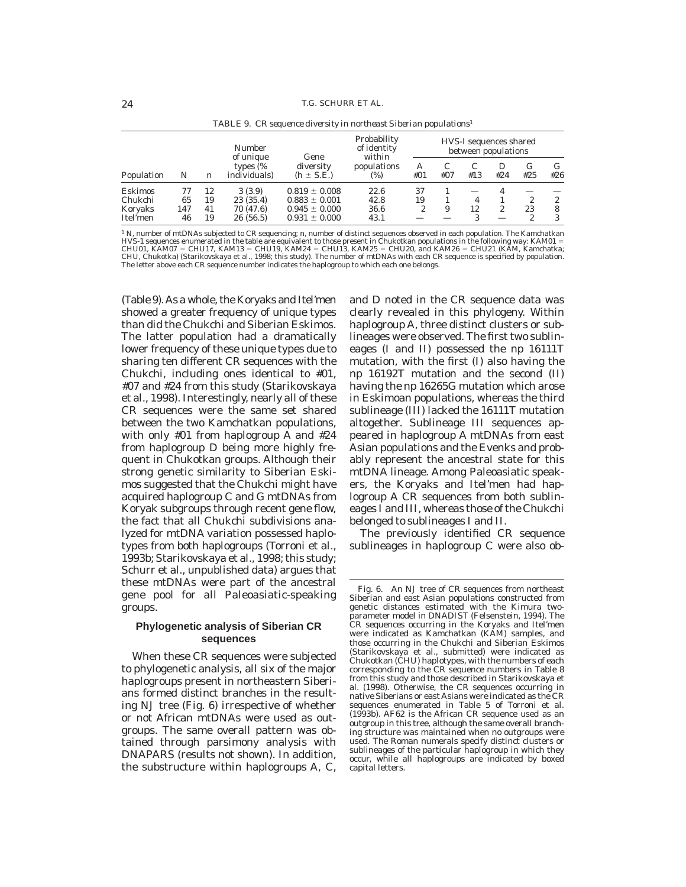|                |     |    | Number<br>of unique                 | Gene                        | Probability<br>of identity<br>within | HVS-I sequences shared<br>between populations |     |     |          |          |          |
|----------------|-----|----|-------------------------------------|-----------------------------|--------------------------------------|-----------------------------------------------|-----|-----|----------|----------|----------|
| Population     | N   | n  | types $\frac{6}{6}$<br>individuals) | diversity<br>$(h \pm S.E.)$ | populations<br>$(\%)$                | A<br>#01                                      | #07 | #13 | D<br>#24 | G<br>#25 | G<br>#26 |
| <b>Eskimos</b> | 77  | 12 | 3(3.9)                              | $0.819 \pm 0.008$           | 22.6                                 | 37                                            |     |     |          |          |          |
| Chukchi        | 65  | 19 | 23 (35.4)                           | $0.883 \pm 0.001$           | 42.8                                 | 19                                            |     | 4   |          |          | 2        |
| Koryaks        | 147 | 41 | 70 (47.6)                           | $0.945 \pm 0.000$           | 36.6                                 | 2                                             | 9   | 12  | 2        | 23       | 8        |
| Itel'men       | 46  | 19 | 26(56.5)                            | $0.931 \pm 0.000$           | 43.1                                 |                                               |     |     |          | 9        | 3        |

*TABLE 9. CR sequence diversity in northeast Siberian populations*<sup>1</sup>

<sup>1</sup> N, number of mtDNAs subjected to CR sequencing; n, number of distinct sequences observed in each population. The Kamchatkan HVS-1 sequences enumerated in the table are equivalent to those present in Chukotkan populations in the following way: KAM01 =<br>CHU01, KAM07 = CHU17, KAM13 = CHU19, KAM24 = CHU13, KAM25 = CHU20, and KAM26 = CHU21 (KAM, Kamc The letter above each CR sequence number indicates the haplogroup to which each one belongs.

(Table 9).As a whole, the Koryaks and Itel'men showed a greater frequency of unique types than did the Chukchi and Siberian Eskimos. The latter population had a dramatically lower frequency of these unique types due to sharing ten different CR sequences with the Chukchi, including ones identical to #01, #07 and #24 from this study (Starikovskaya et al., 1998). Interestingly, nearly all of these CR sequences were the same set shared between the two Kamchatkan populations, with only #01 from haplogroup A and #24 from haplogroup D being more highly frequent in Chukotkan groups. Although their strong genetic similarity to Siberian Eskimos suggested that the Chukchi might have acquired haplogroup C and G mtDNAs from Koryak subgroups through recent gene flow, the fact that all Chukchi subdivisions analyzed for mtDNA variation possessed haplotypes from both haplogroups (Torroni et al., 1993b; Starikovskaya et al., 1998; this study; Schurr et al., unpublished data) argues that these mtDNAs were part of the ancestral gene pool for all Paleoasiatic-speaking groups.

## **Phylogenetic analysis of Siberian CR sequences**

When these CR sequences were subjected to phylogenetic analysis, all six of the major haplogroups present in northeastern Siberians formed distinct branches in the resulting NJ tree (Fig. 6) irrespective of whether or not African mtDNAs were used as outgroups. The same overall pattern was obtained through parsimony analysis with DNAPARS (results not shown). In addition, the substructure within haplogroups A, C,

and D noted in the CR sequence data was clearly revealed in this phylogeny. Within haplogroup A, three distinct clusters or sublineages were observed. The first two sublineages (I and II) possessed the np 16111T mutation, with the first (I) also having the np 16192T mutation and the second (II) having the np 16265G mutation which arose in Eskimoan populations, whereas the third sublineage (III) lacked the 16111T mutation altogether. Sublineage III sequences appeared in haplogroup A mtDNAs from east Asian populations and the Evenks and probably represent the ancestral state for this mtDNA lineage. Among Paleoasiatic speakers, the Koryaks and Itel'men had haplogroup A CR sequences from both sublineages I and III, whereas those of the Chukchi belonged to sublineages I and II.

The previously identified CR sequence sublineages in haplogroup C were also ob-

Fig. 6. An NJ tree of CR sequences from northeast Siberian and east Asian populations constructed from genetic distances estimated with the Kimura twoparameter model in DNADIST (Felsenstein, 1994). The CR sequences occurring in the Koryaks and Itel'men were indicated as Kamchatkan (KAM) samples, and those occurring in the Chukchi and Siberian Eskimos (Starikovskaya et al., submitted) were indicated as Chukotkan (CHU) haplotypes, with the numbers of each corresponding to the CR sequence numbers in Table 8 from this study and those described in Starikovskaya et al. (1998). Otherwise, the CR sequences occurring in native Siberians or east Asians were indicated as the CR sequences enumerated in Table 5 of Torroni et al. (1993b). AF62 is the African CR sequence used as an outgroup in this tree, although the same overall branching structure was maintained when no outgroups were used. The Roman numerals specify distinct clusters or sublineages of the particular haplogroup in which they occur, while all haplogroups are indicated by boxed capital letters.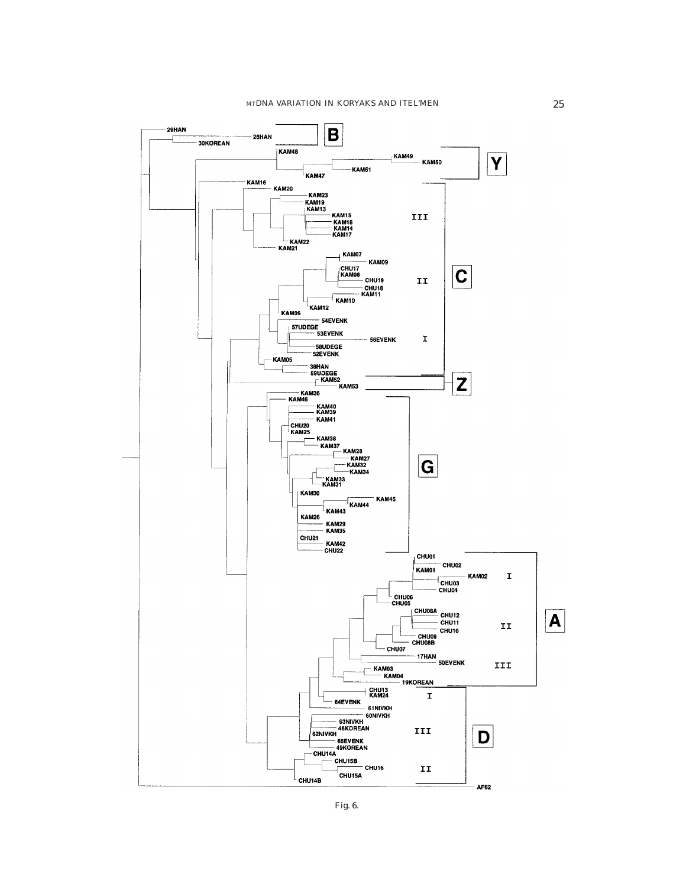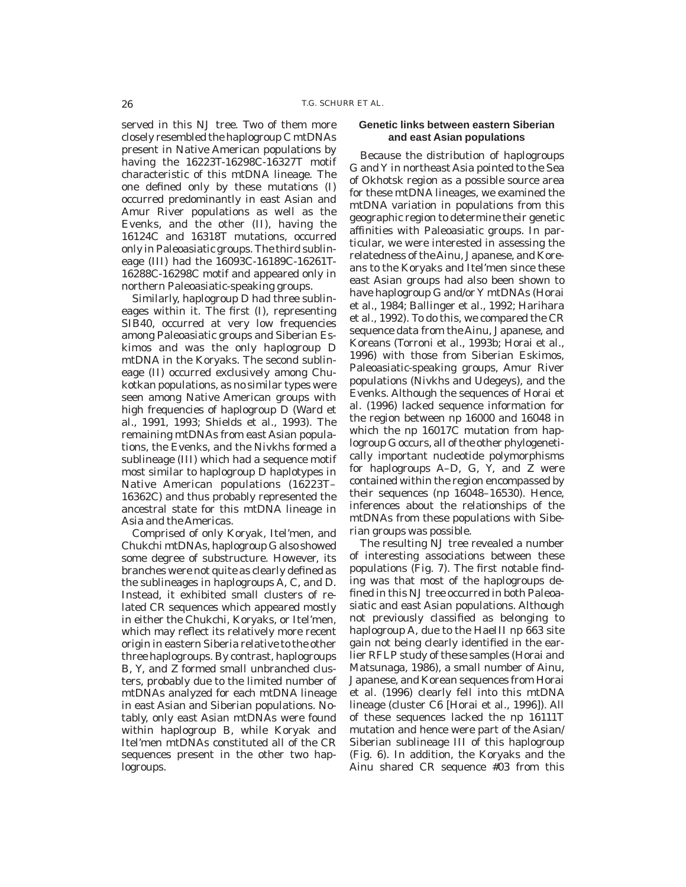served in this NJ tree. Two of them more closely resembled the haplogroup C mtDNAs present in Native American populations by having the 16223T-16298C-16327T motif characteristic of this mtDNA lineage. The one defined only by these mutations (I) occurred predominantly in east Asian and Amur River populations as well as the Evenks, and the other (II), having the 16124C and 16318T mutations, occurred only in Paleoasiatic groups. The third sublineage (III) had the 16093C-16189C-16261T-16288C-16298C motif and appeared only in northern Paleoasiatic-speaking groups.

Similarly, haplogroup D had three sublineages within it. The first (I), representing SIB40, occurred at very low frequencies among Paleoasiatic groups and Siberian Eskimos and was the only haplogroup D mtDNA in the Koryaks. The second sublineage (II) occurred exclusively among Chukotkan populations, as no similar types were seen among Native American groups with high frequencies of haplogroup D (Ward et al., 1991, 1993; Shields et al., 1993). The remaining mtDNAs from east Asian populations, the Evenks, and the Nivkhs formed a sublineage (III) which had a sequence motif most similar to haplogroup D haplotypes in Native American populations (16223T– 16362C) and thus probably represented the ancestral state for this mtDNA lineage in Asia and the Americas.

Comprised of only Koryak, Itel'men, and Chukchi mtDNAs, haplogroup G also showed some degree of substructure. However, its branches were not quite as clearly defined as the sublineages in haplogroups A, C, and D. Instead, it exhibited small clusters of related CR sequences which appeared mostly in either the Chukchi, Koryaks, or Itel'men, which may reflect its relatively more recent origin in eastern Siberia relative to the other three haplogroups. By contrast, haplogroups B, Y, and Z formed small unbranched clusters, probably due to the limited number of mtDNAs analyzed for each mtDNA lineage in east Asian and Siberian populations. Notably, only east Asian mtDNAs were found within haplogroup B, while Koryak and Itel'men mtDNAs constituted all of the CR sequences present in the other two haplogroups.

## **Genetic links between eastern Siberian and east Asian populations**

Because the distribution of haplogroups G and Y in northeast Asia pointed to the Sea of Okhotsk region as a possible source area for these mtDNA lineages, we examined the mtDNA variation in populations from this geographic region to determine their genetic affinities with Paleoasiatic groups. In particular, we were interested in assessing the relatedness of the Ainu, Japanese, and Koreans to the Koryaks and Itel'men since these east Asian groups had also been shown to have haplogroup G and/or Y mtDNAs (Horai et al., 1984; Ballinger et al., 1992; Harihara et al., 1992). To do this, we compared the CR sequence data from the Ainu, Japanese, and Koreans (Torroni et al., 1993b; Horai et al., 1996) with those from Siberian Eskimos, Paleoasiatic-speaking groups, Amur River populations (Nivkhs and Udegeys), and the Evenks. Although the sequences of Horai et al. (1996) lacked sequence information for the region between np 16000 and 16048 in which the np 16017C mutation from haplogroup G occurs, all of the other phylogenetically important nucleotide polymorphisms for haplogroups A–D, G, Y, and Z were contained within the region encompassed by their sequences (np 16048–16530). Hence, inferences about the relationships of the mtDNAs from these populations with Siberian groups was possible.

The resulting NJ tree revealed a number of interesting associations between these populations (Fig. 7). The first notable finding was that most of the haplogroups defined in this NJ tree occurred in both Paleoasiatic and east Asian populations. Although not previously classified as belonging to haplogroup A, due to the HaeIII np 663 site gain not being clearly identified in the earlier RFLP study of these samples (Horai and Matsunaga, 1986), a small number of Ainu, Japanese, and Korean sequences from Horai et al. (1996) clearly fell into this mtDNA lineage (cluster C6 [Horai et al., 1996]). All of these sequences lacked the np 16111T mutation and hence were part of the Asian/ Siberian sublineage III of this haplogroup (Fig. 6). In addition, the Koryaks and the Ainu shared CR sequence #03 from this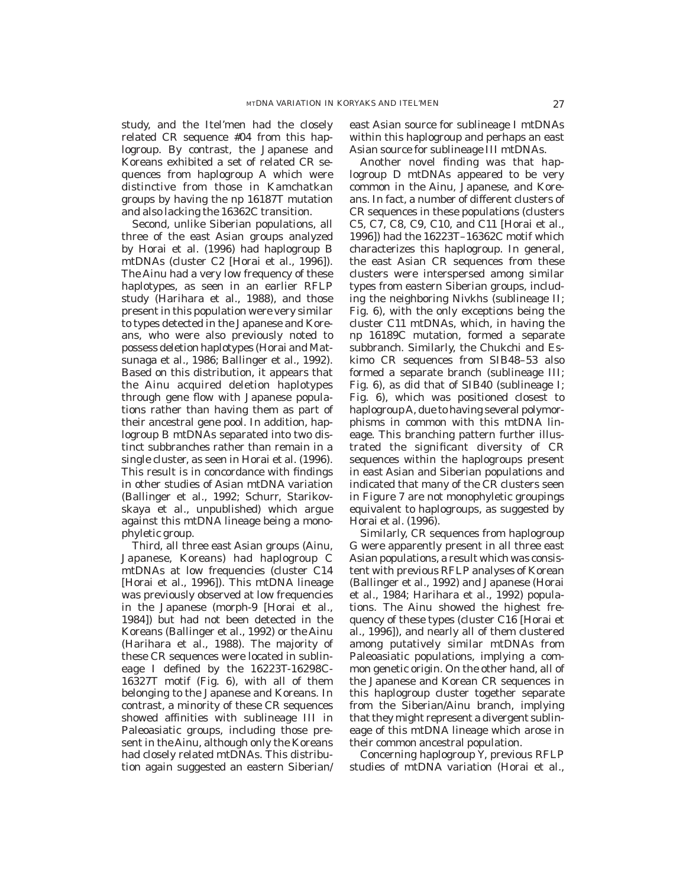study, and the Itel'men had the closely related CR sequence #04 from this haplogroup. By contrast, the Japanese and Koreans exhibited a set of related CR sequences from haplogroup A which were distinctive from those in Kamchatkan groups by having the np 16187T mutation and also lacking the 16362C transition.

Second, unlike Siberian populations, all three of the east Asian groups analyzed by Horai et al. (1996) had haplogroup B mtDNAs (cluster C2 [Horai et al., 1996]). The Ainu had a very low frequency of these haplotypes, as seen in an earlier RFLP study (Harihara et al., 1988), and those present in this population were very similar to types detected in the Japanese and Koreans, who were also previously noted to possess deletion haplotypes (Horai and Matsunaga et al., 1986; Ballinger et al., 1992). Based on this distribution, it appears that the Ainu acquired deletion haplotypes through gene flow with Japanese populations rather than having them as part of their ancestral gene pool. In addition, haplogroup B mtDNAs separated into two distinct subbranches rather than remain in a single cluster, as seen in Horai et al. (1996). This result is in concordance with findings in other studies of Asian mtDNA variation (Ballinger et al., 1992; Schurr, Starikovskaya et al., unpublished) which argue against this mtDNA lineage being a monophyletic group.

Third, all three east Asian groups (Ainu, Japanese, Koreans) had haplogroup C mtDNAs at low frequencies (cluster C14 [Horai et al., 1996]). This mtDNA lineage was previously observed at low frequencies in the Japanese (morph-9 [Horai et al., 1984]) but had not been detected in the Koreans (Ballinger et al., 1992) or the Ainu (Harihara et al., 1988). The majority of these CR sequences were located in sublineage I defined by the 16223T-16298C-16327T motif (Fig. 6), with all of them belonging to the Japanese and Koreans. In contrast, a minority of these CR sequences showed affinities with sublineage III in Paleoasiatic groups, including those present in the Ainu, although only the Koreans had closely related mtDNAs. This distribution again suggested an eastern Siberian/

east Asian source for sublineage I mtDNAs within this haplogroup and perhaps an east Asian source for sublineage III mtDNAs.

Another novel finding was that haplogroup D mtDNAs appeared to be very common in the Ainu, Japanese, and Koreans. In fact, a number of different clusters of CR sequences in these populations (clusters C5, C7, C8, C9, C10, and C11 [Horai et al., 1996]) had the 16223T–16362C motif which characterizes this haplogroup. In general, the east Asian CR sequences from these clusters were interspersed among similar types from eastern Siberian groups, including the neighboring Nivkhs (sublineage II; Fig. 6), with the only exceptions being the cluster C11 mtDNAs, which, in having the np 16189C mutation, formed a separate subbranch. Similarly, the Chukchi and Eskimo CR sequences from SIB48–53 also formed a separate branch (sublineage III; Fig. 6), as did that of SIB40 (sublineage I; Fig. 6), which was positioned closest to haplogroup A, due to having several polymorphisms in common with this mtDNA lineage. This branching pattern further illustrated the significant diversity of CR sequences within the haplogroups present in east Asian and Siberian populations and indicated that many of the CR clusters seen in Figure 7 are not monophyletic groupings equivalent to haplogroups, as suggested by Horai et al. (1996).

Similarly, CR sequences from haplogroup G were apparently present in all three east Asian populations, a result which was consistent with previous RFLP analyses of Korean (Ballinger et al., 1992) and Japanese (Horai et al., 1984; Harihara et al., 1992) populations. The Ainu showed the highest frequency of these types (cluster C16 [Horai et al., 1996]), and nearly all of them clustered among putatively similar mtDNAs from Paleoasiatic populations, implying a common genetic origin. On the other hand, all of the Japanese and Korean CR sequences in this haplogroup cluster together separate from the Siberian/Ainu branch, implying that they might represent a divergent sublineage of this mtDNA lineage which arose in their common ancestral population.

Concerning haplogroup Y, previous RFLP studies of mtDNA variation (Horai et al.,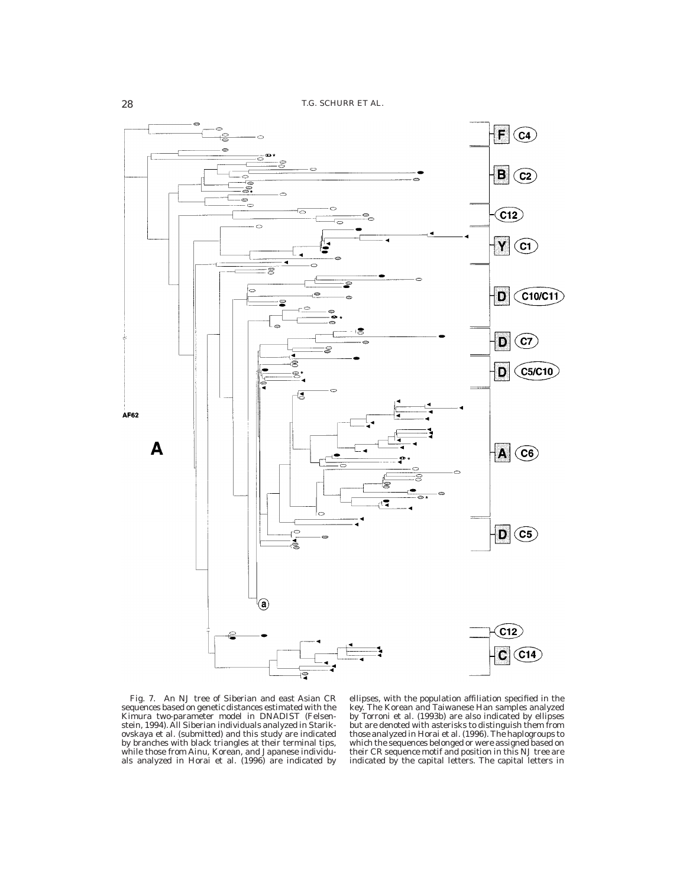

Fig. 7. An NJ tree of Siberian and east Asian CR<br>sequences based on genetic distances estimated with the<br>Kimura two-parameter model in DNADIST (Felsen-<br>stein, 1994). All Siberian individuals analyzed in Starik-<br>ovskaya et while those from Ainu, Korean, and Japanese individu-als analyzed in Horai et al. (1996) are indicated by

ellipses, with the population affiliation specified in the<br>key. The Korean and Taiwanese Han samples analyzed<br>by Torroni et al. (1993b) are also indicated by ellipses<br>but are denoted with asterisks to distinguish them from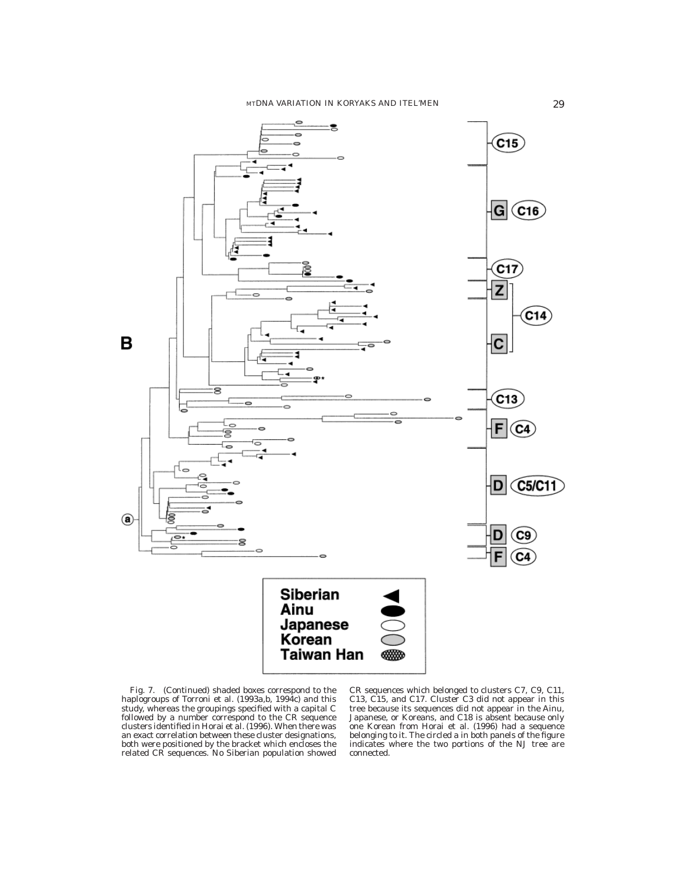

Fig. 7. (Continued) shaded boxes correspond to the haplogroups of Torroni et al. (1993a,b, 1994c) and this study, whereas the groupings specified with a capital C followed by a number correspond to the CR sequence clusters identified in Horai et al. (1996). When there was an exact correlation between these cluster designations, both were positioned by the bracket which encloses the related CR sequences. No Siberian population showed

CR sequences which belonged to clusters C7, C9, C11, C13, C15, and C17. Cluster C3 did not appear in this tree because its sequences did not appear in the Ainu, Japanese, or Koreans, and C18 is absent because only one Korean from Horai et al. (1996) had a sequence belonging to it. The circled a in both panels of the figure indicates where the two portions of the NJ tree are connected.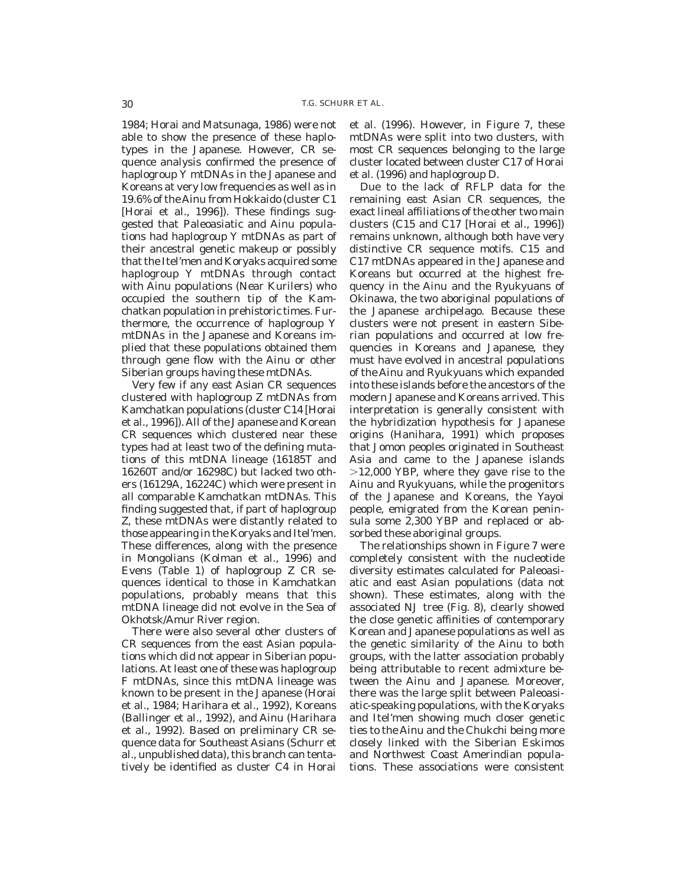1984; Horai and Matsunaga, 1986) were not able to show the presence of these haplotypes in the Japanese. However, CR sequence analysis confirmed the presence of haplogroup Y mtDNAs in the Japanese and Koreans at very low frequencies as well as in 19.6% of the Ainu from Hokkaido (cluster C1 [Horai et al., 1996]). These findings suggested that Paleoasiatic and Ainu populations had haplogroup Y mtDNAs as part of their ancestral genetic makeup or possibly that the Itel'men and Koryaks acquired some haplogroup Y mtDNAs through contact with Ainu populations (Near Kurilers) who occupied the southern tip of the Kamchatkan population in prehistoric times. Furthermore, the occurrence of haplogroup Y mtDNAs in the Japanese and Koreans implied that these populations obtained them through gene flow with the Ainu or other Siberian groups having these mtDNAs.

Very few if any east Asian CR sequences clustered with haplogroup Z mtDNAs from Kamchatkan populations (cluster C14 [Horai et al., 1996]). All of the Japanese and Korean CR sequences which clustered near these types had at least two of the defining mutations of this mtDNA lineage (16185T and 16260T and/or 16298C) but lacked two others (16129A, 16224C) which were present in all comparable Kamchatkan mtDNAs. This finding suggested that, if part of haplogroup Z, these mtDNAs were distantly related to those appearing in the Koryaks and Itel'men. These differences, along with the presence in Mongolians (Kolman et al., 1996) and Evens (Table 1) of haplogroup Z CR sequences identical to those in Kamchatkan populations, probably means that this mtDNA lineage did not evolve in the Sea of Okhotsk/Amur River region.

There were also several other clusters of CR sequences from the east Asian populations which did not appear in Siberian populations. At least one of these was haplogroup F mtDNAs, since this mtDNA lineage was known to be present in the Japanese (Horai et al., 1984; Harihara et al., 1992), Koreans (Ballinger et al., 1992), and Ainu (Harihara et al., 1992). Based on preliminary CR sequence data for Southeast Asians (Schurr et al., unpublished data), this branch can tentatively be identified as cluster C4 in Horai et al. (1996). However, in Figure 7, these mtDNAs were split into two clusters, with most CR sequences belonging to the large cluster located between cluster C17 of Horai et al. (1996) and haplogroup D.

Due to the lack of RFLP data for the remaining east Asian CR sequences, the exact lineal affiliations of the other two main clusters (C15 and C17 [Horai et al., 1996]) remains unknown, although both have very distinctive CR sequence motifs. C15 and C17 mtDNAs appeared in the Japanese and Koreans but occurred at the highest frequency in the Ainu and the Ryukyuans of Okinawa, the two aboriginal populations of the Japanese archipelago. Because these clusters were not present in eastern Siberian populations and occurred at low frequencies in Koreans and Japanese, they must have evolved in ancestral populations of the Ainu and Ryukyuans which expanded into these islands before the ancestors of the modern Japanese and Koreans arrived. This interpretation is generally consistent with the hybridization hypothesis for Japanese origins (Hanihara, 1991) which proposes that Jomon peoples originated in Southeast Asia and came to the Japanese islands  $>12,000$  YBP, where they gave rise to the Ainu and Ryukyuans, while the progenitors of the Japanese and Koreans, the Yayoi people, emigrated from the Korean peninsula some 2,300 YBP and replaced or absorbed these aboriginal groups.

The relationships shown in Figure 7 were completely consistent with the nucleotide diversity estimates calculated for Paleoasiatic and east Asian populations (data not shown). These estimates, along with the associated NJ tree (Fig. 8), clearly showed the close genetic affinities of contemporary Korean and Japanese populations as well as the genetic similarity of the Ainu to both groups, with the latter association probably being attributable to recent admixture between the Ainu and Japanese. Moreover, there was the large split between Paleoasiatic-speaking populations, with the Koryaks and Itel'men showing much closer genetic ties to the Ainu and the Chukchi being more closely linked with the Siberian Eskimos and Northwest Coast Amerindian populations. These associations were consistent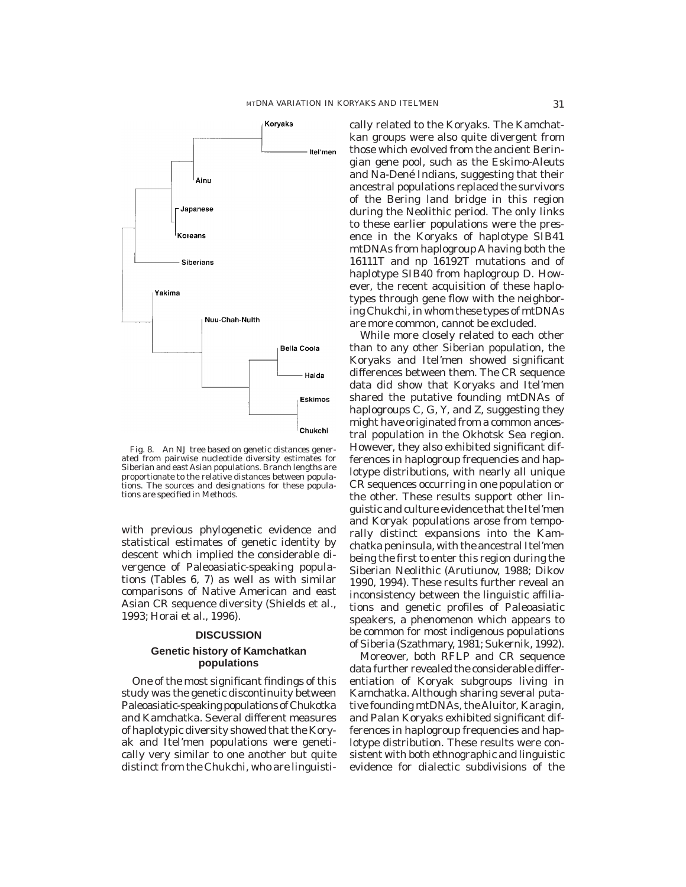

Fig. 8. An NJ tree based on genetic distances generated from pairwise nucleotide diversity estimates for Siberian and east Asian populations. Branch lengths are proportionate to the relative distances between populations. The sources and designations for these popula-tions are specified in Methods.

with previous phylogenetic evidence and statistical estimates of genetic identity by descent which implied the considerable divergence of Paleoasiatic-speaking populations (Tables 6, 7) as well as with similar comparisons of Native American and east Asian CR sequence diversity (Shields et al., 1993; Horai et al., 1996).

#### **DISCUSSION**

## **Genetic history of Kamchatkan populations**

One of the most significant findings of this study was the genetic discontinuity between Paleoasiatic-speaking populations of Chukotka and Kamchatka. Several different measures of haplotypic diversity showed that the Koryak and Itel'men populations were genetically very similar to one another but quite distinct from the Chukchi, who are linguistically related to the Koryaks. The Kamchatkan groups were also quite divergent from those which evolved from the ancient Beringian gene pool, such as the Eskimo-Aleuts and Na-Dené Indians, suggesting that their ancestral populations replaced the survivors of the Bering land bridge in this region during the Neolithic period. The only links to these earlier populations were the presence in the Koryaks of haplotype SIB41 mtDNAs from haplogroup A having both the 16111T and np 16192T mutations and of haplotype SIB40 from haplogroup D. However, the recent acquisition of these haplotypes through gene flow with the neighboring Chukchi, in whom these types of mtDNAs are more common, cannot be excluded.

While more closely related to each other than to any other Siberian population, the Koryaks and Itel'men showed significant differences between them. The CR sequence data did show that Koryaks and Itel'men shared the putative founding mtDNAs of haplogroups C, G, Y, and Z, suggesting they might have originated from a common ancestral population in the Okhotsk Sea region. However, they also exhibited significant differences in haplogroup frequencies and haplotype distributions, with nearly all unique CR sequences occurring in one population or the other. These results support other linguistic and culture evidence that the Itel'men and Koryak populations arose from temporally distinct expansions into the Kamchatka peninsula, with the ancestral Itel'men being the first to enter this region during the Siberian Neolithic (Arutiunov, 1988; Dikov 1990, 1994). These results further reveal an inconsistency between the linguistic affiliations and genetic profiles of Paleoasiatic speakers, a phenomenon which appears to be common for most indigenous populations of Siberia (Szathmary, 1981; Sukernik, 1992).

Moreover, both RFLP and CR sequence data further revealed the considerable differentiation of Koryak subgroups living in Kamchatka. Although sharing several putative founding mtDNAs, the Aluitor, Karagin, and Palan Koryaks exhibited significant differences in haplogroup frequencies and haplotype distribution. These results were consistent with both ethnographic and linguistic evidence for dialectic subdivisions of the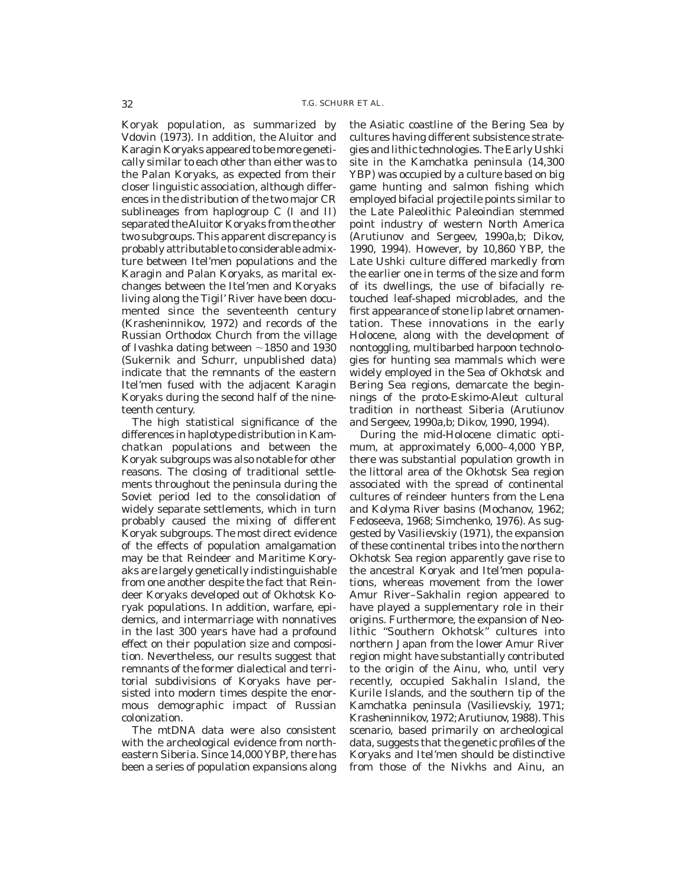Koryak population, as summarized by Vdovin (1973). In addition, the Aluitor and Karagin Koryaks appeared to be more genetically similar to each other than either was to the Palan Koryaks, as expected from their closer linguistic association, although differences in the distribution of the two major CR sublineages from haplogroup C (I and II) separated theAluitor Koryaks from the other two subgroups. This apparent discrepancy is probably attributable to considerable admixture between Itel'men populations and the Karagin and Palan Koryaks, as marital exchanges between the Itel'men and Koryaks living along the Tigil' River have been documented since the seventeenth century (Krasheninnikov, 1972) and records of the Russian Orthodox Church from the village of Ivashka dating between  $\sim$ 1850 and 1930 (Sukernik and Schurr, unpublished data) indicate that the remnants of the eastern Itel'men fused with the adjacent Karagin Koryaks during the second half of the nineteenth century.

The high statistical significance of the differences in haplotype distribution in Kamchatkan populations and between the Koryak subgroups was also notable for other reasons. The closing of traditional settlements throughout the peninsula during the Soviet period led to the consolidation of widely separate settlements, which in turn probably caused the mixing of different Koryak subgroups. The most direct evidence of the effects of population amalgamation may be that Reindeer and Maritime Koryaks are largely genetically indistinguishable from one another despite the fact that Reindeer Koryaks developed out of Okhotsk Koryak populations. In addition, warfare, epidemics, and intermarriage with nonnatives in the last 300 years have had a profound effect on their population size and composition. Nevertheless, our results suggest that remnants of the former dialectical and territorial subdivisions of Koryaks have persisted into modern times despite the enormous demographic impact of Russian colonization.

The mtDNA data were also consistent with the archeological evidence from northeastern Siberia. Since 14,000 YBP, there has been a series of population expansions along the Asiatic coastline of the Bering Sea by cultures having different subsistence strategies and lithic technologies. The Early Ushki site in the Kamchatka peninsula (14,300 YBP) was occupied by a culture based on big game hunting and salmon fishing which employed bifacial projectile points similar to the Late Paleolithic Paleoindian stemmed point industry of western North America (Arutiunov and Sergeev, 1990a,b; Dikov, 1990, 1994). However, by 10,860 YBP, the Late Ushki culture differed markedly from the earlier one in terms of the size and form of its dwellings, the use of bifacially retouched leaf-shaped microblades, and the first appearance of stone lip labret ornamentation. These innovations in the early Holocene, along with the development of nontoggling, multibarbed harpoon technologies for hunting sea mammals which were widely employed in the Sea of Okhotsk and Bering Sea regions, demarcate the beginnings of the proto-Eskimo-Aleut cultural tradition in northeast Siberia (Arutiunov and Sergeev, 1990a,b; Dikov, 1990, 1994).

During the mid-Holocene climatic optimum, at approximately 6,000–4,000 YBP, there was substantial population growth in the littoral area of the Okhotsk Sea region associated with the spread of continental cultures of reindeer hunters from the Lena and Kolyma River basins (Mochanov, 1962; Fedoseeva, 1968; Simchenko, 1976). As suggested by Vasilievskiy (1971), the expansion of these continental tribes into the northern Okhotsk Sea region apparently gave rise to the ancestral Koryak and Itel'men populations, whereas movement from the lower Amur River–Sakhalin region appeared to have played a supplementary role in their origins. Furthermore, the expansion of Neolithic ''Southern Okhotsk'' cultures into northern Japan from the lower Amur River region might have substantially contributed to the origin of the Ainu, who, until very recently, occupied Sakhalin Island, the Kurile Islands, and the southern tip of the Kamchatka peninsula (Vasilievskiy, 1971; Krasheninnikov, 1972;Arutiunov, 1988). This scenario, based primarily on archeological data, suggests that the genetic profiles of the Koryaks and Itel'men should be distinctive from those of the Nivkhs and Ainu, an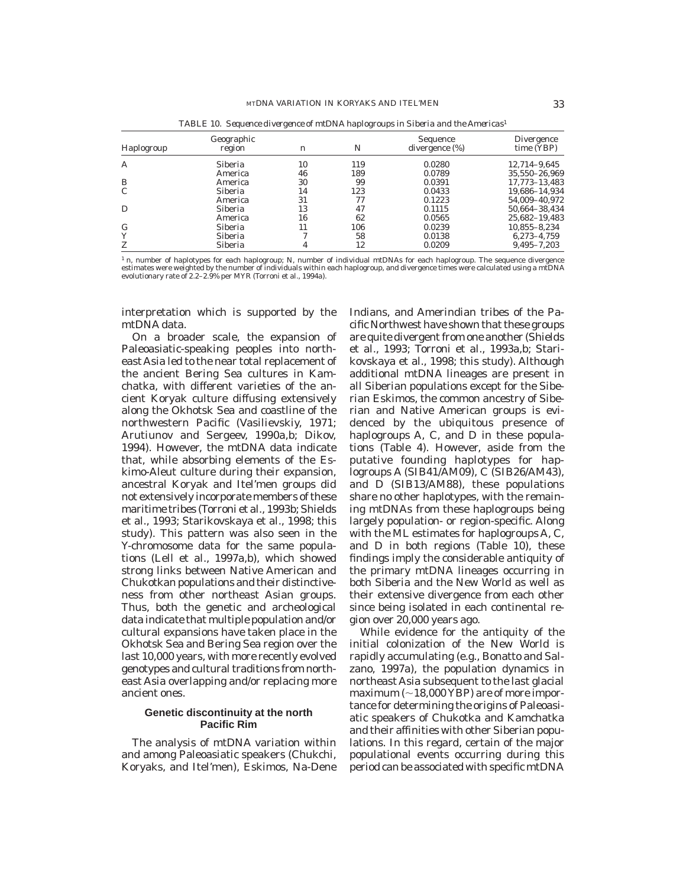| Haplogroup | Geographic<br>region | n  | N   | Sequence<br>divergence $(\%)$ | <b>Divergence</b><br>time (YBP) |
|------------|----------------------|----|-----|-------------------------------|---------------------------------|
| A          | <b>Siberia</b>       | 10 | 119 | 0.0280                        | 12,714-9,645                    |
|            | America              | 46 | 189 | 0.0789                        | 35.550-26.969                   |
| B          | America              | 30 | 99  | 0.0391                        | 17,773-13,483                   |
| C          | Siberia              | 14 | 123 | 0.0433                        | 19.686-14.934                   |
|            | America              | 31 | 77  | 0.1223                        | 54.009-40.972                   |
| D          | Siberia              | 13 | 47  | 0.1115                        | 50.664-38.434                   |
|            | America              | 16 | 62  | 0.0565                        | 25,682-19,483                   |
| G          | Siberia              | 11 | 106 | 0.0239                        | 10,855-8,234                    |
| Y          | Siberia              |    | 58  | 0.0138                        | 6,273-4,759                     |
| Z          | Siberia              | 4  | 12  | 0.0209                        | $9.495 - 7.203$                 |

*TABLE 10. Sequence divergence of mtDNA haplogroups in Siberia and the Americas*<sup>1</sup>

<sup>1</sup> n, number of haplotypes for each haplogroup; N, number of individual mtDNAs for each haplogroup. The sequence divergence estimates were weighted by the number of individuals within each haplogroup, and divergence times were calculated using a mtDNA evolutionary rate of 2.2–2.9% per MYR (Torroni et al., 1994a).

interpretation which is supported by the mtDNA data.

On a broader scale, the expansion of Paleoasiatic-speaking peoples into northeast Asia led to the near total replacement of the ancient Bering Sea cultures in Kamchatka, with different varieties of the ancient Koryak culture diffusing extensively along the Okhotsk Sea and coastline of the northwestern Pacific (Vasilievskiy, 1971; Arutiunov and Sergeev, 1990a,b; Dikov, 1994). However, the mtDNA data indicate that, while absorbing elements of the Eskimo-Aleut culture during their expansion, ancestral Koryak and Itel'men groups did not extensively incorporate members of these maritime tribes (Torroni et al., 1993b; Shields et al., 1993; Starikovskaya et al., 1998; this study). This pattern was also seen in the Y-chromosome data for the same populations (Lell et al., 1997a,b), which showed strong links between Native American and Chukotkan populations and their distinctiveness from other northeast Asian groups. Thus, both the genetic and archeological data indicate that multiple population and/or cultural expansions have taken place in the Okhotsk Sea and Bering Sea region over the last 10,000 years, with more recently evolved genotypes and cultural traditions from northeast Asia overlapping and/or replacing more ancient ones.

#### **Genetic discontinuity at the north Pacific Rim**

The analysis of mtDNA variation within and among Paleoasiatic speakers (Chukchi, Koryaks, and Itel'men), Eskimos, Na-Dene Indians, and Amerindian tribes of the Pacific Northwest have shown that these groups are quite divergent from one another (Shields et al., 1993; Torroni et al., 1993a,b; Starikovskaya et al., 1998; this study). Although additional mtDNA lineages are present in all Siberian populations except for the Siberian Eskimos, the common ancestry of Siberian and Native American groups is evidenced by the ubiquitous presence of haplogroups A, C, and D in these populations (Table 4). However, aside from the putative founding haplotypes for haplogroups A (SIB41/AM09), C (SIB26/AM43), and D (SIB13/AM88), these populations share no other haplotypes, with the remaining mtDNAs from these haplogroups being largely population- or region-specific. Along with the ML estimates for haplogroups A, C, and D in both regions (Table 10), these findings imply the considerable antiquity of the primary mtDNA lineages occurring in both Siberia and the New World as well as their extensive divergence from each other since being isolated in each continental region over 20,000 years ago.

While evidence for the antiquity of the initial colonization of the New World is rapidly accumulating (e.g., Bonatto and Salzano, 1997a), the population dynamics in northeast Asia subsequent to the last glacial maximum ( $\sim$ 18,000 YBP) are of more importance for determining the origins of Paleoasiatic speakers of Chukotka and Kamchatka and their affinities with other Siberian populations. In this regard, certain of the major populational events occurring during this period can be associated with specific mtDNA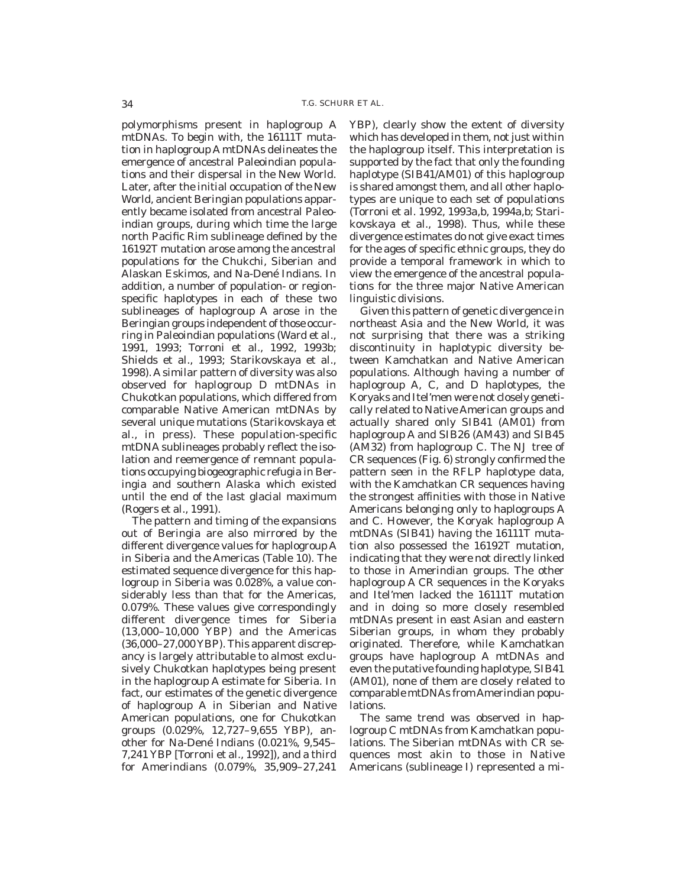polymorphisms present in haplogroup A mtDNAs. To begin with, the 16111T mutation in haplogroup A mtDNAs delineates the emergence of ancestral Paleoindian populations and their dispersal in the New World. Later, after the initial occupation of the New World, ancient Beringian populations apparently became isolated from ancestral Paleoindian groups, during which time the large north Pacific Rim sublineage defined by the 16192T mutation arose among the ancestral populations for the Chukchi, Siberian and Alaskan Eskimos, and Na-Dené Indians. In addition, a number of population- or regionspecific haplotypes in each of these two sublineages of haplogroup A arose in the Beringian groups independent of those occurring in Paleoindian populations (Ward et al., 1991, 1993; Torroni et al., 1992, 1993b; Shields et al., 1993; Starikovskaya et al., 1998). A similar pattern of diversity was also observed for haplogroup D mtDNAs in Chukotkan populations, which differed from comparable Native American mtDNAs by several unique mutations (Starikovskaya et al., in press). These population-specific mtDNA sublineages probably reflect the isolation and reemergence of remnant populations occupying biogeographic refugia in Beringia and southern Alaska which existed until the end of the last glacial maximum (Rogers et al., 1991).

The pattern and timing of the expansions out of Beringia are also mirrored by the different divergence values for haplogroup A in Siberia and the Americas (Table 10). The estimated sequence divergence for this haplogroup in Siberia was 0.028%, a value considerably less than that for the Americas, 0.079%. These values give correspondingly different divergence times for Siberia (13,000–10,000 YBP) and the Americas (36,000–27,000 YBP). This apparent discrepancy is largely attributable to almost exclusively Chukotkan haplotypes being present in the haplogroup A estimate for Siberia. In fact, our estimates of the genetic divergence of haplogroup A in Siberian and Native American populations, one for Chukotkan groups (0.029%, 12,727–9,655 YBP), another for Na-Dené Indians (0.021%, 9,545– 7,241 YBP [Torroni et al., 1992]), and a third for Amerindians (0.079%, 35,909–27,241

YBP), clearly show the extent of diversity which has developed in them, not just within the haplogroup itself. This interpretation is supported by the fact that only the founding haplotype (SIB41/AM01) of this haplogroup is shared amongst them, and all other haplotypes are unique to each set of populations (Torroni et al. 1992, 1993a,b, 1994a,b; Starikovskaya et al., 1998). Thus, while these divergence estimates do not give exact times for the ages of specific ethnic groups, they do provide a temporal framework in which to view the emergence of the ancestral populations for the three major Native American linguistic divisions.

Given this pattern of genetic divergence in northeast Asia and the New World, it was not surprising that there was a striking discontinuity in haplotypic diversity between Kamchatkan and Native American populations. Although having a number of haplogroup A, C, and D haplotypes, the Koryaks and Itel'men were not closely genetically related to Native American groups and actually shared only SIB41 (AM01) from haplogroup A and SIB26 (AM43) and SIB45 (AM32) from haplogroup C. The NJ tree of CR sequences (Fig. 6) strongly confirmed the pattern seen in the RFLP haplotype data, with the Kamchatkan CR sequences having the strongest affinities with those in Native Americans belonging only to haplogroups A and C. However, the Koryak haplogroup A mtDNAs (SIB41) having the 16111T mutation also possessed the 16192T mutation, indicating that they were not directly linked to those in Amerindian groups. The other haplogroup A CR sequences in the Koryaks and Itel'men lacked the 16111T mutation and in doing so more closely resembled mtDNAs present in east Asian and eastern Siberian groups, in whom they probably originated. Therefore, while Kamchatkan groups have haplogroup A mtDNAs and even the putative founding haplotype, SIB41 (AM01), none of them are closely related to comparable mtDNAs fromAmerindian populations.

The same trend was observed in haplogroup C mtDNAs from Kamchatkan populations. The Siberian mtDNAs with CR sequences most akin to those in Native Americans (sublineage I) represented a mi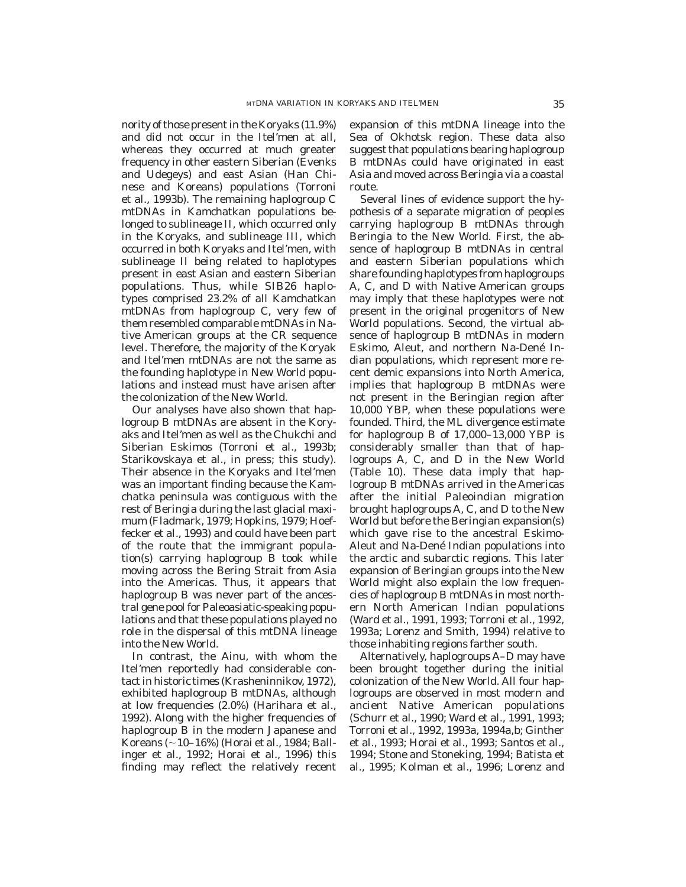nority of those present in the Koryaks (11.9%) and did not occur in the Itel'men at all, whereas they occurred at much greater frequency in other eastern Siberian (Evenks and Udegeys) and east Asian (Han Chinese and Koreans) populations (Torroni et al., 1993b). The remaining haplogroup C mtDNAs in Kamchatkan populations belonged to sublineage II, which occurred only in the Koryaks, and sublineage III, which occurred in both Koryaks and Itel'men, with sublineage II being related to haplotypes present in east Asian and eastern Siberian populations. Thus, while SIB26 haplotypes comprised 23.2% of all Kamchatkan mtDNAs from haplogroup C, very few of them resembled comparable mtDNAs in Native American groups at the CR sequence level. Therefore, the majority of the Koryak and Itel'men mtDNAs are not the same as the founding haplotype in New World populations and instead must have arisen after the colonization of the New World.

Our analyses have also shown that haplogroup B mtDNAs are absent in the Koryaks and Itel'men as well as the Chukchi and Siberian Eskimos (Torroni et al., 1993b; Starikovskaya et al., in press; this study). Their absence in the Koryaks and Itel'men was an important finding because the Kamchatka peninsula was contiguous with the rest of Beringia during the last glacial maximum (Fladmark, 1979; Hopkins, 1979; Hoeffecker et al., 1993) and could have been part of the route that the immigrant population(s) carrying haplogroup B took while moving across the Bering Strait from Asia into the Americas. Thus, it appears that haplogroup B was never part of the ancestral gene pool for Paleoasiatic-speaking populations and that these populations played no role in the dispersal of this mtDNA lineage into the New World.

In contrast, the Ainu, with whom the Itel'men reportedly had considerable contact in historic times (Krasheninnikov, 1972), exhibited haplogroup B mtDNAs, although at low frequencies (2.0%) (Harihara et al., 1992). Along with the higher frequencies of haplogroup B in the modern Japanese and Koreans ( $\sim$ 10–16%) (Horai et al., 1984; Ballinger et al., 1992; Horai et al., 1996) this finding may reflect the relatively recent expansion of this mtDNA lineage into the Sea of Okhotsk region. These data also suggest that populations bearing haplogroup B mtDNAs could have originated in east Asia and moved across Beringia via a coastal route.

Several lines of evidence support the hypothesis of a separate migration of peoples carrying haplogroup B mtDNAs through Beringia to the New World. First, the absence of haplogroup B mtDNAs in central and eastern Siberian populations which share founding haplotypes from haplogroups A, C, and D with Native American groups may imply that these haplotypes were not present in the original progenitors of New World populations. Second, the virtual absence of haplogroup B mtDNAs in modern Eskimo, Aleut, and northern Na-Dené Indian populations, which represent more recent demic expansions into North America, implies that haplogroup B mtDNAs were not present in the Beringian region after 10,000 YBP, when these populations were founded. Third, the ML divergence estimate for haplogroup B of 17,000–13,000 YBP is considerably smaller than that of haplogroups A, C, and D in the New World (Table 10). These data imply that haplogroup B mtDNAs arrived in the Americas after the initial Paleoindian migration brought haplogroups A, C, and D to the New World but before the Beringian expansion(s) which gave rise to the ancestral Eskimo-Aleut and Na-Dené Indian populations into the arctic and subarctic regions. This later expansion of Beringian groups into the New World might also explain the low frequencies of haplogroup B mtDNAs in most northern North American Indian populations (Ward et al., 1991, 1993; Torroni et al., 1992, 1993a; Lorenz and Smith, 1994) relative to those inhabiting regions farther south.

Alternatively, haplogroups A–D may have been brought together during the initial colonization of the New World. All four haplogroups are observed in most modern and ancient Native American populations (Schurr et al., 1990; Ward et al., 1991, 1993; Torroni et al., 1992, 1993a, 1994a,b; Ginther et al., 1993; Horai et al., 1993; Santos et al., 1994; Stone and Stoneking, 1994; Batista et al., 1995; Kolman et al., 1996; Lorenz and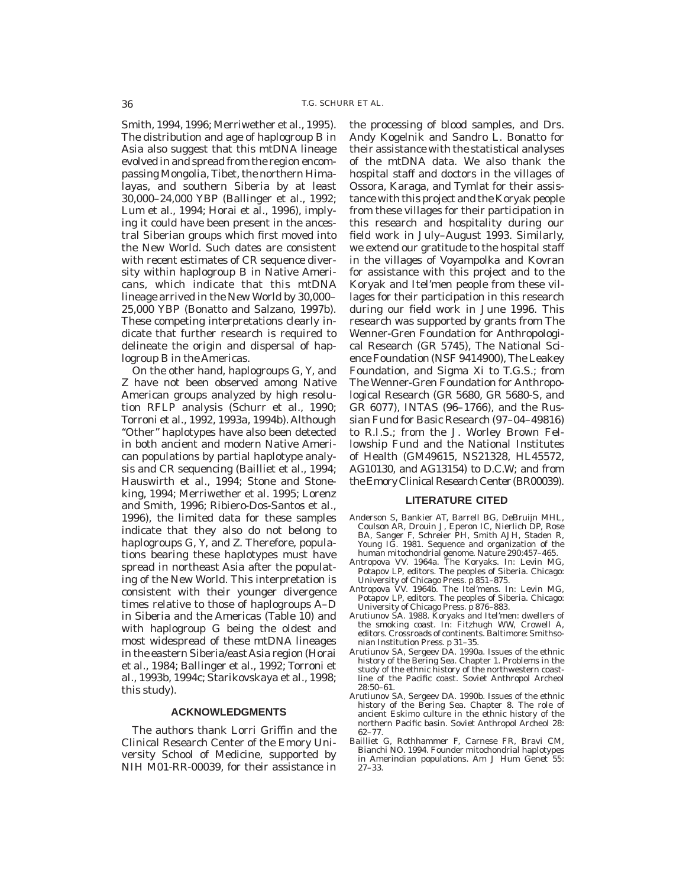Smith, 1994, 1996; Merriwether et al., 1995). The distribution and age of haplogroup B in Asia also suggest that this mtDNA lineage evolved in and spread from the region encompassing Mongolia, Tibet, the northern Himalayas, and southern Siberia by at least 30,000–24,000 YBP (Ballinger et al., 1992; Lum et al., 1994; Horai et al., 1996), implying it could have been present in the ancestral Siberian groups which first moved into the New World. Such dates are consistent with recent estimates of CR sequence diversity within haplogroup B in Native Americans, which indicate that this mtDNA lineage arrived in the New World by 30,000– 25,000 YBP (Bonatto and Salzano, 1997b). These competing interpretations clearly indicate that further research is required to delineate the origin and dispersal of haplogroup B in the Americas.

On the other hand, haplogroups G, Y, and Z have not been observed among Native American groups analyzed by high resolution RFLP analysis (Schurr et al., 1990; Torroni et al., 1992, 1993a, 1994b). Although ''Other'' haplotypes have also been detected in both ancient and modern Native American populations by partial haplotype analysis and CR sequencing (Bailliet et al., 1994; Hauswirth et al., 1994; Stone and Stoneking, 1994; Merriwether et al. 1995; Lorenz and Smith, 1996; Ribiero-Dos-Santos et al., 1996), the limited data for these samples indicate that they also do not belong to haplogroups G, Y, and Z. Therefore, populations bearing these haplotypes must have spread in northeast Asia after the populating of the New World. This interpretation is consistent with their younger divergence times relative to those of haplogroups A–D in Siberia and the Americas (Table 10) and with haplogroup G being the oldest and most widespread of these mtDNA lineages in the eastern Siberia/eastAsia region (Horai et al., 1984; Ballinger et al., 1992; Torroni et al., 1993b, 1994c; Starikovskaya et al., 1998; this study).

#### **ACKNOWLEDGMENTS**

The authors thank Lorri Griffin and the Clinical Research Center of the Emory University School of Medicine, supported by NIH M01-RR-00039, for their assistance in the processing of blood samples, and Drs. Andy Kogelnik and Sandro L. Bonatto for their assistance with the statistical analyses of the mtDNA data. We also thank the hospital staff and doctors in the villages of Ossora, Karaga, and Tymlat for their assistance with this project and the Koryak people from these villages for their participation in this research and hospitality during our field work in July–August 1993. Similarly, we extend our gratitude to the hospital staff in the villages of Voyampolka and Kovran for assistance with this project and to the Koryak and Itel'men people from these villages for their participation in this research during our field work in June 1996. This research was supported by grants from The Wenner-Gren Foundation for Anthropological Research (GR 5745), The National Science Foundation (NSF 9414900), The Leakey Foundation, and Sigma Xi to T.G.S.; from The Wenner-Gren Foundation for Anthropological Research (GR 5680, GR 5680-S, and GR 6077), INTAS (96–1766), and the Russian Fund for Basic Research (97–04–49816) to R.I.S.; from the J. Worley Brown Fellowship Fund and the National Institutes of Health (GM49615, NS21328, HL45572, AG10130, and AG13154) to D.C.W; and from the Emory Clinical Research Center (BR00039).

#### **LITERATURE CITED**

- Anderson S, Bankier AT, Barrell BG, DeBruijn MHL, Coulson AR, Drouin J, Eperon IC, Nierlich DP, Rose BA, Sanger F, Schreier PH, Smith AJH, Staden R, Young IG. 1981. Sequence and organization of the
- human mitochondrial genome. Nature 290:457–465. Antropova VV. 1964a. The Koryaks. In: Levin MG, Potapov LP, editors. The peoples of Siberia. Chicago: University of Chicago Press. p 851–875. Antropova VV. 1964b. The Itel'mens. In: Levin MG,
- Potapov LP, editors. The peoples of Siberia. Chicago: University of Chicago Press. p 876–883.
- Arutiunov SA. 1988. Koryaks and Itel'men: dwellers of the smoking coast. In: Fitzhugh WW, Crowell A, editors. Crossroads of continents. Baltimore: Smithso-
- nian Institution Press. p 31–35. Arutiunov SA, Sergeev DA. 1990a. Issues of the ethnic history of the Bering Sea. Chapter 1. Problems in the study of the ethnic history of the northwestern coastline of the Pacific coast. Soviet Anthropol Archeol 28:50–61.
- Arutiunov SA, Sergeev DA. 1990b. Issues of the ethnic history of the Bering Sea. Chapter 8. The role of ancient Eskimo culture in the ethnic history of the northern Pacific basin. Soviet Anthropol Archeol 28: 62–77.
- Bailliet G, Rothhammer F, Carnese FR, Bravi CM, Bianchi NO. 1994. Founder mitochondrial haplotypes in Amerindian populations. Am J Hum Genet 55: 27–33.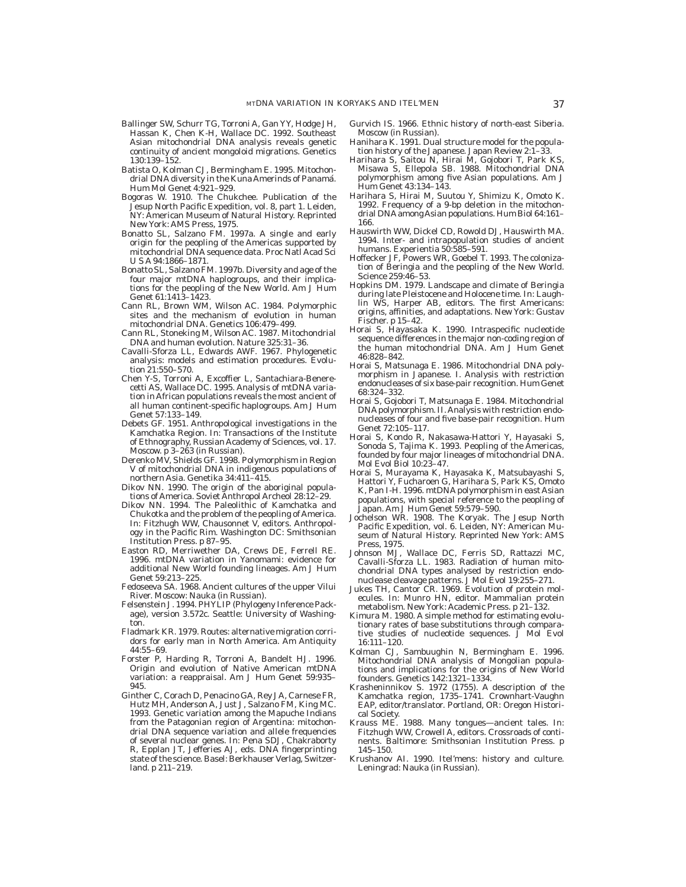- Ballinger SW, Schurr TG, Torroni A, Gan YY, Hodge JH, Hassan K, Chen K-H, Wallace DC. 1992. Southeast Asian mitochondrial DNA analysis reveals genetic continuity of ancient mongoloid migrations. Genetics 130:139–152.
- Batista O, Kolman CJ, Bermingham E. 1995. Mitochondrial DNA diversity in the Kuna Amerinds of Panamá. Hum Mol Genet 4:921–929.
- Bogoras W. 1910. The Chukchee. Publication of the Jesup North Pacific Expedition, vol. 8, part 1. Leiden, NY: American Museum of Natural History. Reprinted New York: AMS Press, 1975.
- Bonatto SL, Salzano FM. 1997a. A single and early origin for the peopling of the Americas supported by mitochondrial DNA sequence data. Proc Natl Acad Sci U S A 94:1866–1871.
- Bonatto SL, Salzano FM. 1997b. Diversity and age of the four major mtDNA haplogroups, and their implications for the peopling of the New World. Am J Hum Genet 61:1413–1423.
- Cann RL, Brown WM, Wilson AC. 1984. Polymorphic sites and the mechanism of evolution in human mitochondrial DNA. Genetics 106:479–499.
- Cann RL, Stoneking M, Wilson AC. 1987. Mitochondrial DNA and human evolution. Nature 325:31–36.
- Cavalli-Sforza LL, Edwards AWF. 1967. Phylogenetic analysis: models and estimation procedures. Evolution 21:550–570.
- Chen Y-S, Torroni A, Excoffier L, Santachiara-Benerecetti AS, Wallace DC. 1995. Analysis of mtDNA variation in African populations reveals the most ancient of all human continent-specific haplogroups. Am J Hum Genet 57:133–149.
- Debets GF. 1951. Anthropological investigations in the Kamchatka Region. In: Transactions of the Institute of Ethnography, Russian Academy of Sciences, vol. 17. Moscow. p 3–263 (in Russian).
- Derenko MV, Shields GF. 1998. Polymorphism in Region V of mitochondrial DNA in indigenous populations of northern Asia. Genetika 34:411–415.
- Dikov NN. 1990. The origin of the aboriginal populations of America. Soviet Anthropol Archeol 28:12–29.
- Dikov NN. 1994. The Paleolithic of Kamchatka and Chukotka and the problem of the peopling of America. In: Fitzhugh WW, Chausonnet V, editors. Anthropology in the Pacific Rim. Washington DC: Smithsonian Institution Press. p 87–95.
- Easton RD, Merriwether DA, Crews DE, Ferrell RE. 1996. mtDNA variation in Yanomami: evidence for additional New World founding lineages. Am J Hum Genet 59:213–225.
- Fedoseeva SA. 1968. Ancient cultures of the upper Vilui River. Moscow: Nauka (in Russian).
- Felsenstein J. 1994. PHYLIP (Phylogeny Inference Package), version 3.572c. Seattle: University of Washington.
- Fladmark KR. 1979. Routes: alternative migration corridors for early man in North America. Am Antiquity 44:55–69.
- Forster P, Harding R, Torroni A, Bandelt HJ. 1996. Origin and evolution of Native American mtDNA variation: a reappraisal. Am J Hum Genet 59:935– 945.
- Ginther C, Corach D, Penacino GA, Rey JA, Carnese FR, Hutz MH, Anderson A, Just J, Salzano FM, King MC. 1993. Genetic variation among the Mapuche Indians from the Patagonian region of Argentina: mitochondrial DNA sequence variation and allele frequencies of several nuclear genes. In: Pena SDJ, Chakraborty R, Epplan JT, Jefferies AJ, eds. DNA fingerprinting state of the science. Basel: Berkhauser Verlag, Switzerland. p 211–219.
- Gurvich IS. 1966. Ethnic history of north-east Siberia. Moscow (in Russian).
- Hanihara K. 1991. Dual structure model for the population history of the Japanese. Japan Review 2:1–33.
- Harihara S, Saitou N, Hirai M, Gojobori T, Park KS, Misawa S, Ellepola SB. 1988. Mitochondrial DNA polymorphism among five Asian populations. Am J Hum Genet 43:134–143.
- Harihara S, Hirai M, Suutou Y, Shimizu K, Omoto K. 1992. Frequency of a 9-bp deletion in the mitochondrial DNAamongAsian populations. Hum Biol 64:161– 166.
- Hauswirth WW, Dickel CD, Rowold DJ, Hauswirth MA. 1994. Inter- and intrapopulation studies of ancient humans. Experientia 50:585-591.
- Hoffecker JF, Powers WR, Goebel T. 1993. The colonization of Beringia and the peopling of the New World. Science 259:46–53.
- Hopkins DM. 1979. Landscape and climate of Beringia during late Pleistocene and Holocene time. In: Laughlin WS, Harper AB, editors. The first Americans: origins, affinities, and adaptations. New York: Gustav Fischer. p 15–42.
- Horai S, Hayasaka K. 1990. Intraspecific nucleotide sequence differences in the major non-coding region of the human mitochondrial DNA. Am J Hum Genet 46:828–842.
- Horai S, Matsunaga E. 1986. Mitochondrial DNA polymorphism in Japanese. I. Analysis with restriction endonucleases of six base-pair recognition. Hum Genet 68:324–332.
- Horai S, Gojobori T, Matsunaga E. 1984. Mitochondrial DNApolymorphism. II.Analysis with restriction endonucleases of four and five base-pair recognition. Hum Genet 72:105–117.
- Horai S, Kondo R, Nakasawa-Hattori Y, Hayasaki S, Sonoda S, Tajima K. 1993. Peopling of the Americas, founded by four major lineages of mitochondrial DNA. Mol Evol Biol 10:23–47.
- Horai S, Murayama K, Hayasaka K, Matsubayashi S, Hattori Y, Fucharoen G, Harihara S, Park KS, Omoto K, Pan I-H. 1996. mtDNA polymorphism in east Asian populations, with special reference to the peopling of Japan. Am J Hum Genet 59:579–590.
- Jochelson WR. 1908. The Koryak. The Jesup North Pacific Expedition, vol. 6. Leiden, NY: American Museum of Natural History. Reprinted New York: AMS Press, 1975.
- Johnson MJ, Wallace DC, Ferris SD, Rattazzi MC, Cavalli-Sforza LL. 1983. Radiation of human mitochondrial DNA types analysed by restriction endo-
- nuclease cleavage patterns. J Mol Evol 19:255–271. Jukes TH, Cantor CR. 1969. Evolution of protein molecules. In: Munro HN, editor. Mammalian protein metabolism. New York: Academic Press. p 21–132.
- Kimura M. 1980. A simple method for estimating evolutionary rates of base substitutions through comparative studies of nucleotide sequences. J Mol Evol 16:111–120.
- Kolman CJ, Sambuughin N, Bermingham E. 1996. Mitochondrial DNA analysis of Mongolian populations and implications for the origins of New World founders. Genetics 142:1321–1334.
- Krasheninnikov S. 1972 (1755). A description of the Kamchatka region, 1735–1741. Crownhart-Vaughn EAP, editor/translator. Portland, OR: Oregon Historical Society.
- Krauss ME. 1988. Many tongues—ancient tales. In: Fitzhugh WW, Crowell A, editors. Crossroads of continents. Baltimore: Smithsonian Institution Press. p 145–150.
- Krushanov AI. 1990. Itel'mens: history and culture. Leningrad: Nauka (in Russian).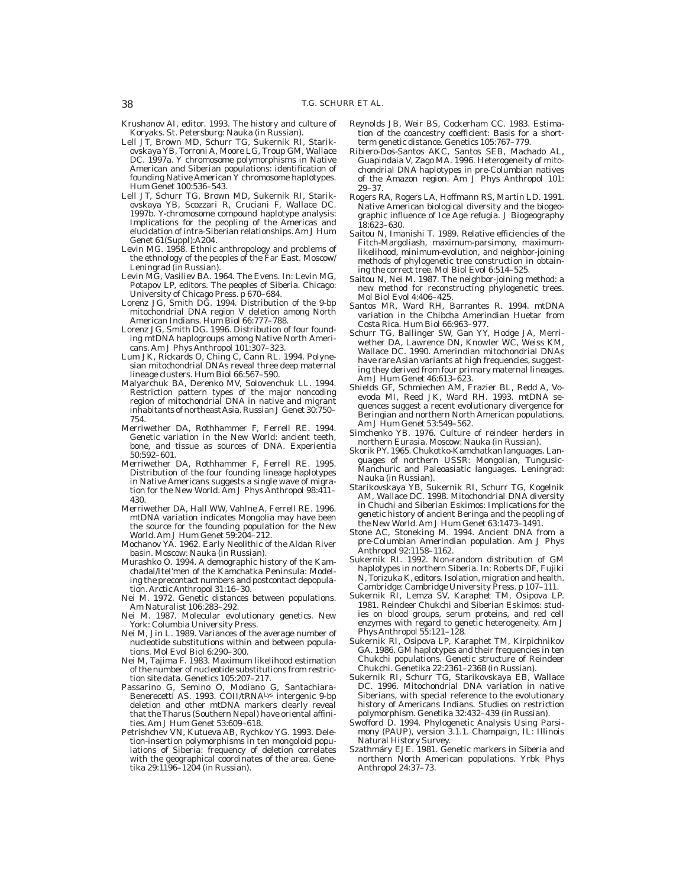- Krushanov AI, editor. 1993. The history and culture of Koryaks. St. Petersburg: Nauka (in Russian).
- Lell JT, Brown MD, Schurr TG, Sukernik RI, Starikovskaya YB, Torroni A, Moore LG, Troup GM, Wallace DC. 1997a. Y chromosome polymorphisms in Native American and Siberian populations: identification of founding Native American Y chromosome haplotypes. Hum Genet 100:536–543.
- Lell JT, Schurr TG, Brown MD, Sukernik RI, Starik-ovskaya YB, Scozzari R, Cruciani F, Wallace DC. 1997b. Y-chromosome compound haplotype analysis: Implications for the peopling of the Americas and elucidation of intra-Siberian relationships. Am J Hum
- Genet 61(Suppl):A204. Levin MG. 1958. Ethnic anthropology and problems of the ethnology of the peoples of the Far East. Moscow/ Leningrad (in Russian).
- Levin MG, Vasiliev BA. 1964. The Evens. In: Levin MG, Potapov LP, editors. The peoples of Siberia. Chicago: University of Chicago Press. p 670–684. Lorenz JG, Smith DG. 1994. Distribution of the 9-bp
- mitochondrial DNA region V deletion among North American Indians. Hum Biol 66:777–788.
- Lorenz JG, Smith DG. 1996. Distribution of four founding mtDNA haplogroups among Native North Americans. Am J Phys Anthropol 101:307–323.
- Lum JK, Rickards O, Ching C, Cann RL. 1994. Polynesian mitochondrial DNAs reveal three deep maternal lineage clusters. Hum Biol 66:567–590.
- Malyarchuk BA, Derenko MV, Solovenchuk LL. 1994. Restriction pattern types of the major noncoding region of mitochondrial DNA in native and migrant inhabitants of northeastAsia. Russian J Genet 30:750– 754.
- Merriwether DA, Rothhammer F, Ferrell RE. 1994. Genetic variation in the New World: ancient teeth, bone, and tissue as sources of DNA. Experientia 50:592–601.
- Merriwether DA, Rothhammer F, Ferrell RE. 1995. Distribution of the four founding lineage haplotypes in Native Americans suggests a single wave of migration for the New World. Am J Phys Anthropol 98:411– 430.
- Merriwether DA, Hall WW, Vahlne A, Ferrell RE. 1996. mtDNA variation indicates Mongolia may have been the source for the founding population for the New World. Am J Hum Genet 59:204–212.
- Mochanov YA. 1962. Early Neolithic of the Aldan River basin. Moscow: Nauka (in Russian).
- Murashko O. 1994. A demographic history of the Kamchadal/Itel'men of the Kamchatka Peninsula: Modeling the precontact numbers and postcontact depopulation. Arctic Anthropol 31:16–30.
- Nei M. 1972. Genetic distances between populations. Am Naturalist 106:283–292.
- Nei M. 1987. Molecular evolutionary genetics. New York: Columbia University Press.
- Nei M, Jin L. 1989. Variances of the average number of nucleotide substitutions within and between populations. Mol Evol Biol 6:290–300.
- Nei M, Tajima F. 1983. Maximum likelihood estimation of the number of nucleotide substitutions from restriction site data. Genetics 105:207–217.
- Passarino G, Semino O, Modiano G, Santachiara-Benerecetti AS. 1993. COII/tRNALys intergenic 9-bp deletion and other mtDNA markers clearly reveal that the Tharus (Southern Nepal) have oriental affinities. Am J Hum Genet 53:609–618.
- Petrishchev VN, Kutueva AB, Rychkov YG. 1993. Deletion-insertion polymorphisms in ten mongoloid populations of Siberia: frequency of deletion correlates with the geographical coordinates of the area. Genetika 29:1196–1204 (in Russian).
- Reynolds JB, Weir BS, Cockerham CC. 1983. Estimation of the coancestry coefficient: Basis for a shortterm genetic distance. Genetics 105:767–779.
- Ribiero-Dos-Santos AKC, Santos SEB, Machado AL, Guapindaia V, Zago MA. 1996. Heterogeneity of mitochondrial DNA haplotypes in pre-Columbian natives of the Amazon region. Am J Phys Anthropol 101: 29–37.
- Rogers RA, Rogers LA, Hoffmann RS, Martin LD. 1991. Native American biological diversity and the biogeographic influence of Ice Age refugia. J Biogeography 18:623–630.
- Saitou N, Imanishi T. 1989. Relative efficiencies of the Fitch-Margoliash, maximum-parsimony, maximumlikelihood, minimum-evolution, and neighbor-joining methods of phylogenetic tree construction in obtaining the correct tree. Mol Biol Evol 6:514–525.
- Saitou N, Nei M. 1987. The neighbor-joining method: a new method for reconstructing phylogenetic trees. Mol Biol Evol 4:406–425.
- Santos MR, Ward RH, Barrantes R. 1994. mtDNA variation in the Chibcha Amerindian Huetar from Costa Rica. Hum Biol 66:963–977.
- Schurr TG, Ballinger SW, Gan YY, Hodge JA, Merriwether DA, Lawrence DN, Knowler WC, Weiss KM, Wallace DC. 1990. Amerindian mitochondrial DNAs have rare Asian variants at high frequencies, suggesting they derived from four primary maternal lineages. Am J Hum Genet 46:613–623.
- Shields GF, Schmiechen AM, Frazier BL, Redd A, Voevoda MI, Reed JK, Ward RH. 1993. mtDNA sequences suggest a recent evolutionary divergence for Beringian and northern North American populations. Am J Hum Genet 53:549–562.
- Simchenko YB. 1976. Culture of reindeer herders in northern Eurasia. Moscow: Nauka (in Russian).
- Skorik PY. 1965. Chukotko-Kamchatkan languages. Languages of northern USSR: Mongolian, Tungusic-Manchuric and Paleoasiatic languages. Leningrad: Nauka (in Russian).
- Starikovskaya YB, Sukernik RI, Schurr TG, Kogelnik AM, Wallace DC. 1998. Mitochondrial DNA diversity in Chuchi and Siberian Eskimos: Implications for the genetic history of ancient Beringa and the peopling of the New World. Am J Hum Genet 63:1473–1491.
- Stone AC, Stoneking M. 1994. Ancient DNA from a pre-Columbian Amerindian population. Am J Phys Anthropol 92:1158–1162.
- Sukernik RI. 1992. Non-random distribution of GM haplotypes in northern Siberia. In: Roberts DF, Fujiki N, Torizuka K, editors. Isolation, migration and health. Cambridge: Cambridge University Press. p 107–111.
- Sukernik RI, Lemza SV, Karaphet TM, Osipova LP. 1981. Reindeer Chukchi and Siberian Eskimos: studies on blood groups, serum proteins, and red cell enzymes with regard to genetic heterogeneity. Am J Phys Anthropol 55:121-128.
- Sukernik RI, Osipova LP, Karaphet TM, Kirpichnikov GA. 1986. GM haplotypes and their frequencies in ten Chukchi populations. Genetic structure of Reindeer Chukchi. Genetika 22:2361–2368 (in Russian).
- Sukernik RI, Schurr TG, Starikovskaya EB, Wallace DC. 1996. Mitochondrial DNA variation in native Siberians, with special reference to the evolutionary history of Americans Indians. Studies on restriction polymorphism. Genetika 32:432–439 (in Russian).
- Swofford D. 1994. Phylogenetic Analysis Using Parsimony (PAUP), version 3.1.1. Champaign, IL: Illinois Natural History Survey.
- Szathmáry EJE. 1981. Genetic markers in Siberia and northern North American populations. Yrbk Phys Anthropol 24:37–73.